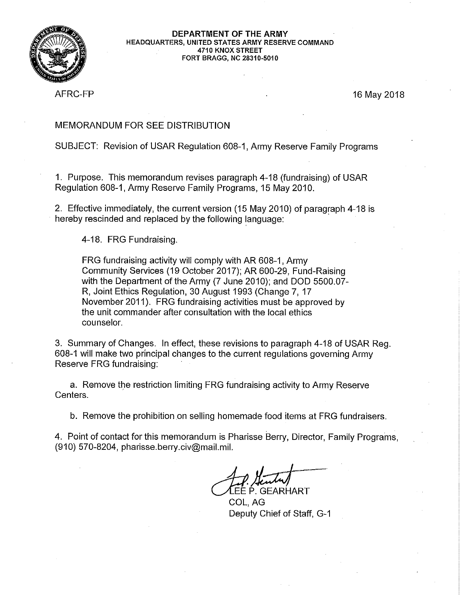

#### DEPARTMENT OF THE ARMY HEADQUARTERS, UNITED STATES ARMY RESERVE COMMAND 4710 KNOX STREET FORT BRAGG, NC 28310-5010

AFRC-FP

16 May 2018

# **MEMORANDUM FOR SEE DISTRIBUTION**

# SUBJECT: Revision of USAR Regulation 608-1, Army Reserve Family Programs

1. Purpose. This memorandum revises paragraph 4-18 (fundraising) of USAR Regulation 608-1, Army Reserve Family Programs, 15 May 2010.

2. Effective immediately, the current version (15 May 2010) of paragraph 4-18 is hereby rescinded and replaced by the following language:

4-18. FRG Fundraising.

FRG fundraising activity will comply with AR 608-1, Army Community Services (19 October 2017); AR 600-29, Fund-Raising with the Department of the Army (7 June 2010); and DOD 5500.07-R, Joint Ethics Regulation, 30 August 1993 (Change 7, 17 November 2011). FRG fundraising activities must be approved by the unit commander after consultation with the local ethics counselor.

3. Summary of Changes. In effect, these revisions to paragraph 4-18 of USAR Reg. 608-1 will make two principal changes to the current regulations governing Army Reserve FRG fundraising:

a. Remove the restriction limiting FRG fundraising activity to Army Reserve Centers.

b. Remove the prohibition on selling homemade food items at FRG fundraisers.

4. Point of contact for this memorandum is Pharisse Berry, Director, Family Programs, (910) 570-8204, pharisse.berry.civ@mail.mil.

EE P. GEARHART

COL. AG Deputy Chief of Staff, G-1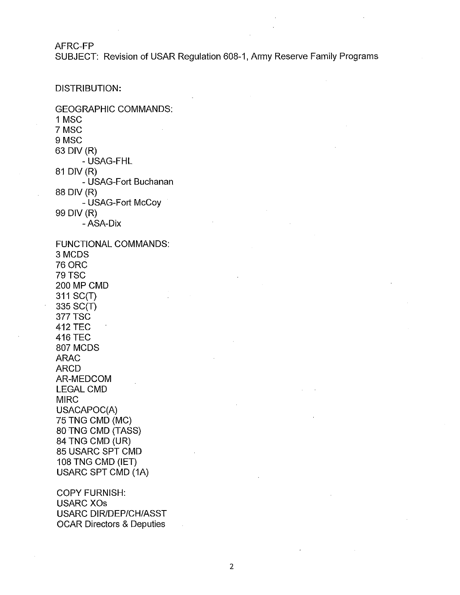AFRC-FP

SUBJECT: Revision of USAR Regulation 608-1, Army Reserve Family Programs

# DISTRIBUTION:

**GEOGRAPHIC COMMANDS:** 1 MSC 7 MSC 9 MSC 63 DIV (R) - USAG-FHL 81 DIV (R) - USAG-Fort Buchanan 88 DIV (R) - USAG-Fort McCoy 99 DIV (R) - ASA-Dix **FUNCTIONAL COMMANDS:** 3 MCDS **76 ORC 79 TSC** 200 MP CMD 311 SC(T) 335 SC(T) **377 TSC 412 TEC 416 TEC** 807 MCDS **ARAC ARCD** AR-MEDCOM **LEGAL CMD MIRC** USACAPOC(A) 75 TNG CMD (MC) 80 TNG CMD (TASS) 84 TNG CMD (UR) 85 USARC SPT CMD 108 TNG CMD (IET) **USARC SPT CMD (1A) COPY FURNISH: USARC XOs** 

**USARC DIR/DEP/CH/ASST OCAR Directors & Deputies**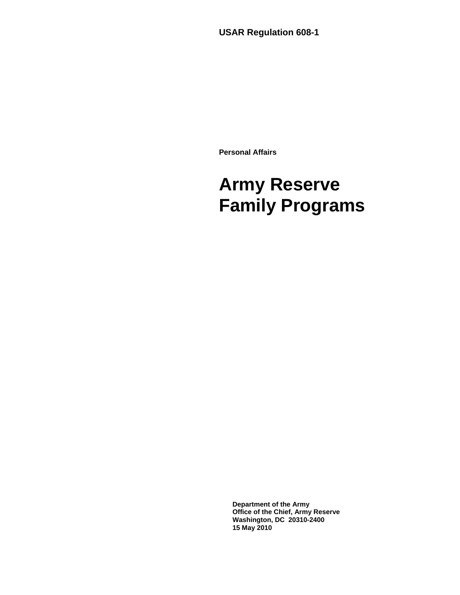**USAR Regulation 608-1** 

**Personal Affairs** 

# **Army Reserve Family Programs**

**Department of the Army Office of the Chief, Army Reserve Washington, DC 20310-2400 15 May 2010**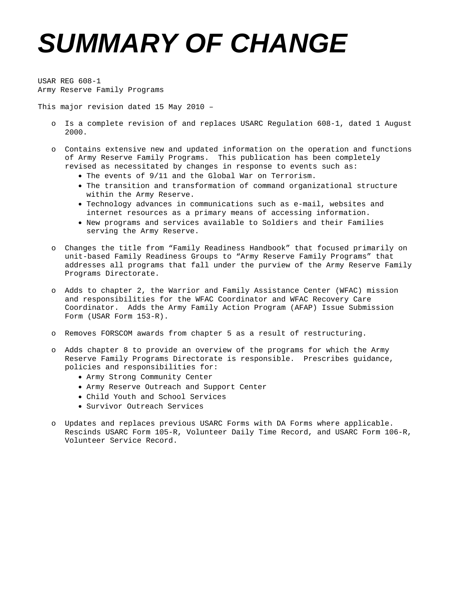# *SUMMARY OF CHANGE*

USAR REG 608-1 Army Reserve Family Programs

This major revision dated 15 May 2010 –

- o Is a complete revision of and replaces USARC Regulation 608-1, dated 1 August 2000.
- o Contains extensive new and updated information on the operation and functions of Army Reserve Family Programs. This publication has been completely revised as necessitated by changes in response to events such as:
	- The events of 9/11 and the Global War on Terrorism.
	- The transition and transformation of command organizational structure within the Army Reserve.
	- Technology advances in communications such as e-mail, websites and internet resources as a primary means of accessing information.
	- New programs and services available to Soldiers and their Families serving the Army Reserve.
- o Changes the title from "Family Readiness Handbook" that focused primarily on unit-based Family Readiness Groups to "Army Reserve Family Programs" that addresses all programs that fall under the purview of the Army Reserve Family Programs Directorate.
- o Adds to chapter 2, the Warrior and Family Assistance Center (WFAC) mission and responsibilities for the WFAC Coordinator and WFAC Recovery Care Coordinator. Adds the Army Family Action Program (AFAP) Issue Submission Form (USAR Form 153-R).
- o Removes FORSCOM awards from chapter 5 as a result of restructuring.
- o Adds chapter 8 to provide an overview of the programs for which the Army Reserve Family Programs Directorate is responsible. Prescribes guidance, policies and responsibilities for:
	- Army Strong Community Center
	- Army Reserve Outreach and Support Center
	- Child Youth and School Services
	- Survivor Outreach Services
- o Updates and replaces previous USARC Forms with DA Forms where applicable. Rescinds USARC Form 105-R, Volunteer Daily Time Record, and USARC Form 106-R, Volunteer Service Record.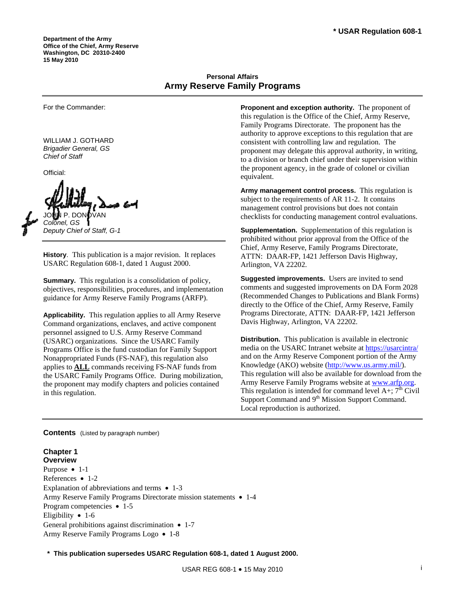**Department of the Army Office of the Chief, Army Reserve Washington, DC 20310-2400 15 May 2010** 

# **Personal Affairs Army Reserve Family Programs**

For the Commander:

WILLIAM J. GOTHARD *Brigadier General, GS Chief of Staff* 

Official:

JOHN P. DONOVAN *Colonel, GS Deputy Chief of Staff, G-1* 

**History**. This publication is a major revision. It replaces USARC Regulation 608-1, dated 1 August 2000.

**Summary.** This regulation is a consolidation of policy, objectives, responsibilities, procedures, and implementation guidance for Army Reserve Family Programs (ARFP).

**Applicability.** This regulation applies to all Army Reserve Command organizations, enclaves, and active component personnel assigned to U.S. Army Reserve Command (USARC) organizations. Since the USARC Family Programs Office is the fund custodian for Family Support Nonappropriated Funds (FS-NAF), this regulation also applies to **ALL** commands receiving FS-NAF funds from the USARC Family Programs Office. During mobilization, the proponent may modify chapters and policies contained in this regulation.

**Proponent and exception authority.** The proponent of this regulation is the Office of the Chief, Army Reserve, Family Programs Directorate. The proponent has the authority to approve exceptions to this regulation that are consistent with controlling law and regulation. The proponent may delegate this approval authority, in writing, to a division or branch chief under their supervision within the proponent agency, in the grade of colonel or civilian equivalent.

**Army management control process.** This regulation is subject to the requirements of AR 11-2. It contains management control provisions but does not contain checklists for conducting management control evaluations.

**Supplementation.** Supplementation of this regulation is prohibited without prior approval from the Office of the Chief, Army Reserve, Family Programs Directorate, ATTN: DAAR-FP, 1421 Jefferson Davis Highway, Arlington, VA 22202.

**Suggested improvements.** Users are invited to send comments and suggested improvements on DA Form 2028 (Recommended Changes to Publications and Blank Forms) directly to the Office of the Chief, Army Reserve, Family Programs Directorate, ATTN: DAAR-FP, 1421 Jefferson Davis Highway, Arlington, VA 22202.

**Distribution.** This publication is available in electronic media on the USARC Intranet website at <https://usarcintra/> and on the Army Reserve Component portion of the Army Knowledge (AKO) website [\(http://www.us.army.mil/\)](http://www.us.army.mil/). This regulation will also be available for download from the Army Reserve Family Programs website at [www.arfp.org.](http://www.arfp.org/) This regulation is intended for command level  $A+$ ;  $7<sup>th</sup>$  Civil Support Command and 9<sup>th</sup> Mission Support Command. Local reproduction is authorized.

**Contents** (Listed by paragraph number)

#### **Chapter 1 Overview**

Purpose • 1-1 References • 1-2 Explanation of abbreviations and terms  $\bullet$  1-3 Army Reserve Family Programs Directorate mission statements • 1-4 Program competencies • 1-5 Eligibility  $\bullet$  1-6 General prohibitions against discrimination  $\bullet$  1-7 Army Reserve Family Programs Logo • 1-8

**\* This publication supersedes USARC Regulation 608-1, dated 1 August 2000.**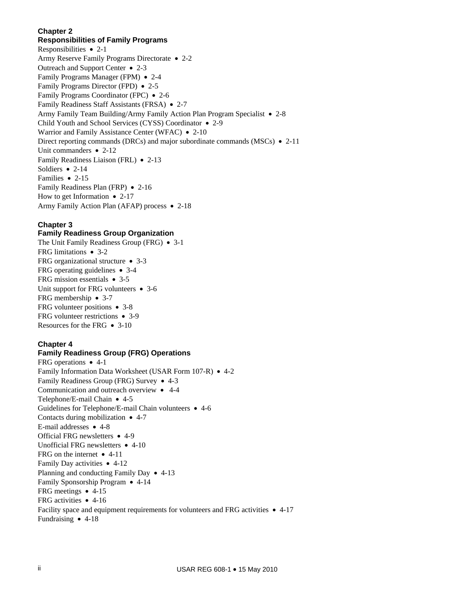#### **Chapter 2**

# **Responsibilities of Family Programs**

Responsibilities  $\bullet$  2-1 Army Reserve Family Programs Directorate • 2-2 Outreach and Support Center 2-3 Family Programs Manager (FPM) • 2-4 Family Programs Director (FPD) • 2-5 Family Programs Coordinator (FPC) • 2-6 Family Readiness Staff Assistants (FRSA) • 2-7 Army Family Team Building/Army Family Action Plan Program Specialist • 2-8 Child Youth and School Services (CYSS) Coordinator • 2-9 Warrior and Family Assistance Center (WFAC) • 2-10 Direct reporting commands (DRCs) and major subordinate commands (MSCs)  $\bullet$  2-11 Unit commanders  $\bullet$  2-12 Family Readiness Liaison (FRL) • 2-13 Soldiers  $\bullet$  2-14 Families • 2-15 Family Readiness Plan (FRP) • 2-16 How to get Information  $\bullet$  2-17 Army Family Action Plan (AFAP) process • 2-18

# **Chapter 3**

# **Family Readiness Group Organization**

The Unit Family Readiness Group (FRG)  $\bullet$  3-1 FRG limitations • 3-2 FRG organizational structure 3-3 FRG operating guidelines 3-4 FRG mission essentials  $\bullet$  3-5 Unit support for FRG volunteers  $\bullet$  3-6 FRG membership  $\bullet$  3-7 FRG volunteer positions  $\bullet$  3-8 FRG volunteer restrictions • 3-9 Resources for the FRG  $\bullet$  3-10

# **Chapter 4**

#### **Family Readiness Group (FRG) Operations**

FRG operations • 4-1 Family Information Data Worksheet (USAR Form 107-R) • 4-2 Family Readiness Group (FRG) Survey • 4-3 Communication and outreach overview 4-4 Telephone/E-mail Chain  $\bullet$  4-5 Guidelines for Telephone/E-mail Chain volunteers 4-6 Contacts during mobilization  $\bullet$  4-7 E-mail addresses  $\bullet$  4-8 Official FRG newsletters  $\bullet$  4-9 Unofficial FRG newsletters  $\bullet$  4-10 FRG on the internet  $\bullet$  4-11 Family Day activities  $\bullet$  4-12 Planning and conducting Family Day  $\bullet$  4-13 Family Sponsorship Program • 4-14 FRG meetings  $\bullet$  4-15 FRG activities 4-16 Facility space and equipment requirements for volunteers and FRG activities  $\bullet$  4-17 Fundraising  $\bullet$  4-18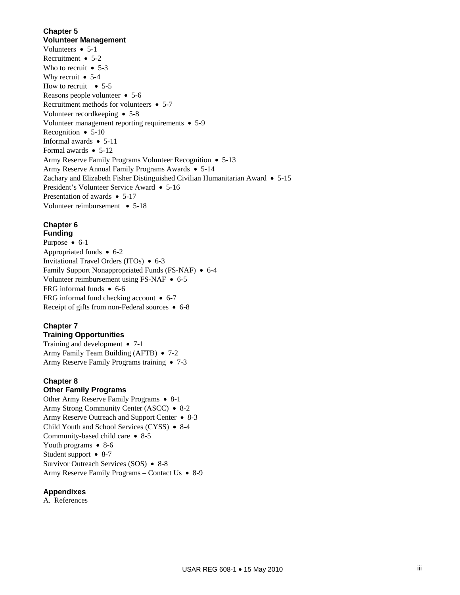# **Chapter 5**

**Volunteer Management**  Volunteers  $\bullet$  5-1 Recruitment • 5-2 Who to recruit  $\bullet$  5-3 Why recruit  $\bullet$  5-4 How to recruit  $\bullet$  5-5 Reasons people volunteer • 5-6 Recruitment methods for volunteers  $\bullet$  5-7 Volunteer recordkeeping • 5-8 Volunteer management reporting requirements • 5-9 Recognition  $\bullet$  5-10 Informal awards  $\bullet$  5-11 Formal awards • 5-12 Army Reserve Family Programs Volunteer Recognition • 5-13 Army Reserve Annual Family Programs Awards • 5-14 Zachary and Elizabeth Fisher Distinguished Civilian Humanitarian Award 5-15 President's Volunteer Service Award • 5-16 Presentation of awards • 5-17 Volunteer reimbursement • 5-18

# **Chapter 6**

**Funding**  Purpose • 6-1 Appropriated funds  $\bullet$  6-2 Invitational Travel Orders (ITOs) 6-3 Family Support Nonappropriated Funds (FS-NAF) • 6-4 Volunteer reimbursement using FS-NAF  $\bullet$  6-5 FRG informal funds • 6-6 FRG informal fund checking account  $\bullet$  6-7 Receipt of gifts from non-Federal sources  $\bullet$  6-8

# **Chapter 7**

# **Training Opportunities**

Training and development  $\bullet$  7-1 Army Family Team Building (AFTB)  $\bullet$  7-2 Army Reserve Family Programs training • 7-3

# **Chapter 8**

# **Other Family Programs**

Other Army Reserve Family Programs • 8-1 Army Strong Community Center (ASCC) • 8-2 Army Reserve Outreach and Support Center • 8-3 Child Youth and School Services (CYSS) • 8-4 Community-based child care  $\bullet$  8-5 Youth programs  $\bullet$  8-6 Student support • 8-7 Survivor Outreach Services (SOS) • 8-8 Army Reserve Family Programs – Contact Us • 8-9

# **Appendixes**

A. References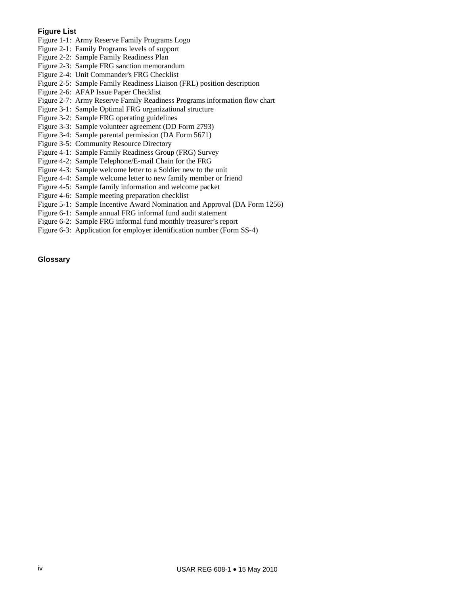#### **Figure List**

- Figure 1-1: Army Reserve Family Programs Logo
- Figure 2-1: Family Programs levels of support
- Figure 2-2: Sample Family Readiness Plan
- Figure 2-3: Sample FRG sanction memorandum
- Figure 2-4: Unit Commander's FRG Checklist
- Figure 2-5: Sample Family Readiness Liaison (FRL) position description
- Figure 2-6: AFAP Issue Paper Checklist
- Figure 2-7: Army Reserve Family Readiness Programs information flow chart
- Figure 3-1: Sample Optimal FRG organizational structure
- Figure 3-2: Sample FRG operating guidelines
- Figure 3-3: Sample volunteer agreement (DD Form 2793)
- Figure 3-4: Sample parental permission (DA Form 5671)
- Figure 3-5: Community Resource Directory
- Figure 4-1: Sample Family Readiness Group (FRG) Survey
- Figure 4-2: Sample Telephone/E-mail Chain for the FRG
- Figure 4-3: Sample welcome letter to a Soldier new to the unit
- Figure 4-4: Sample welcome letter to new family member or friend
- Figure 4-5: Sample family information and welcome packet
- Figure 4-6: Sample meeting preparation checklist
- Figure 5-1: Sample Incentive Award Nomination and Approval (DA Form 1256)
- Figure 6-1: Sample annual FRG informal fund audit statement
- Figure 6-2: Sample FRG informal fund monthly treasurer's report
- Figure 6-3: Application for employer identification number (Form SS-4)

# **Glossary**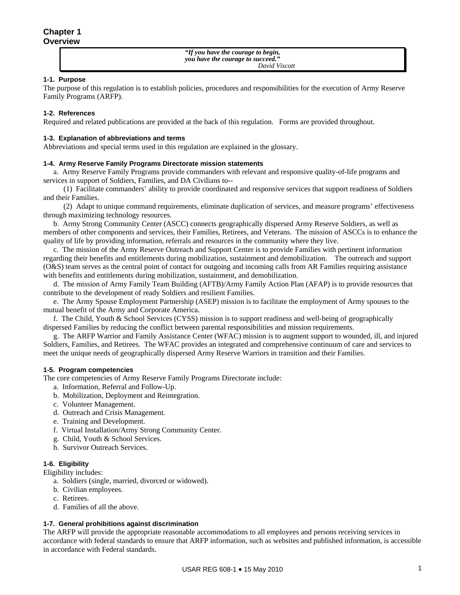*"If you have the courage to begin, you have the courage to succeed." David Viscott*

#### **1-1. Purpose**

The purpose of this regulation is to establish policies, procedures and responsibilities for the execution of Army Reserve Family Programs (ARFP).

#### **1-2. References**

Required and related publications are provided at the back of this regulation. Forms are provided throughout.

#### **1-3. Explanation of abbreviations and terms**

Abbreviations and special terms used in this regulation are explained in the glossary.

#### **1-4. Army Reserve Family Programs Directorate mission statements**

 a. Army Reserve Family Programs provide commanders with relevant and responsive quality-of-life programs and services in support of Soldiers, Families, and DA Civilians to--

 (1) Facilitate commanders' ability to provide coordinated and responsive services that support readiness of Soldiers and their Families.

 (2) Adapt to unique command requirements, eliminate duplication of services, and measure programs' effectiveness through maximizing technology resources.

 b. Army Strong Community Center (ASCC) connects geographically dispersed Army Reserve Soldiers, as well as members of other components and services, their Families, Retirees, and Veterans. The mission of ASCCs is to enhance the quality of life by providing information, referrals and resources in the community where they live.

 c. The mission of the Army Reserve Outreach and Support Center is to provide Families with pertinent information regarding their benefits and entitlements during mobilization, sustainment and demobilization. The outreach and support (O&S) team serves as the central point of contact for outgoing and incoming calls from AR Families requiring assistance with benefits and entitlements during mobilization, sustainment, and demobilization.

 d. The mission of Army Family Team Building (AFTB)/Army Family Action Plan (AFAP) is to provide resources that contribute to the development of ready Soldiers and resilient Families.

 e. The Army Spouse Employment Partnership (ASEP) mission is to facilitate the employment of Army spouses to the mutual benefit of the Army and Corporate America.

 f. The Child, Youth & School Services (CYSS) mission is to support readiness and well-being of geographically dispersed Families by reducing the conflict between parental responsibilities and mission requirements.

 g. The ARFP Warrior and Family Assistance Center (WFAC) mission is to augment support to wounded, ill, and injured Soldiers, Families, and Retirees. The WFAC provides an integrated and comprehensive continuum of care and services to meet the unique needs of geographically dispersed Army Reserve Warriors in transition and their Families.

#### **1-5. Program competencies**

The core competencies of Army Reserve Family Programs Directorate include:

- a. Information, Referral and Follow-Up.
- b. Mobilization, Deployment and Reintegration.
- c. Volunteer Management.
- d. Outreach and Crisis Management.
- e. Training and Development.
- f. Virtual Installation/Army Strong Community Center.
- g. Child, Youth & School Services.
- h. Survivor Outreach Services.

#### **1-6. Eligibility**

Eligibility includes:

- a. Soldiers (single, married, divorced or widowed).
- b. Civilian employees.
- c. Retirees.
- d. Families of all the above.

#### **1-7. General prohibitions against discrimination**

The ARFP will provide the appropriate reasonable accommodations to all employees and persons receiving services in accordance with federal standards to ensure that ARFP information, such as websites and published information, is accessible in accordance with Federal standards.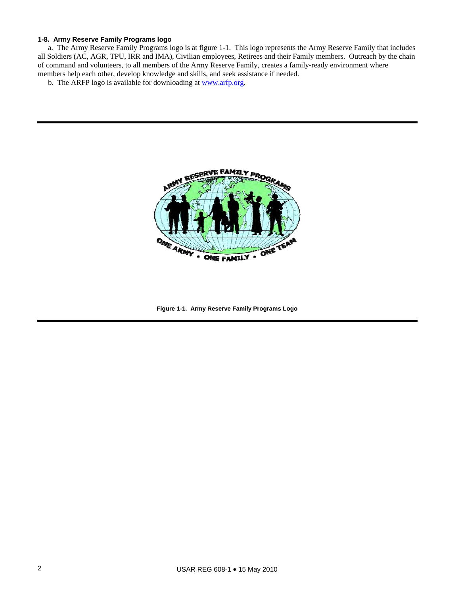#### **1-8. Army Reserve Family Programs logo**

 a. The Army Reserve Family Programs logo is at figure 1-1. This logo represents the Army Reserve Family that includes all Soldiers (AC, AGR, TPU, IRR and IMA), Civilian employees, Retirees and their Family members. Outreach by the chain of command and volunteers, to all members of the Army Reserve Family, creates a family-ready environment where members help each other, develop knowledge and skills, and seek assistance if needed.

b. The ARFP logo is available for downloading at [www.arfp.org.](http://www.arfp.org/)



**Figure 1-1. Army Reserve Family Programs Logo**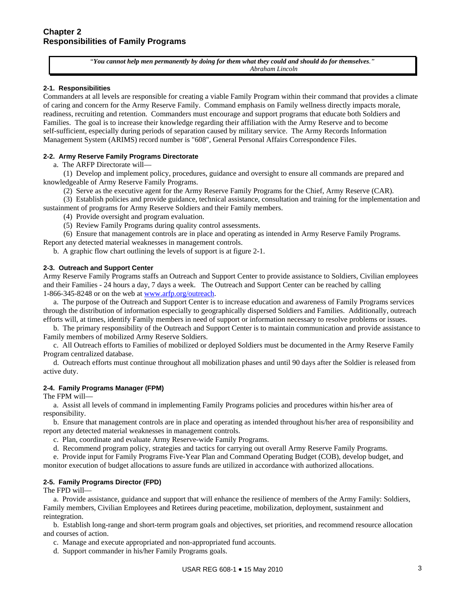"*You cannot help men permanently by doing for them what they could and should do for themselves." Abraham Lincoln*

#### **2-1. Responsibilities**

Commanders at all levels are responsible for creating a viable Family Program within their command that provides a climate of caring and concern for the Army Reserve Family. Command emphasis on Family wellness directly impacts morale, readiness, recruiting and retention. Commanders must encourage and support programs that educate both Soldiers and Families. The goal is to increase their knowledge regarding their affiliation with the Army Reserve and to become self-sufficient, especially during periods of separation caused by military service. The Army Records Information Management System (ARIMS) record number is "608", General Personal Affairs Correspondence Files.

#### **2-2. Army Reserve Family Programs Directorate**

a. The ARFP Directorate will—

 (1) Develop and implement policy, procedures, guidance and oversight to ensure all commands are prepared and knowledgeable of Army Reserve Family Programs.

(2) Serve as the executive agent for the Army Reserve Family Programs for the Chief, Army Reserve (CAR).

 (3) Establish policies and provide guidance, technical assistance, consultation and training for the implementation and sustainment of programs for Army Reserve Soldiers and their Family members.

(4) Provide oversight and program evaluation.

(5) Review Family Programs during quality control assessments.

 (6) Ensure that management controls are in place and operating as intended in Army Reserve Family Programs. Report any detected material weaknesses in management controls.

b. A graphic flow chart outlining the levels of support is at figure 2-1.

#### **2-3. Outreach and Support Center**

Army Reserve Family Programs staffs an Outreach and Support Center to provide assistance to Soldiers, Civilian employees and their Families - 24 hours a day, 7 days a week. The Outreach and Support Center can be reached by calling 1-866-345-8248 or on the web at [www.arfp.org/outreach](http://www.arfp.org/outreach).

a. The purpose of the Outreach and Support Center is to increase education and awareness of Family Programs services through the distribution of information especially to geographically dispersed Soldiers and Families. Additionally, outreach efforts will, at times, identify Family members in need of support or information necessary to resolve problems or issues.

 b. The primary responsibility of the Outreach and Support Center is to maintain communication and provide assistance to Family members of mobilized Army Reserve Soldiers.

 c. All Outreach efforts to Families of mobilized or deployed Soldiers must be documented in the Army Reserve Family Program centralized database.

 d. Outreach efforts must continue throughout all mobilization phases and until 90 days after the Soldier is released from active duty.

#### **2-4. Family Programs Manager (FPM)**

The FPM will—

 a. Assist all levels of command in implementing Family Programs policies and procedures within his/her area of responsibility.

 b. Ensure that management controls are in place and operating as intended throughout his/her area of responsibility and report any detected material weaknesses in management controls.

c. Plan, coordinate and evaluate Army Reserve-wide Family Programs.

d. Recommend program policy, strategies and tactics for carrying out overall Army Reserve Family Programs.

 e. Provide input for Family Programs Five-Year Plan and Command Operating Budget (COB), develop budget, and monitor execution of budget allocations to assure funds are utilized in accordance with authorized allocations.

#### **2-5. Family Programs Director (FPD)**

The FPD will—

 a. Provide assistance, guidance and support that will enhance the resilience of members of the Army Family: Soldiers, Family members, Civilian Employees and Retirees during peacetime, mobilization, deployment, sustainment and reintegration.

 b. Establish long-range and short-term program goals and objectives, set priorities, and recommend resource allocation and courses of action.

c. Manage and execute appropriated and non-appropriated fund accounts.

d. Support commander in his/her Family Programs goals.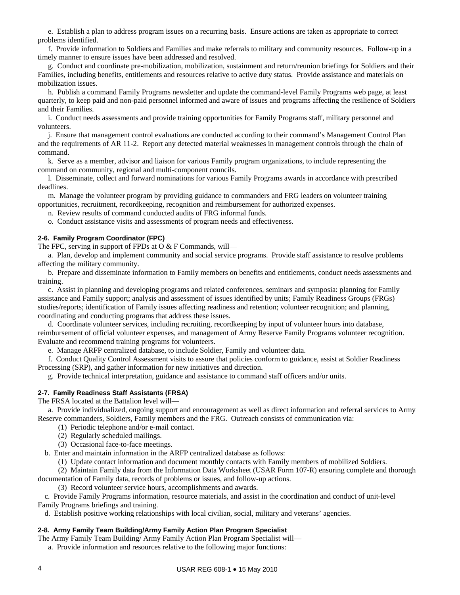e. Establish a plan to address program issues on a recurring basis. Ensure actions are taken as appropriate to correct problems identified.

 f. Provide information to Soldiers and Families and make referrals to military and community resources. Follow-up in a timely manner to ensure issues have been addressed and resolved.

 g. Conduct and coordinate pre-mobilization, mobilization, sustainment and return/reunion briefings for Soldiers and their Families, including benefits, entitlements and resources relative to active duty status. Provide assistance and materials on mobilization issues.

 h. Publish a command Family Programs newsletter and update the command-level Family Programs web page, at least quarterly, to keep paid and non-paid personnel informed and aware of issues and programs affecting the resilience of Soldiers and their Families.

 i. Conduct needs assessments and provide training opportunities for Family Programs staff, military personnel and volunteers.

 j. Ensure that management control evaluations are conducted according to their command's Management Control Plan and the requirements of AR 11-2. Report any detected material weaknesses in management controls through the chain of command.

 k. Serve as a member, advisor and liaison for various Family program organizations, to include representing the command on community, regional and multi-component councils.

 l. Disseminate, collect and forward nominations for various Family Programs awards in accordance with prescribed deadlines.

 m. Manage the volunteer program by providing guidance to commanders and FRG leaders on volunteer training opportunities, recruitment, recordkeeping, recognition and reimbursement for authorized expenses.

n. Review results of command conducted audits of FRG informal funds.

o. Conduct assistance visits and assessments of program needs and effectiveness.

#### **2-6. Family Program Coordinator (FPC)**

The FPC, serving in support of FPDs at O & F Commands, will-

 a. Plan, develop and implement community and social service programs. Provide staff assistance to resolve problems affecting the military community.

b. Prepare and disseminate information to Family members on benefits and entitlements, conduct needs assessments and training.

 c. Assist in planning and developing programs and related conferences, seminars and symposia: planning for Family assistance and Family support; analysis and assessment of issues identified by units; Family Readiness Groups (FRGs) studies/reports; identification of Family issues affecting readiness and retention; volunteer recognition; and planning, coordinating and conducting programs that address these issues.

 d. Coordinate volunteer services, including recruiting, recordkeeping by input of volunteer hours into database, reimbursement of official volunteer expenses, and management of Army Reserve Family Programs volunteer recognition. Evaluate and recommend training programs for volunteers.

e. Manage ARFP centralized database, to include Soldier, Family and volunteer data.

 f. Conduct Quality Control Assessment visits to assure that policies conform to guidance, assist at Soldier Readiness Processing (SRP), and gather information for new initiatives and direction.

g. Provide technical interpretation, guidance and assistance to command staff officers and/or units.

#### **2-7. Family Readiness Staff Assistants (FRSA)**

The FRSA located at the Battalion level will—

 a. Provide individualized, ongoing support and encouragement as well as direct information and referral services to Army Reserve commanders, Soldiers, Family members and the FRG. Outreach consists of communication via:

- (1) Periodic telephone and/or e-mail contact.
- (2) Regularly scheduled mailings.
- (3) Occasional face-to-face meetings.

b. Enter and maintain information in the ARFP centralized database as follows:

(1) Update contact information and document monthly contacts with Family members of mobilized Soldiers.

 (2) Maintain Family data from the Information Data Worksheet (USAR Form 107-R) ensuring complete and thorough documentation of Family data, records of problems or issues, and follow-up actions.

(3) Record volunteer service hours, accomplishments and awards.

 c. Provide Family Programs information, resource materials, and assist in the coordination and conduct of unit-level Family Programs briefings and training.

d. Establish positive working relationships with local civilian, social, military and veterans' agencies.

#### **2-8. Army Family Team Building/Army Family Action Plan Program Specialist**

The Army Family Team Building/ Army Family Action Plan Program Specialist will—

a. Provide information and resources relative to the following major functions: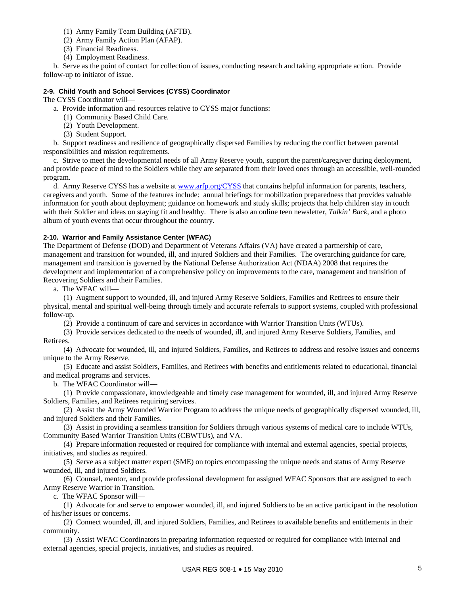- (1) Army Family Team Building (AFTB).
- (2) Army Family Action Plan (AFAP).
- (3) Financial Readiness.
- (4) Employment Readiness.

 b. Serve as the point of contact for collection of issues, conducting research and taking appropriate action. Provide follow-up to initiator of issue.

#### **2-9. Child Youth and School Services (CYSS) Coordinator**

The CYSS Coordinator will—

- a. Provide information and resources relative to CYSS major functions:
	- (1) Community Based Child Care.
	- (2) Youth Development.
	- (3) Student Support.

 b. Support readiness and resilience of geographically dispersed Families by reducing the conflict between parental responsibilities and mission requirements.

 c. Strive to meet the developmental needs of all Army Reserve youth, support the parent/caregiver during deployment, and provide peace of mind to the Soldiers while they are separated from their loved ones through an accessible, well-rounded program.

 d. Army Reserve CYSS has a website at [www.arfp.org/CYSS](http://www.arfp.org/cys) that contains helpful information for parents, teachers, caregivers and youth. Some of the features include: annual briefings for mobilization preparedness that provides valuable information for youth about deployment; guidance on homework and study skills; projects that help children stay in touch with their Soldier and ideas on staying fit and healthy. There is also an online teen newsletter, *Talkin' Back*, and a photo album of youth events that occur throughout the country.

#### **2-10. Warrior and Family Assistance Center (WFAC)**

The Department of Defense (DOD) and Department of Veterans Affairs (VA) have created a partnership of care, management and transition for wounded, ill, and injured Soldiers and their Families. The overarching guidance for care, management and transition is governed by the National Defense Authorization Act (NDAA) 2008 that requires the development and implementation of a comprehensive policy on improvements to the care, management and transition of Recovering Soldiers and their Families.

a. The WFAC will—

 (1) Augment support to wounded, ill, and injured Army Reserve Soldiers, Families and Retirees to ensure their physical, mental and spiritual well-being through timely and accurate referrals to support systems, coupled with professional follow-up.

(2) Provide a continuum of care and services in accordance with Warrior Transition Units (WTUs).

 (3) Provide services dedicated to the needs of wounded, ill, and injured Army Reserve Soldiers, Families, and Retirees.

 (4) Advocate for wounded, ill, and injured Soldiers, Families, and Retirees to address and resolve issues and concerns unique to the Army Reserve.

 (5) Educate and assist Soldiers, Families, and Retirees with benefits and entitlements related to educational, financial and medical programs and services.

b. The WFAC Coordinator will—

 (1) Provide compassionate, knowledgeable and timely case management for wounded, ill, and injured Army Reserve Soldiers, Families, and Retirees requiring services.

 (2) Assist the Army Wounded Warrior Program to address the unique needs of geographically dispersed wounded, ill, and injured Soldiers and their Families.

 (3) Assist in providing a seamless transition for Soldiers through various systems of medical care to include WTUs, Community Based Warrior Transition Units (CBWTUs), and VA.

 (4) Prepare information requested or required for compliance with internal and external agencies, special projects, initiatives, and studies as required.

 (5) Serve as a subject matter expert (SME) on topics encompassing the unique needs and status of Army Reserve wounded, ill, and injured Soldiers.

 (6) Counsel, mentor, and provide professional development for assigned WFAC Sponsors that are assigned to each Army Reserve Warrior in Transition.

c. The WFAC Sponsor will—

 (1) Advocate for and serve to empower wounded, ill, and injured Soldiers to be an active participant in the resolution of his/her issues or concerns.

 (2) Connect wounded, ill, and injured Soldiers, Families, and Retirees to available benefits and entitlements in their community.

 (3) Assist WFAC Coordinators in preparing information requested or required for compliance with internal and external agencies, special projects, initiatives, and studies as required.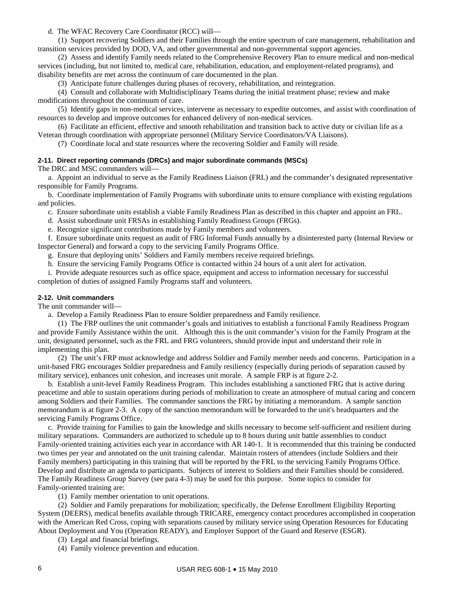d. The WFAC Recovery Care Coordinator (RCC) will—

 (1) Support recovering Soldiers and their Families through the entire spectrum of care management, rehabilitation and transition services provided by DOD, VA, and other governmental and non-governmental support agencies.

 (2) Assess and identify Family needs related to the Comprehensive Recovery Plan to ensure medical and non-medical services (including, but not limited to, medical care, rehabilitation, education, and employment-related programs), and disability benefits are met across the continuum of care documented in the plan.

(3) Anticipate future challenges during phases of recovery, rehabilitation, and reintegration.

 (4) Consult and collaborate with Multidisciplinary Teams during the initial treatment phase; review and make modifications throughout the continuum of care.

 (5) Identify gaps in non-medical services, intervene as necessary to expedite outcomes, and assist with coordination of resources to develop and improve outcomes for enhanced delivery of non-medical services.

 (6) Facilitate an efficient, effective and smooth rehabilitation and transition back to active duty or civilian life as a Veteran through coordination with appropriate personnel (Military Service Coordinators/VA Liaisons).

(7) Coordinate local and state resources where the recovering Soldier and Family will reside.

#### **2-11. Direct reporting commands (DRCs) and major subordinate commands (MSCs)**

The DRC and MSC commanders will—

 a. Appoint an individual to serve as the Family Readiness Liaison (FRL) and the commander's designated representative responsible for Family Programs.

 b. Coordinate implementation of Family Programs with subordinate units to ensure compliance with existing regulations and policies.

c. Ensure subordinate units establish a viable Family Readiness Plan as described in this chapter and appoint an FRL.

d. Assist subordinate unit FRSAs in establishing Family Readiness Groups (FRGs).

e. Recognize significant contributions made by Family members and volunteers.

 f. Ensure subordinate units request an audit of FRG Informal Funds annually by a disinterested party (Internal Review or Inspector General) and forward a copy to the servicing Family Programs Office.

g. Ensure that deploying units' Soldiers and Family members receive required briefings.

h. Ensure the servicing Family Programs Office is contacted within 24 hours of a unit alert for activation.

 i. Provide adequate resources such as office space, equipment and access to information necessary for successful completion of duties of assigned Family Programs staff and volunteers.

#### **2-12. Unit commanders**

The unit commander will—

a. Develop a Family Readiness Plan to ensure Soldier preparedness and Family resilience.

 (1) The FRP outlines the unit commander's goals and initiatives to establish a functional Family Readiness Program and provide Family Assistance within the unit. Although this is the unit commander's vision for the Family Program at the unit, designated personnel, such as the FRL and FRG volunteers, should provide input and understand their role in implementing this plan.

 (2) The unit's FRP must acknowledge and address Soldier and Family member needs and concerns. Participation in a unit-based FRG encourages Soldier preparedness and Family resiliency (especially during periods of separation caused by military service), enhances unit cohesion, and increases unit morale. A sample FRP is at figure 2-2.

 b. Establish a unit-level Family Readiness Program. This includes establishing a sanctioned FRG that is active during peacetime and able to sustain operations during periods of mobilization to create an atmosphere of mutual caring and concern among Soldiers and their Families. The commander sanctions the FRG by initiating a memorandum. A sample sanction memorandum is at figure 2-3. A copy of the sanction memorandum will be forwarded to the unit's headquarters and the servicing Family Programs Office.

 c. Provide training for Families to gain the knowledge and skills necessary to become self-sufficient and resilient during military separations. Commanders are authorized to schedule up to 8 hours during unit battle assemblies to conduct Family-oriented training activities each year in accordance with AR 140-1. It is recommended that this training be conducted two times per year and annotated on the unit training calendar. Maintain rosters of attendees (include Soldiers and their Family members) participating in this training that will be reported by the FRL to the servicing Family Programs Office. Develop and distribute an agenda to participants. Subjects of interest to Soldiers and their Families should be considered. The Family Readiness Group Survey (see para 4-3) may be used for this purpose. Some topics to consider for Family-oriented training are:

(1) Family member orientation to unit operations.

 (2) Soldier and Family preparations for mobilization; specifically, the Defense Enrollment Eligibility Reporting System (DEERS), medical benefits available through TRICARE, emergency contact procedures accomplished in cooperation with the American Red Cross, coping with separations caused by military service using Operation Resources for Educating About Deployment and You (Operation READY), and Employer Support of the Guard and Reserve (ESGR).

(3) Legal and financial briefings.

(4) Family violence prevention and education.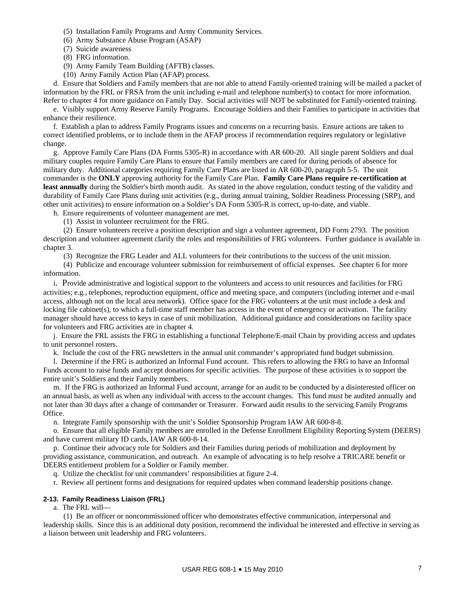- (5) Installation Family Programs and Army Community Services.
- (6) Army Substance Abuse Program (ASAP)
- (7) Suicide awareness
- (8) FRG information.
- (9) Army Family Team Building (AFTB) classes.
- (10) Army Family Action Plan (AFAP) process.

 d. Ensure that Soldiers and Family members that are not able to attend Family-oriented training will be mailed a packet of information by the FRL or FRSA from the unit including e-mail and telephone number(s) to contact for more information. Refer to chapter 4 for more guidance on Family Day. Social activities will NOT be substituted for Family-oriented training.

 e. Visibly support Army Reserve Family Programs. Encourage Soldiers and their Families to participate in activities that enhance their resilience.

 f. Establish a plan to address Family Programs issues and concerns on a recurring basis. Ensure actions are taken to correct identified problems, or to include them in the AFAP process if recommendation requires regulatory or legislative change.

 g. Approve Family Care Plans (DA Forms 5305-R) in accordance with AR 600-20. All single parent Soldiers and dual military couples require Family Care Plans to ensure that Family members are cared for during periods of absence for military duty. Additional categories requiring Family Care Plans are listed in AR 600-20, paragraph 5-5. The unit commander is the **ONLY** approving authority for the Family Care Plan. **Family Care Plans require re-certification at least annually** during the Soldier's birth month audit. As stated in the above regulation, conduct testing of the validity and durability of Family Care Plans during unit activities (e.g., during annual training, Soldier Readiness Processing (SRP), and other unit activities) to ensure information on a Soldier's DA Form 5305-R is correct, up-to-date, and viable.

h. Ensure requirements of volunteer management are met.

(1) Assist in volunteer recruitment for the FRG.

 (2) Ensure volunteers receive a position description and sign a volunteer agreement, DD Form 2793. The position description and volunteer agreement clarify the roles and responsibilities of FRG volunteers. Further guidance is available in chapter 3.

(3) Recognize the FRG Leader and ALL volunteers for their contributions to the success of the unit mission.

 (4) Publicize and encourage volunteer submission for reimbursement of official expenses. See chapter 6 for more information.

i. Provide administrative and logistical support to the volunteers and access to unit resources and facilities for FRG activities; e.g., telephones, reproduction equipment, office and meeting space, and computers (including internet and e-mail access, although not on the local area network). Office space for the FRG volunteers at the unit must include a desk and locking file cabinet(s), to which a full-time staff member has access in the event of emergency or activation. The facility manager should have access to keys in case of unit mobilization. Additional guidance and considerations on facility space for volunteers and FRG activities are in chapter 4.

 j. Ensure the FRL assists the FRG in establishing a functional Telephone/E-mail Chain by providing access and updates to unit personnel rosters.

k. Include the cost of the FRG newsletters in the annual unit commander's appropriated fund budget submission.

 l. Determine if the FRG is authorized an Informal Fund account. This refers to allowing the FRG to have an Informal Funds account to raise funds and accept donations for specific activities. The purpose of these activities is to support the entire unit's Soldiers and their Family members.

 m. If the FRG is authorized an Informal Fund account, arrange for an audit to be conducted by a disinterested officer on an annual basis, as well as when any individual with access to the account changes. This fund must be audited annually and not later than 30 days after a change of commander or Treasurer. Forward audit results to the servicing Family Programs Office.

n. Integrate Family sponsorship with the unit's Soldier Sponsorship Program IAW AR 600-8-8.

 o. Ensure that all eligible Family members are enrolled in the Defense Enrollment Eligibility Reporting System (DEERS) and have current military ID cards, IAW AR 600-8-14.

 p. Continue their advocacy role for Soldiers and their Families during periods of mobilization and deployment by providing assistance, communication, and outreach. An example of advocating is to help resolve a TRICARE benefit or DEERS entitlement problem for a Soldier or Family member.

q. Utilize the checklist for unit commanders' responsibilities at figure 2-4.

r. Review all pertinent forms and designations for required updates when command leadership positions change.

#### **2-13. Family Readiness Liaison (FRL)**

a. The FRL will—

 (1) Be an officer or noncommissioned officer who demonstrates effective communication, interpersonal and leadership skills. Since this is an additional duty position, recommend the individual be interested and effective in serving as a liaison between unit leadership and FRG volunteers.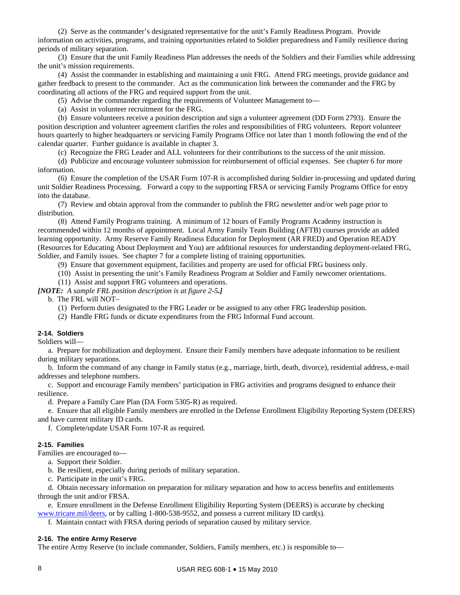(2) Serve as the commander's designated representative for the unit's Family Readiness Program. Provide information on activities, programs, and training opportunities related to Soldier preparedness and Family resilience during periods of military separation.

 (3) Ensure that the unit Family Readiness Plan addresses the needs of the Soldiers and their Families while addressing the unit's mission requirements.

 (4) Assist the commander in establishing and maintaining a unit FRG. Attend FRG meetings, provide guidance and gather feedback to present to the commander. Act as the communication link between the commander and the FRG by coordinating all actions of the FRG and required support from the unit.

(5) Advise the commander regarding the requirements of Volunteer Management to—

(a) Assist in volunteer recruitment for the FRG.

 (b) Ensure volunteers receive a position description and sign a volunteer agreement (DD Form 2793). Ensure the position description and volunteer agreement clarifies the roles and responsibilities of FRG volunteers. Report volunteer hours quarterly to higher headquarters or servicing Family Programs Office not later than 1 month following the end of the calendar quarter. Further guidance is available in chapter 3.

(c) Recognize the FRG Leader and ALL volunteers for their contributions to the success of the unit mission.

 (d) Publicize and encourage volunteer submission for reimbursement of official expenses. See chapter 6 for more information.

 (6) Ensure the completion of the USAR Form 107-R is accomplished during Soldier in-processing and updated during unit Soldier Readiness Processing. Forward a copy to the supporting FRSA or servicing Family Programs Office for entry into the database.

 (7) Review and obtain approval from the commander to publish the FRG newsletter and/or web page prior to distribution.

 (8) Attend Family Programs training. A minimum of 12 hours of Family Programs Academy instruction is recommended within 12 months of appointment. Local Army Family Team Building (AFTB) courses provide an added learning opportunity. Army Reserve Family Readiness Education for Deployment (AR FRED) and Operation READY (Resources for Educating About Deployment and You) are additional resources for understanding deployment-related FRG, Soldier, and Family issues. See chapter 7 for a complete listing of training opportunities.

(9) Ensure that government equipment, facilities and property are used for official FRG business only.

(10) Assist in presenting the unit's Family Readiness Program at Soldier and Family newcomer orientations.

(11) Assist and support FRG volunteers and operations.

*[NOTE: A sample FRL position description is at figure 2-5.]* 

b. The FRL will NOT–

- (1) Perform duties designated to the FRG Leader or be assigned to any other FRG leadership position.
- (2) Handle FRG funds or dictate expenditures from the FRG Informal Fund account.

#### **2-14. Soldiers**

Soldiers will—

 a. Prepare for mobilization and deployment. Ensure their Family members have adequate information to be resilient during military separations.

 b. Inform the command of any change in Family status (e.g., marriage, birth, death, divorce), residential address, e-mail addresses and telephone numbers.

 c. Support and encourage Family members' participation in FRG activities and programs designed to enhance their resilience.

d. Prepare a Family Care Plan (DA Form 5305-R) as required.

 e. Ensure that all eligible Family members are enrolled in the Defense Enrollment Eligibility Reporting System (DEERS) and have current military ID cards.

f. Complete/update USAR Form 107-R as required.

#### **2-15. Families**

Families are encouraged to—

- a. Support their Soldier.
- b. Be resilient, especially during periods of military separation.
- c. Participate in the unit's FRG.

 d. Obtain necessary information on preparation for military separation and how to access benefits and entitlements through the unit and/or FRSA.

 e. Ensure enrollment in the Defense Enrollment Eligibility Reporting System (DEERS) is accurate by checking [www.tricare.mil/deers,](http://www.tricare.mil/deers) or by calling 1-800-538-9552, and possess a current military ID card(s).

f. Maintain contact with FRSA during periods of separation caused by military service.

#### **2-16. The entire Army Reserve**

The entire Army Reserve (to include commander, Soldiers, Family members, etc.) is responsible to—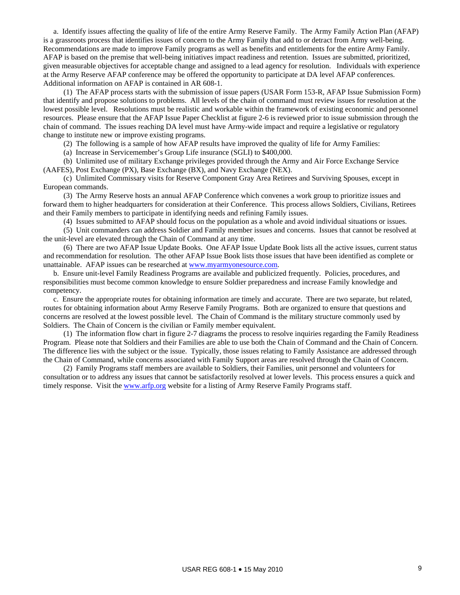a. Identify issues affecting the quality of life of the entire Army Reserve Family. The Army Family Action Plan (AFAP) is a grassroots process that identifies issues of concern to the Army Family that add to or detract from Army well-being. Recommendations are made to improve Family programs as well as benefits and entitlements for the entire Army Family. AFAP is based on the premise that well-being initiatives impact readiness and retention. Issues are submitted, prioritized, given measurable objectives for acceptable change and assigned to a lead agency for resolution. Individuals with experience at the Army Reserve AFAP conference may be offered the opportunity to participate at DA level AFAP conferences. Additional information on AFAP is contained in AR 608-1.

 (1) The AFAP process starts with the submission of issue papers (USAR Form 153-R, AFAP Issue Submission Form) that identify and propose solutions to problems. All levels of the chain of command must review issues for resolution at the lowest possible level. Resolutions must be realistic and workable within the framework of existing economic and personnel resources. Please ensure that the AFAP Issue Paper Checklist at figure 2-6 is reviewed prior to issue submission through the chain of command. The issues reaching DA level must have Army-wide impact and require a legislative or regulatory change to institute new or improve existing programs.

(2) The following is a sample of how AFAP results have improved the quality of life for Army Families:

(a) Increase in Servicemember's Group Life insurance (SGLI) to \$400,000.

 (b) Unlimited use of military Exchange privileges provided through the Army and Air Force Exchange Service (AAFES), Post Exchange (PX), Base Exchange (BX), and Navy Exchange (NEX).

 (c) Unlimited Commissary visits for Reserve Component Gray Area Retirees and Surviving Spouses, except in European commands.

 (3) The Army Reserve hosts an annual AFAP Conference which convenes a work group to prioritize issues and forward them to higher headquarters for consideration at their Conference. This process allows Soldiers, Civilians, Retirees and their Family members to participate in identifying needs and refining Family issues.

(4) Issues submitted to AFAP should focus on the population as a whole and avoid individual situations or issues.

 (5) Unit commanders can address Soldier and Family member issues and concerns. Issues that cannot be resolved at the unit-level are elevated through the Chain of Command at any time.

 (6) There are two AFAP Issue Update Books. One AFAP Issue Update Book lists all the active issues, current status and recommendation for resolution. The other AFAP Issue Book lists those issues that have been identified as complete or unattainable. AFAP issues can be researched at [www.myarmyonesource.com.](http://www.myarmyonesource.com/)

 b. Ensure unit-level Family Readiness Programs are available and publicized frequently. Policies, procedures, and responsibilities must become common knowledge to ensure Soldier preparedness and increase Family knowledge and competency.

 c. Ensure the appropriate routes for obtaining information are timely and accurate. There are two separate, but related, routes for obtaining information about Army Reserve Family Programs. Both are organized to ensure that questions and concerns are resolved at the lowest possible level. The Chain of Command is the military structure commonly used by Soldiers. The Chain of Concern is the civilian or Family member equivalent.

 (1) The information flow chart in figure 2-7 diagrams the process to resolve inquiries regarding the Family Readiness Program. Please note that Soldiers and their Families are able to use both the Chain of Command and the Chain of Concern. The difference lies with the subject or the issue. Typically, those issues relating to Family Assistance are addressed through the Chain of Command, while concerns associated with Family Support areas are resolved through the Chain of Concern.

 (2) Family Programs staff members are available to Soldiers, their Families, unit personnel and volunteers for consultation or to address any issues that cannot be satisfactorily resolved at lower levels. This process ensures a quick and timely response. Visit the [www.arfp.org](http://www.arfp.org/) website for a listing of Army Reserve Family Programs staff.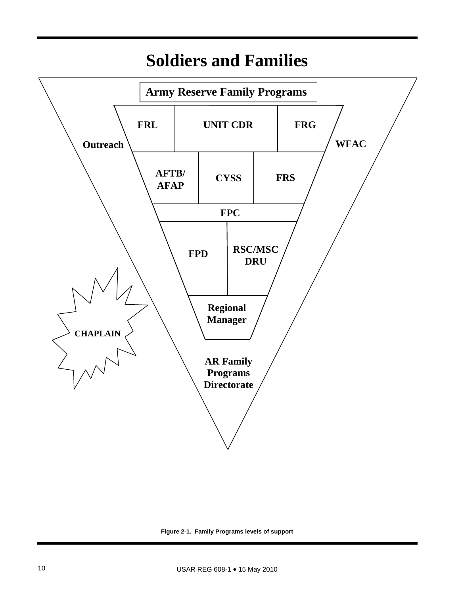

# **Soldiers and Families**

**Figure 2-1. Family Programs levels of support**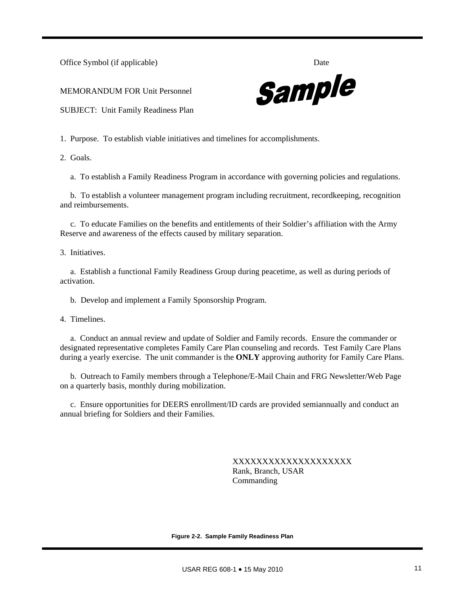Office Symbol (if applicable) Date

MEMORANDUM FOR Unit Personnel



SUBJECT: Unit Family Readiness Plan

1. Purpose. To establish viable initiatives and timelines for accomplishments.

2. Goals.

a. To establish a Family Readiness Program in accordance with governing policies and regulations.

 b. To establish a volunteer management program including recruitment, recordkeeping, recognition and reimbursements.

 c. To educate Families on the benefits and entitlements of their Soldier's affiliation with the Army Reserve and awareness of the effects caused by military separation.

3. Initiatives.

 a. Establish a functional Family Readiness Group during peacetime, as well as during periods of activation.

b. Develop and implement a Family Sponsorship Program.

4. Timelines.

 a. Conduct an annual review and update of Soldier and Family records. Ensure the commander or designated representative completes Family Care Plan counseling and records. Test Family Care Plans during a yearly exercise. The unit commander is the **ONLY** approving authority for Family Care Plans.

 b. Outreach to Family members through a Telephone/E-Mail Chain and FRG Newsletter/Web Page on a quarterly basis, monthly during mobilization.

 c. Ensure opportunities for DEERS enrollment/ID cards are provided semiannually and conduct an annual briefing for Soldiers and their Families.

> XXXXXXXXXXXXXXXXXXXX Rank, Branch, USAR Commanding

**Figure 2-2. Sample Family Readiness Plan**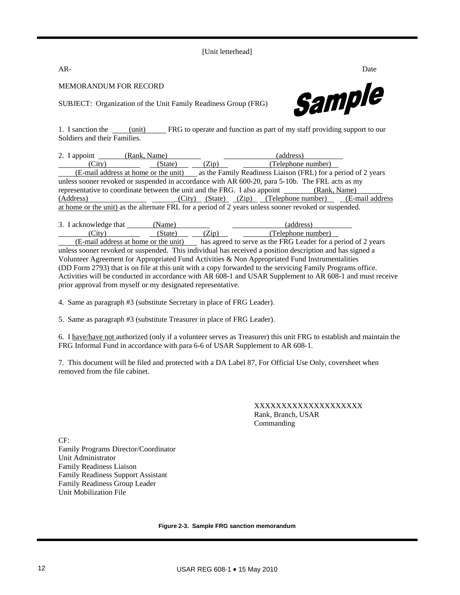[Unit letterhead]

**AR-** Date

MEMORANDUM FOR RECORD

Sample

SUBJECT: Organization of the Unit Family Readiness Group (FRG)

1. I sanction the (unit) FRG to operate and function as part of my staff providing support to our Soldiers and their Families.

|                                                                                                       | 2. I appoint (Rank, Name)                                                                          |       |  | (address)          |  |  |
|-------------------------------------------------------------------------------------------------------|----------------------------------------------------------------------------------------------------|-------|--|--------------------|--|--|
| (City)                                                                                                | (State)                                                                                            | (Zip) |  | (Telephone number) |  |  |
|                                                                                                       | (E-mail address at home or the unit) as the Family Readiness Liaison (FRL) for a period of 2 years |       |  |                    |  |  |
|                                                                                                       | unless sooner revoked or suspended in accordance with AR 600-20, para 5-10b. The FRL acts as my    |       |  |                    |  |  |
| representative to coordinate between the unit and the FRG. I also appoint (Rank, Name)                |                                                                                                    |       |  |                    |  |  |
| (Address)                                                                                             | $(City)$ $(State)$ $(Zip)$ $(Telephone number)$ $(E-mail address$                                  |       |  |                    |  |  |
| at home or the unit) as the alternate FRL for a period of 2 years unless sooner revoked or suspended. |                                                                                                    |       |  |                    |  |  |

| 3. I acknowledge that    | Name,  |                           | address            |
|--------------------------|--------|---------------------------|--------------------|
| $\mathsf{Citv}^{\prime}$ | state` | $\mathcal{L}(\mathbf{n})$ | (Telephone number) |

 (E-mail address at home or the unit) has agreed to serve as the FRG Leader for a period of 2 years unless sooner revoked or suspended. This individual has received a position description and has signed a Volunteer Agreement for Appropriated Fund Activities & Non Appropriated Fund Instrumentalities (DD Form 2793) that is on file at this unit with a copy forwarded to the servicing Family Programs office. Activities will be conducted in accordance with AR 608-1 and USAR Supplement to AR 608-1 and must receive prior approval from myself or my designated representative.

4. Same as paragraph #3 (substitute Secretary in place of FRG Leader).

5. Same as paragraph #3 (substitute Treasurer in place of FRG Leader).

6. I have/have not authorized (only if a volunteer serves as Treasurer) this unit FRG to establish and maintain the FRG Informal Fund in accordance with para 6-6 of USAR Supplement to AR 608-1.

7. This document will be filed and protected with a DA Label 87, For Official Use Only, coversheet when removed from the file cabinet.

> XXXXXXXXXXXXXXXXXXXX Rank, Branch, USAR Commanding

CF: Family Programs Director/Coordinator Unit Administrator Family Readiness Liaison Family Readiness Support Assistant Family Readiness Group Leader Unit Mobilization File

**Figure 2-3. Sample FRG sanction memorandum**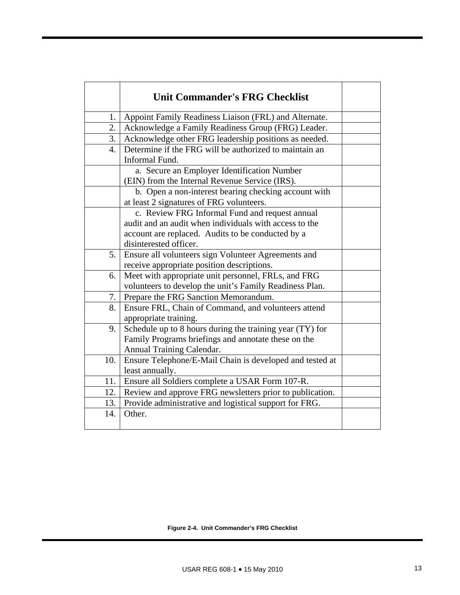|     | <b>Unit Commander's FRG Checklist</b>                    |  |
|-----|----------------------------------------------------------|--|
| 1.  | Appoint Family Readiness Liaison (FRL) and Alternate.    |  |
| 2.  | Acknowledge a Family Readiness Group (FRG) Leader.       |  |
| 3.  | Acknowledge other FRG leadership positions as needed.    |  |
| 4.  | Determine if the FRG will be authorized to maintain an   |  |
|     | Informal Fund.                                           |  |
|     | a. Secure an Employer Identification Number              |  |
|     | (EIN) from the Internal Revenue Service (IRS).           |  |
|     | b. Open a non-interest bearing checking account with     |  |
|     | at least 2 signatures of FRG volunteers.                 |  |
|     | c. Review FRG Informal Fund and request annual           |  |
|     | audit and an audit when individuals with access to the   |  |
|     | account are replaced. Audits to be conducted by a        |  |
|     | disinterested officer.                                   |  |
| 5.  | Ensure all volunteers sign Volunteer Agreements and      |  |
|     | receive appropriate position descriptions.               |  |
| 6.  | Meet with appropriate unit personnel, FRLs, and FRG      |  |
|     | volunteers to develop the unit's Family Readiness Plan.  |  |
| 7.  | Prepare the FRG Sanction Memorandum.                     |  |
| 8.  | Ensure FRL, Chain of Command, and volunteers attend      |  |
|     | appropriate training.                                    |  |
| 9.  | Schedule up to 8 hours during the training year (TY) for |  |
|     | Family Programs briefings and annotate these on the      |  |
|     | Annual Training Calendar.                                |  |
| 10. | Ensure Telephone/E-Mail Chain is developed and tested at |  |
|     | least annually.                                          |  |
| 11. | Ensure all Soldiers complete a USAR Form 107-R.          |  |
| 12. | Review and approve FRG newsletters prior to publication. |  |
| 13. | Provide administrative and logistical support for FRG.   |  |
| 14. | Other.                                                   |  |
|     |                                                          |  |

**Figure 2-4. Unit Commander's FRG Checklist**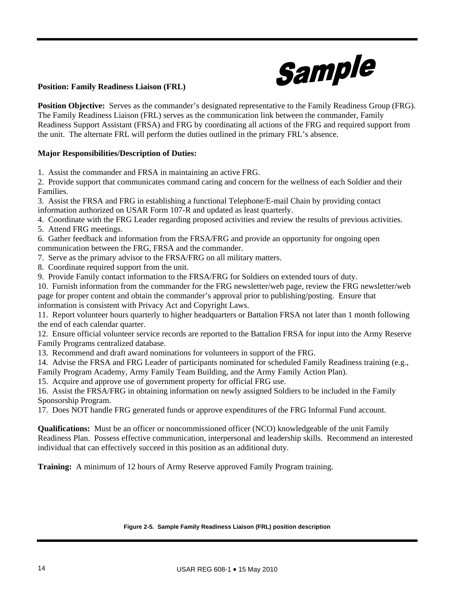

# **Position: Family Readiness Liaison (FRL)**

**Position Objective:** Serves as the commander's designated representative to the Family Readiness Group (FRG). The Family Readiness Liaison (FRL) serves as the communication link between the commander, Family Readiness Support Assistant (FRSA) and FRG by coordinating all actions of the FRG and required support from the unit. The alternate FRL will perform the duties outlined in the primary FRL's absence.

# **Major Responsibilities/Description of Duties:**

1. Assist the commander and FRSA in maintaining an active FRG.

2. Provide support that communicates command caring and concern for the wellness of each Soldier and their Families.

3. Assist the FRSA and FRG in establishing a functional Telephone/E-mail Chain by providing contact information authorized on USAR Form 107-R and updated as least quarterly.

4. Coordinate with the FRG Leader regarding proposed activities and review the results of previous activities.

5. Attend FRG meetings.

6. Gather feedback and information from the FRSA/FRG and provide an opportunity for ongoing open communication between the FRG, FRSA and the commander.

- 7. Serve as the primary advisor to the FRSA/FRG on all military matters.
- 8. Coordinate required support from the unit.

9. Provide Family contact information to the FRSA/FRG for Soldiers on extended tours of duty.

10. Furnish information from the commander for the FRG newsletter/web page, review the FRG newsletter/web page for proper content and obtain the commander's approval prior to publishing/posting. Ensure that information is consistent with Privacy Act and Copyright Laws.

11. Report volunteer hours quarterly to higher headquarters or Battalion FRSA not later than 1 month following the end of each calendar quarter.

12. Ensure official volunteer service records are reported to the Battalion FRSA for input into the Army Reserve Family Programs centralized database.

13. Recommend and draft award nominations for volunteers in support of the FRG.

14. Advise the FRSA and FRG Leader of participants nominated for scheduled Family Readiness training (e.g., Family Program Academy, Army Family Team Building, and the Army Family Action Plan).

15. Acquire and approve use of government property for official FRG use.

16. Assist the FRSA/FRG in obtaining information on newly assigned Soldiers to be included in the Family Sponsorship Program.

17. Does NOT handle FRG generated funds or approve expenditures of the FRG Informal Fund account.

**Qualifications:** Must be an officer or noncommissioned officer (NCO) knowledgeable of the unit Family Readiness Plan. Possess effective communication, interpersonal and leadership skills. Recommend an interested individual that can effectively succeed in this position as an additional duty.

**Training:** A minimum of 12 hours of Army Reserve approved Family Program training.

#### **Figure 2-5. Sample Family Readiness Liaison (FRL) position description**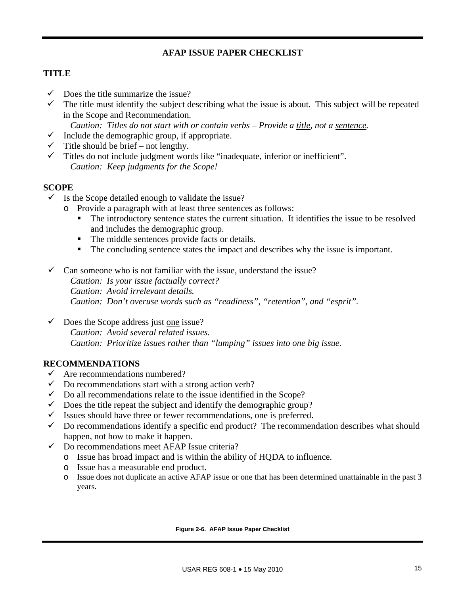# **AFAP ISSUE PAPER CHECKLIST**

# **TITLE**

- $\checkmark$  Does the title summarize the issue?
- $\checkmark$  The title must identify the subject describing what the issue is about. This subject will be repeated in the Scope and Recommendation.

*Caution: Titles do not start with or contain verbs – Provide a title, not a sentence.* 

- $\checkmark$  Include the demographic group, if appropriate.
- $\checkmark$  Title should be brief not lengthy.
- $\checkmark$  Titles do not include judgment words like "inadequate, inferior or inefficient". *Caution: Keep judgments for the Scope!*

# **SCOPE**

- $\checkmark$  Is the Scope detailed enough to validate the issue?
	- o Provide a paragraph with at least three sentences as follows:
		- The introductory sentence states the current situation. It identifies the issue to be resolved and includes the demographic group.
		- The middle sentences provide facts or details.
		- The concluding sentence states the impact and describes why the issue is important.
- $\checkmark$  Can someone who is not familiar with the issue, understand the issue? *Caution: Is your issue factually correct? Caution: Avoid irrelevant details. Caution: Don't overuse words such as "readiness", "retention", and "esprit".*
- $\checkmark$  Does the Scope address just <u>one</u> issue?  *Caution: Avoid several related issues. Caution: Prioritize issues rather than "lumping" issues into one big issue.*

# **RECOMMENDATIONS**

- $\checkmark$  Are recommendations numbered?
- $\checkmark$  Do recommendations start with a strong action verb?
- $\checkmark$  Do all recommendations relate to the issue identified in the Scope?
- $\checkmark$  Does the title repeat the subject and identify the demographic group?
- Issues should have three or fewer recommendations, one is preferred.
- $\checkmark$  Do recommendations identify a specific end product? The recommendation describes what should happen, not how to make it happen.
- $\checkmark$  Do recommendations meet AFAP Issue criteria?
	- o Issue has broad impact and is within the ability of HQDA to influence.
	- o Issue has a measurable end product.
	- o Issue does not duplicate an active AFAP issue or one that has been determined unattainable in the past 3 years.

#### **Figure 2-6. AFAP Issue Paper Checklist**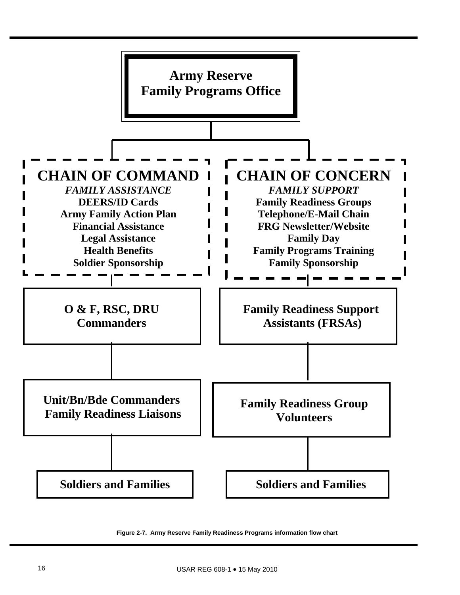

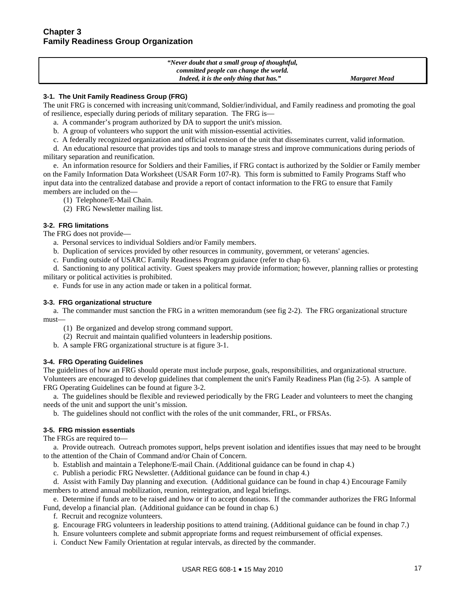| "Never doubt that a small group of thoughtful, |                      |
|------------------------------------------------|----------------------|
| committed people can change the world.         |                      |
| Indeed, it is the only thing that has."        | <b>Margaret Mead</b> |

#### **3-1. The Unit Family Readiness Group (FRG)**

The unit FRG is concerned with increasing unit/command, Soldier/individual, and Family readiness and promoting the goal of resilience, especially during periods of military separation. The FRG is—

- a. A commander's program authorized by DA to support the unit's mission.
- b. A group of volunteers who support the unit with mission-essential activities.
- c. A federally recognized organization and official extension of the unit that disseminates current, valid information.

 d. An educational resource that provides tips and tools to manage stress and improve communications during periods of military separation and reunification.

 e. An information resource for Soldiers and their Families, if FRG contact is authorized by the Soldier or Family member on the Family Information Data Worksheet (USAR Form 107-R). This form is submitted to Family Programs Staff who input data into the centralized database and provide a report of contact information to the FRG to ensure that Family members are included on the—

(1) Telephone/E-Mail Chain.

(2) FRG Newsletter mailing list.

#### **3-2. FRG limitations**

The FRG does not provide—

a. Personal services to individual Soldiers and/or Family members.

- b. Duplication of services provided by other resources in community, government, or veterans' agencies.
- c. Funding outside of USARC Family Readiness Program guidance (refer to chap 6).

 d. Sanctioning to any political activity. Guest speakers may provide information; however, planning rallies or protesting military or political activities is prohibited.

e. Funds for use in any action made or taken in a political format.

#### **3-3. FRG organizational structure**

 a. The commander must sanction the FRG in a written memorandum (see fig 2-2). The FRG organizational structure must—

- (1) Be organized and develop strong command support.
- (2) Recruit and maintain qualified volunteers in leadership positions.
- b. A sample FRG organizational structure is at figure 3-1.

#### **3-4. FRG Operating Guidelines**

The guidelines of how an FRG should operate must include purpose, goals, responsibilities, and organizational structure. Volunteers are encouraged to develop guidelines that complement the unit's Family Readiness Plan (fig 2-5). A sample of FRG Operating Guidelines can be found at figure 3-2.

 a. The guidelines should be flexible and reviewed periodically by the FRG Leader and volunteers to meet the changing needs of the unit and support the unit's mission.

b. The guidelines should not conflict with the roles of the unit commander, FRL, or FRSAs.

#### **3-5. FRG mission essentials**

The FRGs are required to—

 a. Provide outreach. Outreach promotes support, helps prevent isolation and identifies issues that may need to be brought to the attention of the Chain of Command and/or Chain of Concern.

- b. Establish and maintain a Telephone/E-mail Chain. (Additional guidance can be found in chap 4.)
- c. Publish a periodic FRG Newsletter. (Additional guidance can be found in chap 4.)

 d. Assist with Family Day planning and execution. (Additional guidance can be found in chap 4.) Encourage Family members to attend annual mobilization, reunion, reintegration, and legal briefings.

 e. Determine if funds are to be raised and how or if to accept donations. If the commander authorizes the FRG Informal Fund, develop a financial plan. (Additional guidance can be found in chap 6.)

- f. Recruit and recognize volunteers.
- g. Encourage FRG volunteers in leadership positions to attend training. (Additional guidance can be found in chap 7.)
- h. Ensure volunteers complete and submit appropriate forms and request reimbursement of official expenses.
- i. Conduct New Family Orientation at regular intervals, as directed by the commander.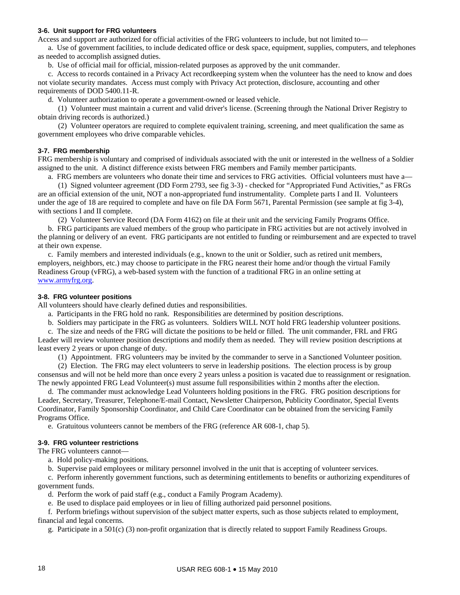#### **3-6. Unit support for FRG volunteers**

Access and support are authorized for official activities of the FRG volunteers to include, but not limited to—

 a. Use of government facilities, to include dedicated office or desk space, equipment, supplies, computers, and telephones as needed to accomplish assigned duties.

b. Use of official mail for official, mission-related purposes as approved by the unit commander.

 c. Access to records contained in a Privacy Act recordkeeping system when the volunteer has the need to know and does not violate security mandates. Access must comply with Privacy Act protection, disclosure, accounting and other requirements of DOD 5400.11-R.

d. Volunteer authorization to operate a government-owned or leased vehicle.

 (1) Volunteer must maintain a current and valid driver's license. (Screening through the National Driver Registry to obtain driving records is authorized.)

 (2) Volunteer operators are required to complete equivalent training, screening, and meet qualification the same as government employees who drive comparable vehicles.

#### **3-7. FRG membership**

FRG membership is voluntary and comprised of individuals associated with the unit or interested in the wellness of a Soldier assigned to the unit. A distinct difference exists between FRG members and Family member participants.

a. FRG members are volunteers who donate their time and services to FRG activities. Official volunteers must have a—

 (1) Signed volunteer agreement (DD Form 2793, see fig 3-3) - checked for "Appropriated Fund Activities," as FRGs are an official extension of the unit, NOT a non-appropriated fund instrumentality. Complete parts I and II. Volunteers under the age of 18 are required to complete and have on file DA Form 5671, Parental Permission (see sample at fig 3-4), with sections I and II complete.

(2) Volunteer Service Record (DA Form 4162) on file at their unit and the servicing Family Programs Office.

 b. FRG participants are valued members of the group who participate in FRG activities but are not actively involved in the planning or delivery of an event. FRG participants are not entitled to funding or reimbursement and are expected to travel at their own expense.

 c. Family members and interested individuals (e.g., known to the unit or Soldier, such as retired unit members, employers, neighbors, etc.) may choose to participate in the FRG nearest their home and/or though the virtual Family Readiness Group (vFRG), a web-based system with the function of a traditional FRG in an online setting at [www.armyfrg.org.](http://www.armyfrg.org/)

#### **3-8. FRG volunteer positions**

All volunteers should have clearly defined duties and responsibilities.

a. Participants in the FRG hold no rank. Responsibilities are determined by position descriptions.

b. Soldiers may participate in the FRG as volunteers. Soldiers WILL NOT hold FRG leadership volunteer positions.

 c. The size and needs of the FRG will dictate the positions to be held or filled. The unit commander, FRL and FRG Leader will review volunteer position descriptions and modify them as needed. They will review position descriptions at least every 2 years or upon change of duty.

(1) Appointment. FRG volunteers may be invited by the commander to serve in a Sanctioned Volunteer position.

 (2) Election. The FRG may elect volunteers to serve in leadership positions. The election process is by group consensus and will not be held more than once every 2 years unless a position is vacated due to reassignment or resignation. The newly appointed FRG Lead Volunteer(s) must assume full responsibilities within 2 months after the election.

 d. The commander must acknowledge Lead Volunteers holding positions in the FRG. FRG position descriptions for Leader, Secretary, Treasurer, Telephone/E-mail Contact, Newsletter Chairperson, Publicity Coordinator, Special Events Coordinator, Family Sponsorship Coordinator, and Child Care Coordinator can be obtained from the servicing Family Programs Office.

e. Gratuitous volunteers cannot be members of the FRG (reference AR 608-1, chap 5).

#### **3-9. FRG volunteer restrictions**

The FRG volunteers cannot—

a. Hold policy-making positions.

b. Supervise paid employees or military personnel involved in the unit that is accepting of volunteer services.

 c. Perform inherently government functions, such as determining entitlements to benefits or authorizing expenditures of government funds.

d. Perform the work of paid staff (e.g., conduct a Family Program Academy).

e. Be used to displace paid employees or in lieu of filling authorized paid personnel positions.

 f. Perform briefings without supervision of the subject matter experts, such as those subjects related to employment, financial and legal concerns.

g. Participate in a 501(c) (3) non-profit organization that is directly related to support Family Readiness Groups.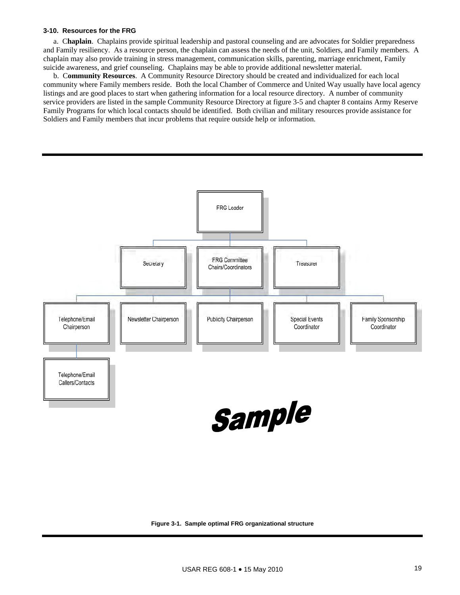#### **3-10. Resources for the FRG**

 a. C**haplain**. Chaplains provide spiritual leadership and pastoral counseling and are advocates for Soldier preparedness and Family resiliency. As a resource person, the chaplain can assess the needs of the unit, Soldiers, and Family members. A chaplain may also provide training in stress management, communication skills, parenting, marriage enrichment, Family suicide awareness, and grief counseling. Chaplains may be able to provide additional newsletter material.

 b. C**ommunity Resources**. A Community Resource Directory should be created and individualized for each local community where Family members reside. Both the local Chamber of Commerce and United Way usually have local agency listings and are good places to start when gathering information for a local resource directory. A number of community service providers are listed in the sample Community Resource Directory at figure 3-5 and chapter 8 contains Army Reserve Family Programs for which local contacts should be identified. Both civilian and military resources provide assistance for Soldiers and Family members that incur problems that require outside help or information.



#### **Figure 3-1. Sample optimal FRG organizational structure**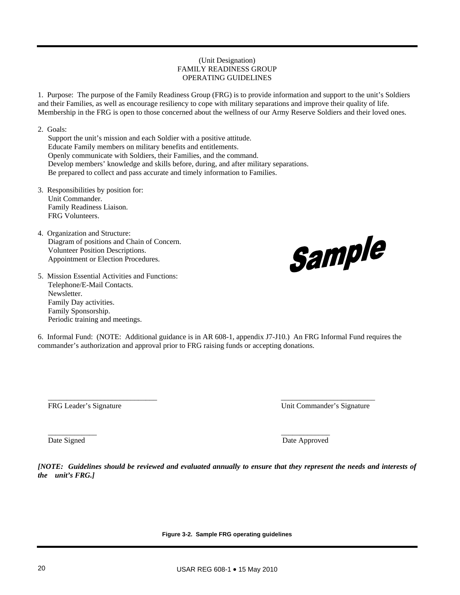#### (Unit Designation) FAMILY READINESS GROUP OPERATING GUIDELINES

1. Purpose: The purpose of the Family Readiness Group (FRG) is to provide information and support to the unit's Soldiers and their Families, as well as encourage resiliency to cope with military separations and improve their quality of life. Membership in the FRG is open to those concerned about the wellness of our Army Reserve Soldiers and their loved ones.

2. Goals:

Support the unit's mission and each Soldier with a positive attitude. Educate Family members on military benefits and entitlements. Openly communicate with Soldiers, their Families, and the command. Develop members' knowledge and skills before, during, and after military separations. Be prepared to collect and pass accurate and timely information to Families.

- 3. Responsibilities by position for: Unit Commander. Family Readiness Liaison. FRG Volunteers.
- 4. Organization and Structure: Diagram of positions and Chain of Concern. Volunteer Position Descriptions. Appointment or Election Procedures.
- 5. Mission Essential Activities and Functions: Telephone/E-Mail Contacts. Newsletter. Family Day activities. Family Sponsorship. Periodic training and meetings.

6. Informal Fund: (NOTE: Additional guidance is in AR 608-1, appendix J7-J10.) An FRG Informal Fund requires the commander's authorization and approval prior to FRG raising funds or accepting donations.

\_\_\_\_\_\_\_\_\_\_\_\_\_\_\_\_\_\_\_\_\_\_\_\_\_\_\_\_\_ \_\_\_\_\_\_\_\_\_\_\_\_\_\_\_\_\_\_\_\_\_\_\_\_\_

FRG Leader's Signature Unit Commander's Signature

\_\_\_\_\_\_\_\_\_\_\_\_\_ \_\_\_\_\_\_\_\_\_\_\_\_\_

*[NOTE: Guidelines should be reviewed and evaluated annually to ensure that they represent the needs and interests of the unit's FRG.]* 

**Figure 3-2. Sample FRG operating guidelines** 

Sample

Date Signed Date Approved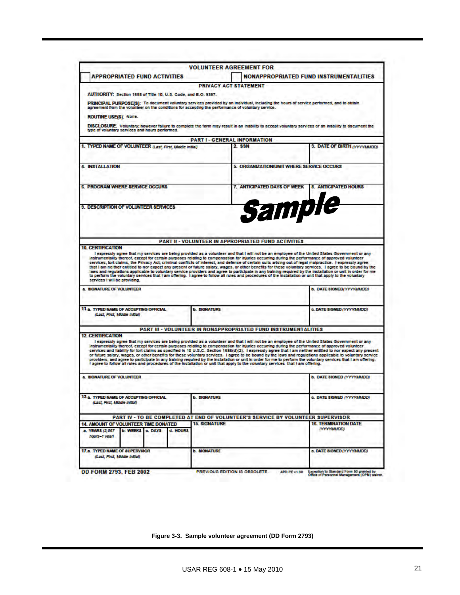|                                                                                                              | <b>APPROPRIATED FUND ACTIVITIES</b>                            |          |                      | <b>VOLUNTEER AGREEMENT FOR</b>                                                                                                  |                                                                                                                                                                                                                                                                                                                                                                                                                                                                                                                        |
|--------------------------------------------------------------------------------------------------------------|----------------------------------------------------------------|----------|----------------------|---------------------------------------------------------------------------------------------------------------------------------|------------------------------------------------------------------------------------------------------------------------------------------------------------------------------------------------------------------------------------------------------------------------------------------------------------------------------------------------------------------------------------------------------------------------------------------------------------------------------------------------------------------------|
|                                                                                                              |                                                                |          |                      |                                                                                                                                 | <b>NONAPPROPRIATED FUND INSTRUMENTALITIES</b>                                                                                                                                                                                                                                                                                                                                                                                                                                                                          |
|                                                                                                              |                                                                |          |                      | PRIVACY ACT STATEMENT                                                                                                           |                                                                                                                                                                                                                                                                                                                                                                                                                                                                                                                        |
|                                                                                                              | AUTHORITY: Section 1588 of Title 10, U.S. Code, and E.O. 9397. |          |                      |                                                                                                                                 |                                                                                                                                                                                                                                                                                                                                                                                                                                                                                                                        |
|                                                                                                              |                                                                |          |                      | agreement from the volunteer on the conditions for accepting the performance of voluntary service.                              | PRINCIPAL PURPOSE(S): To document voluntary services provided by an individual, including the hours of service performed, and to obtain                                                                                                                                                                                                                                                                                                                                                                                |
| ROUTINE USE(S): None.                                                                                        |                                                                |          |                      |                                                                                                                                 |                                                                                                                                                                                                                                                                                                                                                                                                                                                                                                                        |
|                                                                                                              | type of voluntary services and hours performed.                |          |                      |                                                                                                                                 | DISCLOSURE: Voluntary; however failure to complete the form may result in an inability to accept voluntary services or an inability to document the                                                                                                                                                                                                                                                                                                                                                                    |
|                                                                                                              |                                                                |          |                      | <b>PART I - GENERAL INFORMATION</b>                                                                                             |                                                                                                                                                                                                                                                                                                                                                                                                                                                                                                                        |
|                                                                                                              | 1. TYPED NAME OF VOLUNTEER (Last, First, Mode Initial)         |          |                      | 2. SSN                                                                                                                          | 3. DATE OF BIRTH (YYYYIAIDD)                                                                                                                                                                                                                                                                                                                                                                                                                                                                                           |
|                                                                                                              |                                                                |          |                      |                                                                                                                                 |                                                                                                                                                                                                                                                                                                                                                                                                                                                                                                                        |
| <b>4 INSTALLATION</b>                                                                                        |                                                                |          |                      | 5. ORGANIZATION/UNIT WHERE SERVICE OCCURS                                                                                       |                                                                                                                                                                                                                                                                                                                                                                                                                                                                                                                        |
|                                                                                                              |                                                                |          |                      |                                                                                                                                 |                                                                                                                                                                                                                                                                                                                                                                                                                                                                                                                        |
|                                                                                                              | <b>6. PROGRAM WHERE SERVICE OCCURS</b>                         |          |                      | 7. ANTICIPATED DAYS OF WEEK                                                                                                     | <b>8. ANTICIPATED HOURS</b>                                                                                                                                                                                                                                                                                                                                                                                                                                                                                            |
|                                                                                                              |                                                                |          |                      |                                                                                                                                 |                                                                                                                                                                                                                                                                                                                                                                                                                                                                                                                        |
|                                                                                                              |                                                                |          |                      | Sample                                                                                                                          |                                                                                                                                                                                                                                                                                                                                                                                                                                                                                                                        |
|                                                                                                              | <b>9. DESCRIPTION OF VOLUNTEER SERVICES</b>                    |          |                      |                                                                                                                                 |                                                                                                                                                                                                                                                                                                                                                                                                                                                                                                                        |
|                                                                                                              |                                                                |          |                      |                                                                                                                                 |                                                                                                                                                                                                                                                                                                                                                                                                                                                                                                                        |
|                                                                                                              |                                                                |          |                      |                                                                                                                                 |                                                                                                                                                                                                                                                                                                                                                                                                                                                                                                                        |
|                                                                                                              |                                                                |          |                      |                                                                                                                                 |                                                                                                                                                                                                                                                                                                                                                                                                                                                                                                                        |
|                                                                                                              |                                                                |          |                      |                                                                                                                                 |                                                                                                                                                                                                                                                                                                                                                                                                                                                                                                                        |
|                                                                                                              |                                                                |          |                      | <b>PART II - VOLUNTEER IN APPROPRIATED FUND ACTIVITIES</b>                                                                      |                                                                                                                                                                                                                                                                                                                                                                                                                                                                                                                        |
| <b>10. CERTIFICATION</b>                                                                                     |                                                                |          |                      |                                                                                                                                 |                                                                                                                                                                                                                                                                                                                                                                                                                                                                                                                        |
|                                                                                                              |                                                                |          |                      |                                                                                                                                 | I expressly agree that my services are being provided as a volunteer and that I will not be an employee of the United States Government or any                                                                                                                                                                                                                                                                                                                                                                         |
|                                                                                                              |                                                                |          |                      |                                                                                                                                 |                                                                                                                                                                                                                                                                                                                                                                                                                                                                                                                        |
|                                                                                                              |                                                                |          |                      |                                                                                                                                 | instrumentality thereof, except for certain purposes relating to compensation for injuries occurring during the performance of approved volunteer                                                                                                                                                                                                                                                                                                                                                                      |
|                                                                                                              |                                                                |          |                      |                                                                                                                                 | services, tort claims, the Privacy Act, criminal conflicts of interest, and defense of certain suits arising out of legal malpractice. I expressly agree                                                                                                                                                                                                                                                                                                                                                               |
|                                                                                                              |                                                                |          |                      |                                                                                                                                 |                                                                                                                                                                                                                                                                                                                                                                                                                                                                                                                        |
|                                                                                                              |                                                                |          |                      |                                                                                                                                 | to perform the voluntary services that I am offering. I agree to follow all rules and procedures of the installation or unit that apply to the voluntary                                                                                                                                                                                                                                                                                                                                                               |
| services I will be providing.                                                                                |                                                                |          |                      |                                                                                                                                 |                                                                                                                                                                                                                                                                                                                                                                                                                                                                                                                        |
|                                                                                                              |                                                                |          |                      |                                                                                                                                 | <b>b. DATE SIGNED/YVYVMMOD)</b>                                                                                                                                                                                                                                                                                                                                                                                                                                                                                        |
|                                                                                                              |                                                                |          |                      |                                                                                                                                 |                                                                                                                                                                                                                                                                                                                                                                                                                                                                                                                        |
|                                                                                                              | 11-a. TYPED NAME OF ACCEPTING OFFICIAL                         |          | <b>b. SIGNATURE</b>  |                                                                                                                                 | a. DATE SIGNED (YYYYLA/DD)                                                                                                                                                                                                                                                                                                                                                                                                                                                                                             |
| (Last, First, Modie Initial)                                                                                 |                                                                |          |                      |                                                                                                                                 |                                                                                                                                                                                                                                                                                                                                                                                                                                                                                                                        |
|                                                                                                              |                                                                |          |                      |                                                                                                                                 |                                                                                                                                                                                                                                                                                                                                                                                                                                                                                                                        |
|                                                                                                              |                                                                |          |                      | PART III - VOLUNTEER IN NONAPPROPRIATED FUND INSTRUMENTALITIES                                                                  | that I am neither entitled to nor expect any present or future salary, wages, or other benefits for these voluntary services. I agree to be bound by the<br>laws and regulations applicable to voluntary service providers and agree to participate in any training required by the installation or unit in order for me                                                                                                                                                                                               |
|                                                                                                              |                                                                |          |                      |                                                                                                                                 |                                                                                                                                                                                                                                                                                                                                                                                                                                                                                                                        |
|                                                                                                              |                                                                |          |                      |                                                                                                                                 | I expressly agree that my services are being provided as a volunteer and that I will not be an employee of the United States Government or any                                                                                                                                                                                                                                                                                                                                                                         |
|                                                                                                              |                                                                |          |                      |                                                                                                                                 | instrumentality thereof, except for certain purposes relating to compensation for injuries occurring during the performance of approved volunteer                                                                                                                                                                                                                                                                                                                                                                      |
|                                                                                                              |                                                                |          |                      |                                                                                                                                 |                                                                                                                                                                                                                                                                                                                                                                                                                                                                                                                        |
|                                                                                                              |                                                                |          |                      | I agree to follow all rules and procedures of the Installation or unit that apply to the voluntary services that I am offering. |                                                                                                                                                                                                                                                                                                                                                                                                                                                                                                                        |
|                                                                                                              |                                                                |          |                      |                                                                                                                                 |                                                                                                                                                                                                                                                                                                                                                                                                                                                                                                                        |
|                                                                                                              |                                                                |          |                      |                                                                                                                                 | <b>b. DATE SIGNED (VYYYAMADD)</b>                                                                                                                                                                                                                                                                                                                                                                                                                                                                                      |
|                                                                                                              |                                                                |          |                      |                                                                                                                                 |                                                                                                                                                                                                                                                                                                                                                                                                                                                                                                                        |
|                                                                                                              |                                                                |          |                      |                                                                                                                                 |                                                                                                                                                                                                                                                                                                                                                                                                                                                                                                                        |
|                                                                                                              | 13.a. TYPED NAME OF ACCEPTING OFFICIAL                         |          | <b>b. SIGNATURE</b>  |                                                                                                                                 | services and liability for tort claims as specified in 10 U.S.C. Section 1588(d)(2). I expressly agree that I am neither entitied to nor expect any present<br>or future salary, wages, or other benefits for these voluntary services. I agree to be bound by the laws and regulations applicable to voluntary service<br>providers, and agree to participate in any training required by the installation or unit in order for me to perform the voluntary services that I am offering.<br>a. DATE SIGNED (YYYYAMDO) |
| (Last, Rrst, Middle Initial)                                                                                 |                                                                |          |                      |                                                                                                                                 |                                                                                                                                                                                                                                                                                                                                                                                                                                                                                                                        |
|                                                                                                              |                                                                |          |                      |                                                                                                                                 |                                                                                                                                                                                                                                                                                                                                                                                                                                                                                                                        |
|                                                                                                              |                                                                |          | <b>15. SIGNATURE</b> | PART IV - TO BE COMPLETED AT END OF VOLUNTEER'S SERVICE BY VOLUNTEER SUPERVISOR                                                 | <b>16. TERMINATION DATE</b>                                                                                                                                                                                                                                                                                                                                                                                                                                                                                            |
|                                                                                                              | 14. AMOUNT OF VOLUNTEER TIME DONATED                           | d. HOURS |                      |                                                                                                                                 | (VYYYMAADD)                                                                                                                                                                                                                                                                                                                                                                                                                                                                                                            |
| hours-1 year)                                                                                                | <b>b. WEEKS</b><br>o. DAYS                                     |          |                      |                                                                                                                                 |                                                                                                                                                                                                                                                                                                                                                                                                                                                                                                                        |
| a. SIGNATURE OF VOLUNTEER<br><b>12. CERTIFICATION</b><br><b>A SIGNATURE OF VOLUNTEER</b><br>a. YEAR8 (2,067) |                                                                |          |                      |                                                                                                                                 |                                                                                                                                                                                                                                                                                                                                                                                                                                                                                                                        |
|                                                                                                              |                                                                |          | <b>b. SIGNATURE</b>  |                                                                                                                                 | a. DATE SIGNED (YYYYMMDD)                                                                                                                                                                                                                                                                                                                                                                                                                                                                                              |
| 17.a. TYPED NAME OF SUPERVISOR                                                                               | (Last, First, Middle Initial)                                  |          |                      |                                                                                                                                 |                                                                                                                                                                                                                                                                                                                                                                                                                                                                                                                        |
|                                                                                                              |                                                                |          |                      |                                                                                                                                 |                                                                                                                                                                                                                                                                                                                                                                                                                                                                                                                        |

**Figure 3-3. Sample volunteer agreement (DD Form 2793)**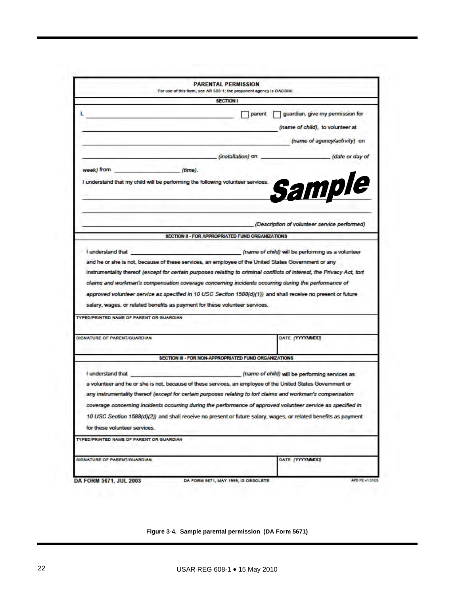|                                                                                                | <b>PARENTAL PERMISSION</b><br>For use of this form, see AR 608-1; the proponent agency is OACSIM.                                                                                                                                                                                                                                                                                                                                                                                                               |                                                                                                      |
|------------------------------------------------------------------------------------------------|-----------------------------------------------------------------------------------------------------------------------------------------------------------------------------------------------------------------------------------------------------------------------------------------------------------------------------------------------------------------------------------------------------------------------------------------------------------------------------------------------------------------|------------------------------------------------------------------------------------------------------|
|                                                                                                | <b>SECTION I</b>                                                                                                                                                                                                                                                                                                                                                                                                                                                                                                |                                                                                                      |
|                                                                                                | parent                                                                                                                                                                                                                                                                                                                                                                                                                                                                                                          | guardian, give my permission for<br>(name of child), to volunteer at<br>(name of agency/activity) on |
|                                                                                                | (installation) on                                                                                                                                                                                                                                                                                                                                                                                                                                                                                               | (date or day of                                                                                      |
| week) from (firme).                                                                            |                                                                                                                                                                                                                                                                                                                                                                                                                                                                                                                 |                                                                                                      |
| I understand that my child will be performing the following volunteer services.                |                                                                                                                                                                                                                                                                                                                                                                                                                                                                                                                 | Sample                                                                                               |
|                                                                                                |                                                                                                                                                                                                                                                                                                                                                                                                                                                                                                                 | (Description of volunteer service performed)                                                         |
|                                                                                                | SECTION II - FOR APPROPRIATED FUND ORGANIZATIONS                                                                                                                                                                                                                                                                                                                                                                                                                                                                |                                                                                                      |
|                                                                                                | and he or she is not, because of these services, an employee of the United States Government or any                                                                                                                                                                                                                                                                                                                                                                                                             |                                                                                                      |
| salary, wages, or related benefits as payment for these volunteer services.                    | instrumentality thereof (except for certain purposes relating to criminal conflicts of interest, the Privacy Act, tort<br>claims and workman's compensation coverage concerning incidents occurring during the performance of<br>approved volunteer service as specified in 10 USC Section 1588(d)(1)) and shall receive no present or future                                                                                                                                                                   |                                                                                                      |
|                                                                                                |                                                                                                                                                                                                                                                                                                                                                                                                                                                                                                                 | DATE (YYYYMMDD)                                                                                      |
| TYPED/PRINTED NAME OF PARENT OR GUARDIAN<br><b>SIGNATURE OF PARENT/GUARDIAN</b>                | SECTION III - FOR NON-APPROPRIATED FUND ORGANIZATIONS                                                                                                                                                                                                                                                                                                                                                                                                                                                           |                                                                                                      |
| I understand that<br>for these volunteer services.<br>TYPED/PRINTED NAME OF PARENT OR GUARDIAN | (name of child) will be performing services as<br>a volunteer and he or she is not, because of these services, an employee of the United States Government or<br>any instrumentality thereof (except for certain purposes relating to tort claims and workman's compensation<br>coverage concerning incidents occurring during the performance of approved volunteer service as specified in<br>10 USC Section 1588(d)(2)) and shall receive no present or future salary, wages, or related benefits as payment |                                                                                                      |

**Figure 3-4. Sample parental permission (DA Form 5671)**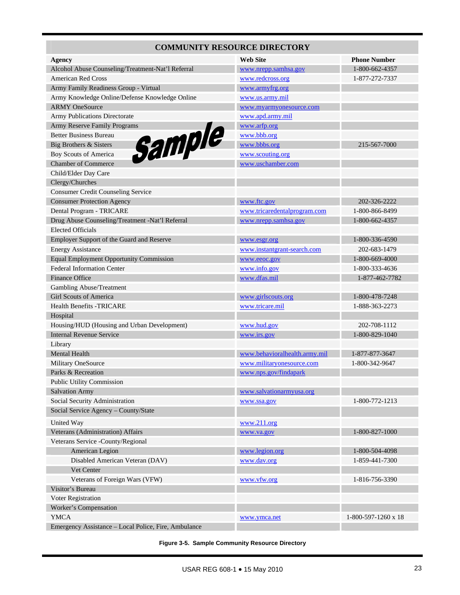# **COMMUNITY RESOURCE DIRECTORY**

| <b>Agency</b>                                        | <b>Web Site</b>               | <b>Phone Number</b> |
|------------------------------------------------------|-------------------------------|---------------------|
| Alcohol Abuse Counseling/Treatment-Nat'l Referral    | www.nrepp.samhsa.gov          | 1-800-662-4357      |
| American Red Cross                                   | www.redcross.org              | 1-877-272-7337      |
| Army Family Readiness Group - Virtual                | www.armyfrg.org               |                     |
| Army Knowledge Online/Defense Knowledge Online       | www.us.army.mil               |                     |
| <b>ARMY OneSource</b>                                | www.myarmyonesource.com       |                     |
| Army Publications Directorate                        | www.apd.army.mil              |                     |
| Army Reserve Family Programs                         | www.arfp.org                  |                     |
| Sample<br><b>Better Business Bureau</b>              | www.bbb.org                   |                     |
| Big Brothers & Sisters                               | www.bbbs.org                  | 215-567-7000        |
| Boy Scouts of America                                | www.scouting.org              |                     |
| <b>Chamber of Commerce</b>                           | www.uschamber.com             |                     |
| Child/Elder Day Care                                 |                               |                     |
| Clergy/Churches                                      |                               |                     |
| <b>Consumer Credit Counseling Service</b>            |                               |                     |
| <b>Consumer Protection Agency</b>                    | www.ftc.gov                   | 202-326-2222        |
| Dental Program - TRICARE                             | www.tricaredentalprogram.com  | 1-800-866-8499      |
| Drug Abuse Counseling/Treatment -Nat'l Referral      | www.nrepp.samhsa.gov          | 1-800-662-4357      |
| <b>Elected Officials</b>                             |                               |                     |
| Employer Support of the Guard and Reserve            | www.esgr.org                  | 1-800-336-4590      |
| <b>Energy Assistance</b>                             | www.instantgrant-search.com   | 202-683-1479        |
| <b>Equal Employment Opportunity Commission</b>       | www.eeoc.gov                  | 1-800-669-4000      |
| <b>Federal Information Center</b>                    | www.info.gov                  | 1-800-333-4636      |
| <b>Finance Office</b>                                | www.dfas.mil                  | 1-877-462-7782      |
| Gambling Abuse/Treatment                             |                               |                     |
| <b>Girl Scouts of America</b>                        | www.girlscouts.org            | 1-800-478-7248      |
| <b>Health Benefits -TRICARE</b>                      | www.tricare.mil               | 1-888-363-2273      |
| Hospital                                             |                               |                     |
| Housing/HUD (Housing and Urban Development)          | www.hud.gov                   | 202-708-1112        |
| <b>Internal Revenue Service</b>                      | www.irs.gov                   | 1-800-829-1040      |
| Library                                              |                               |                     |
| <b>Mental Health</b>                                 | www.behavioralhealth.army.mil | 1-877-877-3647      |
| Military OneSource                                   | www.militaryonesource.com     | 1-800-342-9647      |
| Parks & Recreation                                   | www.nps.gov/findapark         |                     |
| Public Utility Commission                            |                               |                     |
| <b>Salvation Army</b>                                | www.salvationarmyusa.org      |                     |
| Social Security Administration                       | www.ssa.gov                   | 1-800-772-1213      |
| Social Service Agency - County/State                 |                               |                     |
| United Way                                           | www.211.org                   |                     |
| Veterans (Administration) Affairs                    | www.va.gov                    | 1-800-827-1000      |
| Veterans Service -County/Regional                    |                               |                     |
| American Legion                                      | www.legion.org                | 1-800-504-4098      |
| Disabled American Veteran (DAV)                      | www.dav.org                   | 1-859-441-7300      |
| Vet Center                                           |                               |                     |
| Veterans of Foreign Wars (VFW)                       | www.vfw.org                   | 1-816-756-3390      |
| Visitor's Bureau                                     |                               |                     |
| Voter Registration                                   |                               |                     |
| Worker's Compensation                                |                               |                     |
| <b>YMCA</b>                                          | www.ymca.net                  | 1-800-597-1260 x 18 |
| Emergency Assistance - Local Police, Fire, Ambulance |                               |                     |

**Figure 3-5. Sample Community Resource Directory**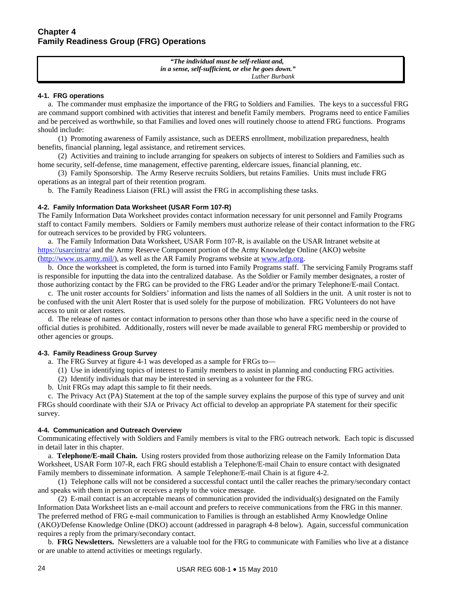*"The individual must be self-reliant and, in a sense, self-sufficient, or else he goes down." Luther Burbank*

#### **4-1. FRG operations**

 a. The commander must emphasize the importance of the FRG to Soldiers and Families. The keys to a successful FRG are command support combined with activities that interest and benefit Family members. Programs need to entice Families and be perceived as worthwhile, so that Families and loved ones will routinely choose to attend FRG functions. Programs should include:

 (1) Promoting awareness of Family assistance, such as DEERS enrollment, mobilization preparedness, health benefits, financial planning, legal assistance, and retirement services.

 (2) Activities and training to include arranging for speakers on subjects of interest to Soldiers and Families such as home security, self-defense, time management, effective parenting, eldercare issues, financial planning, etc.

 (3) Family Sponsorship. The Army Reserve recruits Soldiers, but retains Families. Units must include FRG operations as an integral part of their retention program.

b. The Family Readiness Liaison (FRL) will assist the FRG in accomplishing these tasks.

#### **4-2. Family Information Data Worksheet (USAR Form 107-R)**

The Family Information Data Worksheet provides contact information necessary for unit personnel and Family Programs staff to contact Family members. Soldiers or Family members must authorize release of their contact information to the FRG for outreach services to be provided by FRG volunteers.

 a. The Family Information Data Worksheet, USAR Form 107-R, is available on the USAR Intranet website at <https://usarcintra/> and the Army Reserve Component portion of the Army Knowledge Online (AKO) website (<http://www.us.army.mil/>), as well as the AR Family Programs website at [www.arfp.org.](http://www.arfp.org/)

 b. Once the worksheet is completed, the form is turned into Family Programs staff. The servicing Family Programs staff is responsible for inputting the data into the centralized database. As the Soldier or Family member designates, a roster of those authorizing contact by the FRG can be provided to the FRG Leader and/or the primary Telephone/E-mail Contact.

 c. The unit roster accounts for Soldiers' information and lists the names of all Soldiers in the unit. A unit roster is not to be confused with the unit Alert Roster that is used solely for the purpose of mobilization. FRG Volunteers do not have access to unit or alert rosters.

 d. The release of names or contact information to persons other than those who have a specific need in the course of official duties is prohibited. Additionally, rosters will never be made available to general FRG membership or provided to other agencies or groups.

#### **4-3. Family Readiness Group Survey**

- a. The FRG Survey at figure 4-1 was developed as a sample for FRGs to—
	- (1) Use in identifying topics of interest to Family members to assist in planning and conducting FRG activities.
	- (2) Identify individuals that may be interested in serving as a volunteer for the FRG.
- b. Unit FRGs may adapt this sample to fit their needs.

 c. The Privacy Act (PA) Statement at the top of the sample survey explains the purpose of this type of survey and unit FRGs should coordinate with their SJA or Privacy Act official to develop an appropriate PA statement for their specific survey.

#### **4-4. Communication and Outreach Overview**

Communicating effectively with Soldiers and Family members is vital to the FRG outreach network. Each topic is discussed in detail later in this chapter.

 a. **Telephone/E-mail Chain.** Using rosters provided from those authorizing release on the Family Information Data Worksheet, USAR Form 107-R, each FRG should establish a Telephone/E-mail Chain to ensure contact with designated Family members to disseminate information. A sample Telephone/E-mail Chain is at figure 4-2.

 (1) Telephone calls will not be considered a successful contact until the caller reaches the primary/secondary contact and speaks with them in person or receives a reply to the voice message.

 (2) E-mail contact is an acceptable means of communication provided the individual(s) designated on the Family Information Data Worksheet lists an e-mail account and prefers to receive communications from the FRG in this manner. The preferred method of FRG e-mail communication to Families is through an established Army Knowledge Online (AKO)/Defense Knowledge Online (DKO) account (addressed in paragraph 4-8 below). Again, successful communication requires a reply from the primary/secondary contact.

 b. **FRG Newsletters.** Newsletters are a valuable tool for the FRG to communicate with Families who live at a distance or are unable to attend activities or meetings regularly.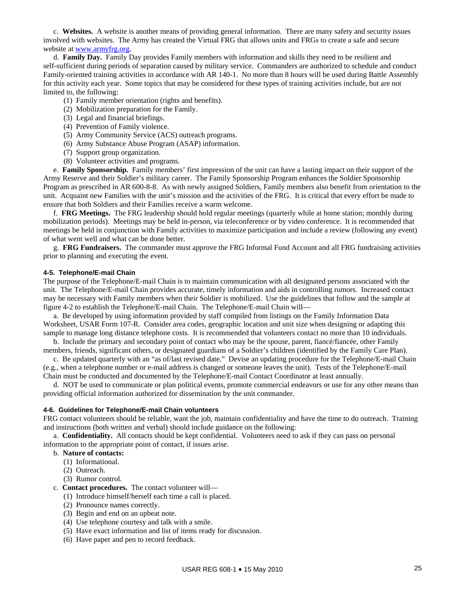c. **Websites.** A website is another means of providing general information. There are many safety and security issues involved with websites. The Army has created the Virtual FRG that allows units and FRGs to create a safe and secure website at [www.armyfrg.org.](http://www.armyfrg.org/)

 d. **Family Day.** Family Day provides Family members with information and skills they need to be resilient and self-sufficient during periods of separation caused by military service. Commanders are authorized to schedule and conduct Family-oriented training activities in accordance with AR 140-1. No more than 8 hours will be used during Battle Assembly for this activity each year. Some topics that may be considered for these types of training activities include, but are not limited to, the following:

- (1) Family member orientation (rights and benefits).
- (2) Mobilization preparation for the Family.
- (3) Legal and financial briefings.
- (4) Prevention of Family violence.
- (5) Army Community Service (ACS) outreach programs.
- (6) Army Substance Abuse Program (ASAP) information.
- (7) Support group organization.
- (8) Volunteer activities and programs.

 e. **Family Sponsorship.** Family members' first impression of the unit can have a lasting impact on their support of the Army Reserve and their Soldier's military career. The Family Sponsorship Program enhances the Soldier Sponsorship Program as prescribed in AR 600-8-8. As with newly assigned Soldiers, Family members also benefit from orientation to the unit. Acquaint new Families with the unit's mission and the activities of the FRG. It is critical that every effort be made to ensure that both Soldiers and their Families receive a warm welcome.

 f. **FRG Meetings.** The FRG leadership should hold regular meetings (quarterly while at home station; monthly during mobilization periods). Meetings may be held in-person, via teleconference or by video conference. It is recommended that meetings be held in conjunction with Family activities to maximize participation and include a review (following any event) of what went well and what can be done better.

 g. **FRG Fundraisers.** The commander must approve the FRG Informal Fund Account and all FRG fundraising activities prior to planning and executing the event.

#### **4-5. Telephone/E-mail Chain**

The purpose of the Telephone/E-mail Chain is to maintain communication with all designated persons associated with the unit. The Telephone/E-mail Chain provides accurate, timely information and aids in controlling rumors. Increased contact may be necessary with Family members when their Soldier is mobilized. Use the guidelines that follow and the sample at figure 4-2 to establish the Telephone/E-mail Chain. The Telephone/E-mail Chain will—

 a. Be developed by using information provided by staff compiled from listings on the Family Information Data Worksheet, USAR Form 107-R. Consider area codes, geographic location and unit size when designing or adapting this sample to manage long distance telephone costs. It is recommended that volunteers contact no more than 10 individuals.

 b. Include the primary and secondary point of contact who may be the spouse, parent, fiancé/fiancée, other Family members, friends, significant others, or designated guardians of a Soldier's children (identified by the Family Care Plan).

 c. Be updated quarterly with an "as of/last revised date." Devise an updating procedure for the Telephone/E-mail Chain (e.g., when a telephone number or e-mail address is changed or someone leaves the unit). Tests of the Telephone/E-mail Chain must be conducted and documented by the Telephone/E-mail Contact Coordinator at least annually.

 d. NOT be used to communicate or plan political events, promote commercial endeavors or use for any other means than providing official information authorized for dissemination by the unit commander.

#### **4-6. Guidelines for Telephone/E-mail Chain volunteers**

FRG contact volunteers should be reliable, want the job, maintain confidentiality and have the time to do outreach. Training and instructions (both written and verbal) should include guidance on the following:

 a. **Confidentiality.** All contacts should be kept confidential. Volunteers need to ask if they can pass on personal information to the appropriate point of contact, if issues arise.

#### b. **Nature of contacts:**

- (1) Informational.
- (2) Outreach.
- (3) Rumor control.
- c. **Contact procedures.** The contact volunteer will—
	- (1) Introduce himself/herself each time a call is placed.
	- (2) Pronounce names correctly.
	- (3) Begin and end on an upbeat note.
	- (4) Use telephone courtesy and talk with a smile.
	- (5) Have exact information and list of items ready for discussion.
	- (6) Have paper and pen to record feedback.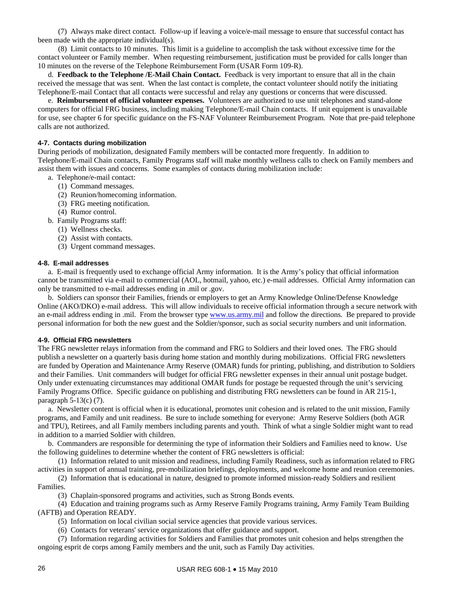(7) Always make direct contact. Follow-up if leaving a voice/e-mail message to ensure that successful contact has been made with the appropriate individual(s).

 (8) Limit contacts to 10 minutes. This limit is a guideline to accomplish the task without excessive time for the contact volunteer or Family member. When requesting reimbursement, justification must be provided for calls longer than 10 minutes on the reverse of the Telephone Reimbursement Form (USAR Form 109-R).

 d. **Feedback to the Telephone /E-Mail Chain Contact.** Feedback is very important to ensure that all in the chain received the message that was sent. When the last contact is complete, the contact volunteer should notify the initiating Telephone/E-mail Contact that all contacts were successful and relay any questions or concerns that were discussed.

 e. **Reimbursement of official volunteer expenses.**Volunteers are authorized to use unit telephones and stand-alone computers for official FRG business, including making Telephone/E-mail Chain contacts. If unit equipment is unavailable for use, see chapter 6 for specific guidance on the FS-NAF Volunteer Reimbursement Program. Note that pre-paid telephone calls are not authorized.

#### **4-7. Contacts during mobilization**

During periods of mobilization, designated Family members will be contacted more frequently. In addition to Telephone/E-mail Chain contacts, Family Programs staff will make monthly wellness calls to check on Family members and assist them with issues and concerns. Some examples of contacts during mobilization include:

- a. Telephone/e-mail contact:
	- (1) Command messages.
	- (2) Reunion/homecoming information.
	- (3) FRG meeting notification.
	- (4) Rumor control.
- b. Family Programs staff:
	- (1) Wellness checks.
	- (2) Assist with contacts.
	- (3) Urgent command messages.

#### **4-8. E-mail addresses**

 a. E-mail is frequently used to exchange official Army information. It is the Army's policy that official information cannot be transmitted via e-mail to commercial (AOL, hotmail, yahoo, etc.) e-mail addresses. Official Army information can only be transmitted to e-mail addresses ending in .mil or .gov.

 b. Soldiers can sponsor their Families, friends or employers to get an Army Knowledge Online/Defense Knowledge Online (AKO/DKO) e-mail address. This will allow individuals to receive official information through a secure network with an e-mail address ending in .mil. From the browser type [www.us.army.mil](http://www.us.army.mil/) and follow the directions. Be prepared to provide personal information for both the new guest and the Soldier/sponsor, such as social security numbers and unit information.

#### **4-9. Official FRG newsletters**

The FRG newsletter relays information from the command and FRG to Soldiers and their loved ones. The FRG should publish a newsletter on a quarterly basis during home station and monthly during mobilizations. Official FRG newsletters are funded by Operation and Maintenance Army Reserve (OMAR) funds for printing, publishing, and distribution to Soldiers and their Families. Unit commanders will budget for official FRG newsletter expenses in their annual unit postage budget. Only under extenuating circumstances may additional OMAR funds for postage be requested through the unit's servicing Family Programs Office. Specific guidance on publishing and distributing FRG newsletters can be found in AR 215-1, paragraph 5-13(c) (7).

 a. Newsletter content is official when it is educational, promotes unit cohesion and is related to the unit mission, Family programs, and Family and unit readiness. Be sure to include something for everyone: Army Reserve Soldiers (both AGR and TPU), Retirees, and all Family members including parents and youth. Think of what a single Soldier might want to read in addition to a married Soldier with children.

 b. Commanders are responsible for determining the type of information their Soldiers and Families need to know. Use the following guidelines to determine whether the content of FRG newsletters is official:

(1) Information related to unit mission and readiness, including Family Readiness, such as information related to FRG activities in support of annual training, pre-mobilization briefings, deployments, and welcome home and reunion ceremonies.

 (2) Information that is educational in nature, designed to promote informed mission-ready Soldiers and resilient Families.

(3) Chaplain-sponsored programs and activities, such as Strong Bonds events.

 (4) Education and training programs such as Army Reserve Family Programs training, Army Family Team Building (AFTB) and Operation READY.

(5) Information on local civilian social service agencies that provide various services.

(6) Contacts for veterans' service organizations that offer guidance and support.

 (7) Information regarding activities for Soldiers and Families that promotes unit cohesion and helps strengthen the ongoing esprit de corps among Family members and the unit, such as Family Day activities.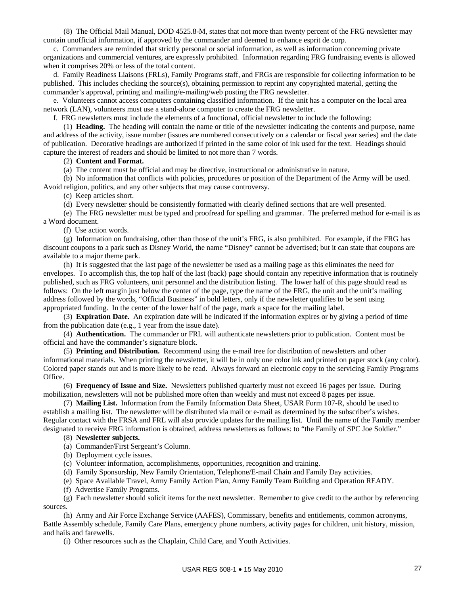(8) The Official Mail Manual, DOD 4525.8-M, states that not more than twenty percent of the FRG newsletter may contain unofficial information, if approved by the commander and deemed to enhance esprit de corp.

 c. Commanders are reminded that strictly personal or social information, as well as information concerning private organizations and commercial ventures, are expressly prohibited. Information regarding FRG fundraising events is allowed when it comprises 20% or less of the total content.

 d. Family Readiness Liaisons (FRLs), Family Programs staff, and FRGs are responsible for collecting information to be published. This includes checking the source(s), obtaining permission to reprint any copyrighted material, getting the commander's approval, printing and mailing/e-mailing/web posting the FRG newsletter.

 e. Volunteers cannot access computers containing classified information. If the unit has a computer on the local area network (LAN), volunteers must use a stand-alone computer to create the FRG newsletter.

f. FRG newsletters must include the elements of a functional, official newsletter to include the following:

 (1) **Heading.** The heading will contain the name or title of the newsletter indicating the contents and purpose, name and address of the activity, issue number (issues are numbered consecutively on a calendar or fiscal year series) and the date of publication. Decorative headings are authorized if printed in the same color of ink used for the text. Headings should capture the interest of readers and should be limited to not more than 7 words.

#### (2) **Content and Format.**

(a) The content must be official and may be directive, instructional or administrative in nature.

 (b) No information that conflicts with policies, procedures or position of the Department of the Army will be used. Avoid religion, politics, and any other subjects that may cause controversy.

(c) Keep articles short.

(d) Every newsletter should be consistently formatted with clearly defined sections that are well presented.

 (e) The FRG newsletter must be typed and proofread for spelling and grammar. The preferred method for e-mail is as a Word document.

(f) Use action words.

 (g) Information on fundraising, other than those of the unit's FRG, is also prohibited. For example, if the FRG has discount coupons to a park such as Disney World, the name "Disney" cannot be advertised; but it can state that coupons are available to a major theme park.

 (h) It is suggested that the last page of the newsletter be used as a mailing page as this eliminates the need for envelopes. To accomplish this, the top half of the last (back) page should contain any repetitive information that is routinely published, such as FRG volunteers, unit personnel and the distribution listing. The lower half of this page should read as follows: On the left margin just below the center of the page, type the name of the FRG, the unit and the unit's mailing address followed by the words, "Official Business" in bold letters, only if the newsletter qualifies to be sent using appropriated funding. In the center of the lower half of the page, mark a space for the mailing label.

 (3) **Expiration Date.** An expiration date will be indicated if the information expires or by giving a period of time from the publication date (e.g., 1 year from the issue date).

 (4) **Authentication.** The commander or FRL will authenticate newsletters prior to publication. Content must be official and have the commander's signature block.

 (5) **Printing and Distribution.** Recommend using the e-mail tree for distribution of newsletters and other informational materials. When printing the newsletter, it will be in only one color ink and printed on paper stock (any color). Colored paper stands out and is more likely to be read. Always forward an electronic copy to the servicing Family Programs Office.

 (6) **Frequency of Issue and Size.** Newsletters published quarterly must not exceed 16 pages per issue. During mobilization, newsletters will not be published more often than weekly and must not exceed 8 pages per issue.

 (7) **Mailing List.** Information from the Family Information Data Sheet, USAR Form 107-R, should be used to establish a mailing list. The newsletter will be distributed via mail or e-mail as determined by the subscriber's wishes. Regular contact with the FRSA and FRL will also provide updates for the mailing list. Until the name of the Family member designated to receive FRG information is obtained, address newsletters as follows: to "the Family of SPC Joe Soldier."

#### (8) **Newsletter subjects.**

(a) Commander/First Sergeant's Column.

- (b) Deployment cycle issues.
- (c) Volunteer information, accomplishments, opportunities, recognition and training.
- (d) Family Sponsorship, New Family Orientation, Telephone/E-mail Chain and Family Day activities.
- (e) Space Available Travel, Army Family Action Plan, Army Family Team Building and Operation READY.
- (f) Advertise Family Programs.

 (g) Each newsletter should solicit items for the next newsletter. Remember to give credit to the author by referencing sources.

 (h) Army and Air Force Exchange Service (AAFES), Commissary, benefits and entitlements, common acronyms, Battle Assembly schedule, Family Care Plans, emergency phone numbers, activity pages for children, unit history, mission, and hails and farewells.

(i) Other resources such as the Chaplain, Child Care, and Youth Activities.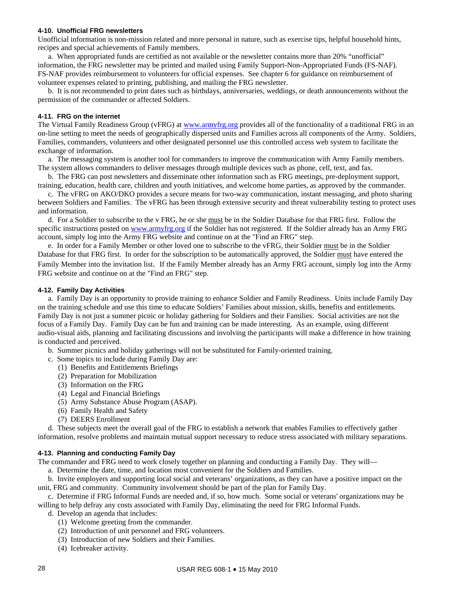#### **4-10. Unofficial FRG newsletters**

Unofficial information is non-mission related and more personal in nature, such as exercise tips, helpful household hints, recipes and special achievements of Family members.

 a. When appropriated funds are certified as not available or the newsletter contains more than 20% "unofficial" information, the FRG newsletter may be printed and mailed using Family Support-Non-Appropriated Funds (FS-NAF). FS-NAF provides reimbursement to volunteers for official expenses. See chapter 6 for guidance on reimbursement of volunteer expenses related to printing, publishing, and mailing the FRG newsletter.

 b. It is not recommended to print dates such as birthdays, anniversaries, weddings, or death announcements without the permission of the commander or affected Soldiers.

#### **4-11. FRG on the internet**

The Virtual Family Readiness Group (vFRG) at [www.armyfrg.org](http://www.armyfrg.org/) provides all of the functionality of a traditional FRG in an on-line setting to meet the needs of geographically dispersed units and Families across all components of the Army. Soldiers, Families, commanders, volunteers and other designated personnel use this controlled access web system to facilitate the exchange of information.

 a. The messaging system is another tool for commanders to improve the communication with Army Family members. The system allows commanders to deliver messages through multiple devices such as phone, cell, text, and fax.

 b. The FRG can post newsletters and disseminate other information such as FRG meetings, pre-deployment support, training, education, health care, children and youth initiatives, and welcome home parties, as approved by the commander.

 c. The vFRG on AKO/DKO provides a secure means for two-way communication, instant messaging, and photo sharing between Soldiers and Families. The vFRG has been through extensive security and threat vulnerability testing to protect uses and information.

 d. For a Soldier to subscribe to the v FRG, he or she must be in the Soldier Database for that FRG first. Follow the specific instructions posted on [www.armyfrg.org](http://www.armyfrg.org/) if the Soldier has not registered. If the Soldier already has an Army FRG account, simply log into the Army FRG website and continue on at the "Find an FRG" step.

 e. In order for a Family Member or other loved one to subscribe to the vFRG, their Soldier must be in the Soldier Database for that FRG first. In order for the subscription to be automatically approved, the Soldier must have entered the Family Member into the invitation list. If the Family Member already has an Army FRG account, simply log into the Army FRG website and continue on at the "Find an FRG" step.

#### **4-12. Family Day Activities**

 a. Family Day is an opportunity to provide training to enhance Soldier and Family Readiness. Units include Family Day on the training schedule and use this time to educate Soldiers' Families about mission, skills, benefits and entitlements. Family Day is not just a summer picnic or holiday gathering for Soldiers and their Families.Social activities are not the focus of a Family Day. Family Day can be fun and training can be made interesting. As an example, using different audio-visual aids, planning and facilitating discussions and involving the participants will make a difference in how training is conducted and perceived.

b. Summer picnics and holiday gatherings will not be substituted for Family-oriented training.

- c. Some topics to include during Family Day are:
	- (1) Benefits and Entitlements Briefings
	- (2) Preparation for Mobilization
	- (3) Information on the FRG
	- (4) Legal and Financial Briefings
	- (5) Army Substance Abuse Program (ASAP).
	- (6) Family Health and Safety
	- (7) DEERS Enrollment

 d. These subjects meet the overall goal of the FRG to establish a network that enables Families to effectively gather information, resolve problems and maintain mutual support necessary to reduce stress associated with military separations.

#### **4-13. Planning and conducting Family Day**

The commander and FRG need to work closely together on planning and conducting a Family Day. They will—

a. Determine the date, time, and location most convenient for the Soldiers and Families.

 b. Invite employers and supporting local social and veterans' organizations, as they can have a positive impact on the unit, FRG and community. Community involvement should be part of the plan for Family Day.

 c. Determine if FRG Informal Funds are needed and, if so, how much. Some social or veterans' organizations may be willing to help defray any costs associated with Family Day, eliminating the need for FRG Informal Funds.

- d. Develop an agenda that includes:
	- (1) Welcome greeting from the commander.
	- (2) Introduction of unit personnel and FRG volunteers.
	- (3) Introduction of new Soldiers and their Families.
	- (4) Icebreaker activity.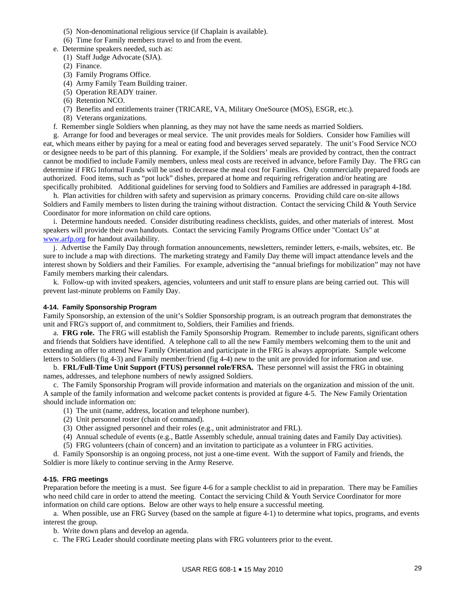- (5) Non-denominational religious service (if Chaplain is available).
- (6) Time for Family members travel to and from the event.
- e. Determine speakers needed, such as:
- (1) Staff Judge Advocate (SJA).
	- (2) Finance.
	- (3) Family Programs Office.
	- (4) Army Family Team Building trainer.
	- (5) Operation READY trainer.
	- (6) Retention NCO.
	- (7) Benefits and entitlements trainer (TRICARE, VA, Military OneSource (MOS), ESGR, etc.).
	- (8) Veterans organizations.
- f. Remember single Soldiers when planning, as they may not have the same needs as married Soldiers.

 g. Arrange for food and beverages or meal service. The unit provides meals for Soldiers. Consider how Families will eat, which means either by paying for a meal or eating food and beverages served separately. The unit's Food Service NCO or designee needs to be part of this planning. For example, if the Soldiers' meals are provided by contract, then the contract cannot be modified to include Family members, unless meal costs are received in advance, before Family Day. The FRG can determine if FRG Informal Funds will be used to decrease the meal cost for Families. Only commercially prepared foods are authorized. Food items, such as "pot luck" dishes, prepared at home and requiring refrigeration and/or heating are specifically prohibited. Additional guidelines for serving food to Soldiers and Families are addressed in paragraph 4-18d.

 h. Plan activities for children with safety and supervision as primary concerns. Providing child care on-site allows Soldiers and Family members to listen during the training without distraction. Contact the servicing Child & Youth Service Coordinator for more information on child care options.

 i. Determine handouts needed. Consider distributing readiness checklists, guides, and other materials of interest*.* Most speakers will provide their own handouts. Contact the servicing Family Programs Office under "Contact Us" at [www.arfp.org](http://www.arfp.org/) for handout availability.

 j. Advertise the Family Day through formation announcements, newsletters, reminder letters, e-mails, websites, etc. Be sure to include a map with directions. The marketing strategy and Family Day theme will impact attendance levels and the interest shown by Soldiers and their Families. For example, advertising the "annual briefings for mobilization" may not have Family members marking their calendars.

 k. Follow-up with invited speakers, agencies, volunteers and unit staff to ensure plans are being carried out. This will prevent last-minute problems on Family Day.

#### **4-14. Family Sponsorship Program**

Family Sponsorship, an extension of the unit's Soldier Sponsorship program, is an outreach program that demonstrates the unit and FRG's support of, and commitment to, Soldiers, their Families and friends.

 a. **FRG role.** The FRG will establish the Family Sponsorship Program. Remember to include parents, significant others and friends that Soldiers have identified. A telephone call to all the new Family members welcoming them to the unit and extending an offer to attend New Family Orientation and participate in the FRG is always appropriate. Sample welcome letters to Soldiers (fig 4-3) and Family member/friend (fig 4-4) new to the unit are provided for information and use.

 b. **FRL/Full-Time Unit Support (FTUS) personnel role/FRSA.** These personnel will assist the FRG in obtaining names, addresses, and telephone numbers of newly assigned Soldiers.

 c. The Family Sponsorship Program will provide information and materials on the organization and mission of the unit. A sample of the family information and welcome packet contents is provided at figure 4-5. The New Family Orientation should include information on:

- (1) The unit (name, address, location and telephone number).
- (2) Unit personnel roster (chain of command).
- (3) Other assigned personnel and their roles (e.g., unit administrator and FRL).
- (4) Annual schedule of events (e.g., Battle Assembly schedule, annual training dates and Family Day activities).
- (5) FRG volunteers (chain of concern) and an invitation to participate as a volunteer in FRG activities.

d. Family Sponsorship is an ongoing process, not just a one-time event. With the support of Family and friends, the Soldier is more likely to continue serving in the Army Reserve.

#### **4-15. FRG meetings**

Preparation before the meeting is a must. See figure 4-6 for a sample checklist to aid in preparation. There may be Families who need child care in order to attend the meeting. Contact the servicing Child & Youth Service Coordinator for more information on child care options. Below are other ways to help ensure a successful meeting.

 a. When possible, use an FRG Survey (based on the sample at figure 4-1) to determine what topics, programs, and events interest the group.

b. Write down plans and develop an agenda.

c. The FRG Leader should coordinate meeting plans with FRG volunteers prior to the event.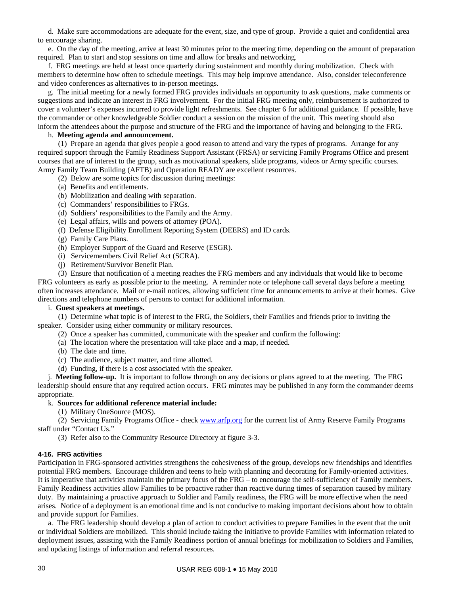d. Make sure accommodations are adequate for the event, size, and type of group. Provide a quiet and confidential area to encourage sharing.

 e. On the day of the meeting, arrive at least 30 minutes prior to the meeting time, depending on the amount of preparation required. Plan to start and stop sessions on time and allow for breaks and networking.

 f. FRG meetings are held at least once quarterly during sustainment and monthly during mobilization. Check with members to determine how often to schedule meetings. This may help improve attendance. Also, consider teleconference and video conferences as alternatives to in-person meetings.

 g. The initial meeting for a newly formed FRG provides individuals an opportunity to ask questions, make comments or suggestions and indicate an interest in FRG involvement. For the initial FRG meeting only, reimbursement is authorized to cover a volunteer's expenses incurred to provide light refreshments. See chapter 6 for additional guidance. If possible, have the commander or other knowledgeable Soldier conduct a session on the mission of the unit. This meeting should also inform the attendees about the purpose and structure of the FRG and the importance of having and belonging to the FRG.

### h. **Meeting agenda and announcement.**

 (1) Prepare an agenda that gives people a good reason to attend and vary the types of programs. Arrange for any required support through the Family Readiness Support Assistant (FRSA) or servicing Family Programs Office and present courses that are of interest to the group, such as motivational speakers, slide programs, videos or Army specific courses. Army Family Team Building (AFTB) and Operation READY are excellent resources.

- (2) Below are some topics for discussion during meetings:
- (a) Benefits and entitlements.
- (b) Mobilization and dealing with separation.
- (c) Commanders' responsibilities to FRGs.
- (d) Soldiers' responsibilities to the Family and the Army.
- (e) Legal affairs, wills and powers of attorney (POA).
- (f) Defense Eligibility Enrollment Reporting System (DEERS) and ID cards.
- (g) Family Care Plans.
- (h) Employer Support of the Guard and Reserve (ESGR).
- (i) Servicemembers Civil Relief Act (SCRA).
- (j) Retirement/Survivor Benefit Plan.

 (3) Ensure that notification of a meeting reaches the FRG members and any individuals that would like to become FRG volunteers as early as possible prior to the meeting. A reminder note or telephone call several days before a meeting often increases attendance. Mail or e-mail notices, allowing sufficient time for announcements to arrive at their homes. Give directions and telephone numbers of persons to contact for additional information.

### i. **Guest speakers at meetings.**

(1) Determine what topic is of interest to the FRG, the Soldiers, their Families and friends prior to inviting the speaker. Consider using either community or military resources.

- (2) Once a speaker has committed, communicate with the speaker and confirm the following:
- (a) The location where the presentation will take place and a map, if needed.
- (b) The date and time.
- (c) The audience, subject matter, and time allotted.
- (d) Funding, if there is a cost associated with the speaker.

 j. **Meeting follow-up.** It is important to follow through on any decisions or plans agreed to at the meeting. The FRG leadership should ensure that any required action occurs. FRG minutes may be published in any form the commander deems appropriate.

### k. **Sources for additional reference material include:**

(1) Military OneSource (MOS).

 (2) Servicing Family Programs Office - check [www.arfp.org](http://www.arfp.org/) for the current list of Army Reserve Family Programs staff under "Contact Us."

(3) Refer also to the Community Resource Directory at figure 3-3.

### **4-16. FRG activities**

Participation in FRG-sponsored activities strengthens the cohesiveness of the group, develops new friendships and identifies potential FRG members. Encourage children and teens to help with planning and decorating for Family-oriented activities. It is imperative that activities maintain the primary focus of the FRG – to encourage the self-sufficiency of Family members. Family Readiness activities allow Families to be proactive rather than reactive during times of separation caused by military duty. By maintaining a proactive approach to Soldier and Family readiness, the FRG will be more effective when the need arises. Notice of a deployment is an emotional time and is not conducive to making important decisions about how to obtain and provide support for Families.

 a. The FRG leadership should develop a plan of action to conduct activities to prepare Families in the event that the unit or individual Soldiers are mobilized. This should include taking the initiative to provide Families with information related to deployment issues, assisting with the Family Readiness portion of annual briefings for mobilization to Soldiers and Families, and updating listings of information and referral resources.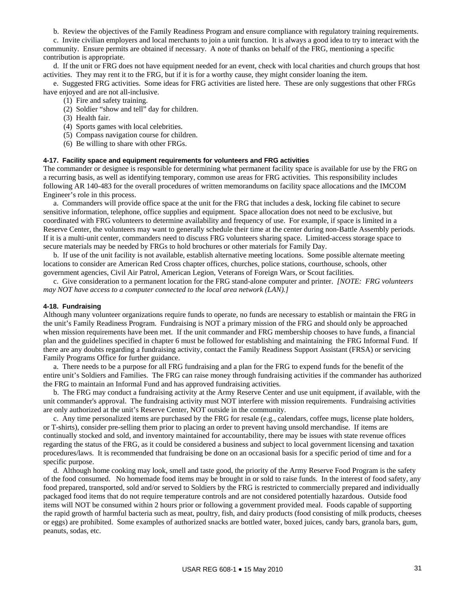b. Review the objectives of the Family Readiness Program and ensure compliance with regulatory training requirements.

 c. Invite civilian employers and local merchants to join a unit function. It is always a good idea to try to interact with the community. Ensure permits are obtained if necessary. A note of thanks on behalf of the FRG, mentioning a specific contribution is appropriate.

 d. If the unit or FRG does not have equipment needed for an event, check with local charities and church groups that host activities. They may rent it to the FRG, but if it is for a worthy cause, they might consider loaning the item.

 e. Suggested FRG activities. Some ideas for FRG activities are listed here. These are only suggestions that other FRGs have enjoyed and are not all-inclusive.

- (1) Fire and safety training.
- (2) Soldier "show and tell" day for children.
- (3) Health fair.
- (4) Sports games with local celebrities.
- (5) Compass navigation course for children.
- (6) Be willing to share with other FRGs.

### **4-17. Facility space and equipment requirements for volunteers and FRG activities**

The commander or designee is responsible for determining what permanent facility space is available for use by the FRG on a recurring basis, as well as identifying temporary, common use areas for FRG activities. This responsibility includes following AR 140-483 for the overall procedures of written memorandums on facility space allocations and the IMCOM Engineer's role in this process.

 a. Commanders will provide office space at the unit for the FRG that includes a desk, locking file cabinet to secure sensitive information, telephone, office supplies and equipment. Space allocation does not need to be exclusive, but coordinated with FRG volunteers to determine availability and frequency of use. For example, if space is limited in a Reserve Center, the volunteers may want to generally schedule their time at the center during non-Battle Assembly periods. If it is a multi-unit center, commanders need to discuss FRG volunteers sharing space. Limited-access storage space to secure materials may be needed by FRGs to hold brochures or other materials for Family Day.

 b. If use of the unit facility is not available, establish alternative meeting locations. Some possible alternate meeting locations to consider are American Red Cross chapter offices, churches, police stations, courthouse, schools, other government agencies, Civil Air Patrol, American Legion, Veterans of Foreign Wars, or Scout facilities.

 c. Give consideration to a permanent location for the FRG stand-alone computer and printer. *[NOTE: FRG volunteers may NOT have access to a computer connected to the local area network (LAN).]* 

#### **4-18. Fundraising**

Although many volunteer organizations require funds to operate, no funds are necessary to establish or maintain the FRG in the unit's Family Readiness Program. Fundraising is NOT a primary mission of the FRG and should only be approached when mission requirements have been met. If the unit commander and FRG membership chooses to have funds, a financial plan and the guidelines specified in chapter 6 must be followed for establishing and maintaining the FRG Informal Fund. If there are any doubts regarding a fundraising activity, contact the Family Readiness Support Assistant (FRSA) or servicing Family Programs Office for further guidance.

a. There needs to be a purpose for all FRG fundraising and a plan for the FRG to expend funds for the benefit of the entire unit's Soldiers and Families. The FRG can raise money through fundraising activities if the commander has authorized the FRG to maintain an Informal Fund and has approved fundraising activities.

 b. The FRG may conduct a fundraising activity at the Army Reserve Center and use unit equipment, if available, with the unit commander's approval. The fundraising activity must NOT interfere with mission requirements. Fundraising activities are only authorized at the unit's Reserve Center, NOT outside in the community.

 c. Any time personalized items are purchased by the FRG for resale (e.g., calendars, coffee mugs, license plate holders, or T-shirts), consider pre-selling them prior to placing an order to prevent having unsold merchandise. If items are continually stocked and sold, and inventory maintained for accountability, there may be issues with state revenue offices regarding the status of the FRG, as it could be considered a business and subject to local government licensing and taxation procedures/laws. It is recommended that fundraising be done on an occasional basis for a specific period of time and for a specific purpose.

 d. Although home cooking may look, smell and taste good, the priority of the Army Reserve Food Program is the safety of the food consumed. No homemade food items may be brought in or sold to raise funds. In the interest of food safety, any food prepared, transported, sold and/or served to Soldiers by the FRG is restricted to commercially prepared and individually packaged food items that do not require temperature controls and are not considered potentially hazardous. Outside food items will NOT be consumed within 2 hours prior or following a government provided meal. Foods capable of supporting the rapid growth of harmful bacteria such as meat, poultry, fish, and dairy products (food consisting of milk products, cheeses or eggs) are prohibited. Some examples of authorized snacks are bottled water, boxed juices, candy bars, granola bars, gum, peanuts, sodas, etc.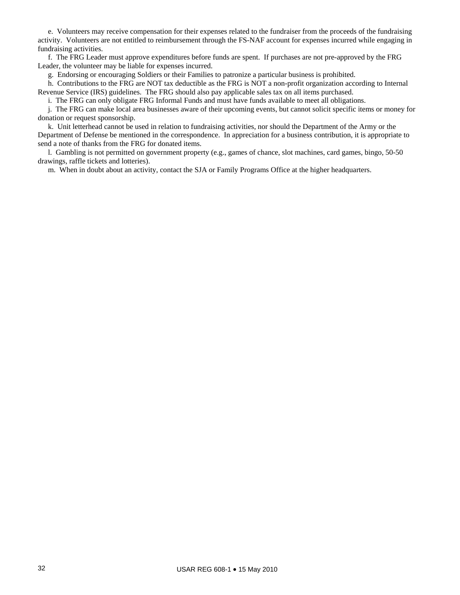e. Volunteers may receive compensation for their expenses related to the fundraiser from the proceeds of the fundraising activity. Volunteers are not entitled to reimbursement through the FS-NAF account for expenses incurred while engaging in fundraising activities.

 f. The FRG Leader must approve expenditures before funds are spent. If purchases are not pre-approved by the FRG Leader, the volunteer may be liable for expenses incurred.

g. Endorsing or encouraging Soldiers or their Families to patronize a particular business is prohibited.

 h. Contributions to the FRG are NOT tax deductible as the FRG is NOT a non-profit organization according to Internal Revenue Service (IRS) guidelines. The FRG should also pay applicable sales tax on all items purchased.

i. The FRG can only obligate FRG Informal Funds and must have funds available to meet all obligations.

 j. The FRG can make local area businesses aware of their upcoming events, but cannot solicit specific items or money for donation or request sponsorship.

 k. Unit letterhead cannot be used in relation to fundraising activities, nor should the Department of the Army or the Department of Defense be mentioned in the correspondence. In appreciation for a business contribution, it is appropriate to send a note of thanks from the FRG for donated items.

 l. Gambling is not permitted on government property (e.g., games of chance, slot machines, card games, bingo, 50-50 drawings, raffle tickets and lotteries).

m. When in doubt about an activity, contact the SJA or Family Programs Office at the higher headquarters.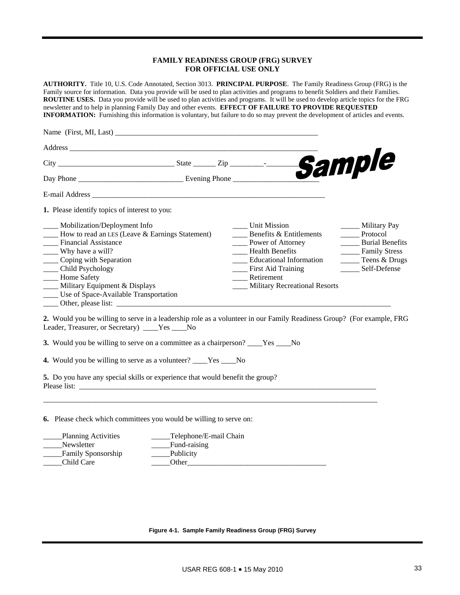### **FAMILY READINESS GROUP (FRG) SURVEY FOR OFFICIAL USE ONLY**

**AUTHORITY.** Title 10, U.S. Code Annotated, Section 3013. **PRINCIPAL PURPOSE**. The Family Readiness Group (FRG) is the Family source for information. Data you provide will be used to plan activities and programs to benefit Soldiers and their Families. **ROUTINE USES.** Data you provide will be used to plan activities and programs. It will be used to develop article topics for the FRG newsletter and to help in planning Family Day and other events. **EFFECT OF FAILURE TO PROVIDE REQUESTED INFORMATION:** Furnishing this information is voluntary, but failure to do so may prevent the development of articles and events. Name (First, MI, Last) \_\_\_\_\_\_\_\_\_\_\_\_\_\_\_\_\_\_\_\_\_\_\_\_\_\_\_\_\_\_\_\_\_\_\_\_\_\_\_\_\_\_\_\_\_\_\_\_\_\_\_\_\_\_ Address \_\_\_\_\_\_\_\_\_\_\_\_\_\_\_\_\_\_\_\_\_\_\_\_\_\_\_\_\_\_\_\_\_\_\_\_\_\_\_\_\_\_\_\_\_\_\_\_\_\_\_\_\_\_\_\_\_\_\_\_\_\_\_\_\_\_  $City$   $\_$ Day Phone \_\_\_\_\_\_\_\_\_\_\_\_\_\_\_\_\_\_\_\_\_\_\_\_\_\_\_\_ Evening Phone \_\_\_\_\_\_\_\_\_\_\_\_\_\_\_\_\_\_\_\_\_\_\_ E-mail Address \_\_\_\_\_\_\_\_\_\_\_\_\_\_\_\_\_\_\_\_\_\_\_\_\_\_\_\_\_\_\_\_\_\_\_\_\_\_\_\_\_\_\_\_\_\_\_\_\_\_\_\_\_\_\_\_\_\_\_\_\_\_ **1.** Please identify topics of interest to you: \_\_\_\_ Mobilization/Deployment Info \_\_\_\_ Unit Mission \_\_\_\_\_ Military Pay \_\_\_\_ How to read an LES (Leave & Earnings Statement) \_\_\_\_ Benefits & Entitlements \_\_\_\_\_ Protocol **\_\_\_\_** Power of Attorney \_\_\_\_ Why have a will? \_\_\_\_ Health Benefits \_\_\_\_\_ Family Stress \_\_\_\_ Coping with Separation \_\_\_\_ Educational Information \_\_\_\_\_ Teens & Drugs \_\_\_\_\_ Child Psychology \_\_\_\_\_\_ First Aid Training \_\_\_\_\_\_\_ Self-Defense \_\_\_\_\_\_ Home Safety \_\_\_\_\_ New Self-Defense  $\frac{1}{\sqrt{2}}$  Home Safety \_\_\_\_ Military Equipment & Displays \_\_\_\_ Military Recreational Resorts \_\_\_\_ Use of Space-Available Transportation \_\_\_\_ Other, please list: \_\_\_\_\_\_\_\_\_\_\_\_\_\_\_\_\_\_\_\_\_\_\_\_\_\_\_\_\_\_\_\_\_\_\_\_\_\_\_\_\_\_\_\_\_\_\_\_\_\_\_\_\_\_\_\_\_\_\_\_\_\_\_\_\_\_\_\_\_\_\_\_\_ **2.** Would you be willing to serve in a leadership role as a volunteer in our Family Readiness Group? (For example, FRG Leader, Treasurer, or Secretary) Yes No **3.** Would you be willing to serve on a committee as a chairperson? \_\_\_\_Yes \_\_\_\_No **4.** Would you be willing to serve as a volunteer? \_\_\_\_Yes \_\_\_\_No **5.** Do you have any special skills or experience that would benefit the group? Please list: \_\_\_\_\_\_\_\_\_\_\_\_\_\_\_\_\_\_\_\_\_\_\_\_\_\_\_\_\_\_\_\_\_\_\_\_\_\_\_\_\_\_\_\_\_\_\_\_\_\_\_\_\_\_\_\_\_\_\_\_\_\_\_\_\_\_\_\_\_\_\_\_\_\_\_\_\_\_\_ \_\_\_\_\_\_\_\_\_\_\_\_\_\_\_\_\_\_\_\_\_\_\_\_\_\_\_\_\_\_\_\_\_\_\_\_\_\_\_\_\_\_\_\_\_\_\_\_\_\_\_\_\_\_\_\_\_\_\_\_\_\_\_\_\_\_\_\_\_\_\_\_\_\_\_\_\_\_\_\_\_\_\_\_\_\_\_\_\_ **6.** Please check which committees you would be willing to serve on: Planning Activities Telephone/E-mail Chain Newsletter **E**und-raising

**Figure 4-1. Sample Family Readiness Group (FRG) Survey** 

\_\_\_\_\_Family Sponsorship \_\_\_\_\_Publicity Child Care **Late Child Care Other**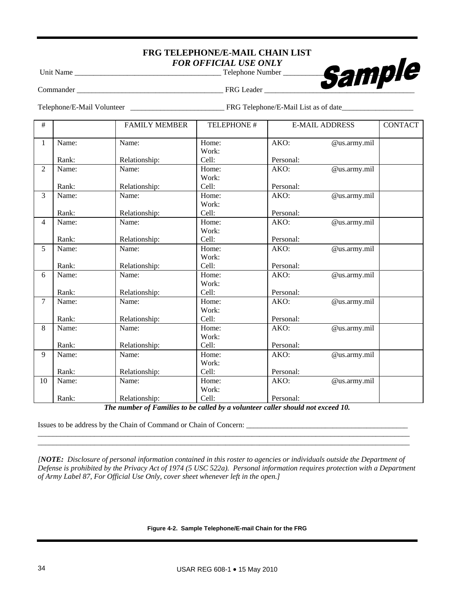# **FRG TELEPHONE/E-MAIL CHAIN LIST**  *FOR OFFICIAL USE ONLY*



Commander \_\_\_\_\_\_\_\_\_\_\_\_\_\_\_\_\_\_\_\_\_\_\_\_\_\_\_\_\_\_\_\_\_\_\_\_\_\_\_ FRG Leader \_\_\_\_\_\_\_\_\_\_\_\_\_\_\_\_\_\_\_\_\_\_\_\_\_\_\_\_\_\_\_\_\_\_\_\_\_\_\_\_

Telephone/E-Mail Volunteer \_\_\_\_\_\_\_\_\_\_\_\_\_\_\_\_\_\_\_\_\_\_\_\_\_ FRG Telephone/E-Mail List as of date\_\_\_\_\_\_\_\_\_\_\_\_\_\_\_\_\_\_\_

| $\#$           |       | <b>FAMILY MEMBER</b> | TELEPHONE # |           | <b>E-MAIL ADDRESS</b> | <b>CONTACT</b> |
|----------------|-------|----------------------|-------------|-----------|-----------------------|----------------|
| $\mathbf{1}$   | Name: | Name:                | Home:       | AKO:      | @us.army.mil          |                |
|                |       |                      | Work:       |           |                       |                |
|                | Rank: | Relationship:        | Cell:       | Personal: |                       |                |
| $\overline{2}$ | Name: | Name:                | Home:       | AKO:      | @us.army.mil          |                |
|                |       |                      | Work:       |           |                       |                |
|                | Rank: | Relationship:        | Cell:       | Personal: |                       |                |
| 3              | Name: | Name:                | Home:       | AKO:      | @us.army.mil          |                |
|                |       |                      | Work:       |           |                       |                |
|                | Rank: | Relationship:        | Cell:       | Personal: |                       |                |
| 4              | Name: | Name:                | Home:       | AKO:      | @us.army.mil          |                |
|                |       |                      | Work:       |           |                       |                |
|                | Rank: | Relationship:        | Cell:       | Personal: |                       |                |
| 5              | Name: | Name:                | Home:       | AKO:      | @us.army.mil          |                |
|                |       |                      | Work:       |           |                       |                |
|                | Rank: | Relationship:        | Cell:       | Personal: |                       |                |
| 6              | Name: | Name:                | Home:       | AKO:      | @us.army.mil          |                |
|                |       |                      | Work:       |           |                       |                |
|                | Rank: | Relationship:        | Cell:       | Personal: |                       |                |
| 7              | Name: | Name:                | Home:       | AKO:      | @us.army.mil          |                |
|                |       |                      | Work:       |           |                       |                |
|                | Rank: | Relationship:        | Cell:       | Personal: |                       |                |
| 8              | Name: | Name:                | Home:       | AKO:      | @us.army.mil          |                |
|                |       |                      | Work:       |           |                       |                |
|                | Rank: | Relationship:        | Cell:       | Personal: |                       |                |
| 9              | Name: | Name:                | Home:       | AKO:      | @us.army.mil          |                |
|                |       |                      | Work:       |           |                       |                |
|                | Rank: | Relationship:        | Cell:       | Personal: |                       |                |
| 10             | Name: | Name:                | Home:       | AKO:      | @us.army.mil          |                |
|                |       |                      | Work:       |           |                       |                |
|                | Rank: | Relationship:        | Cell:       | Personal: |                       |                |

*The number of Families to be called by a volunteer caller should not exceed 10.* 

\_\_\_\_\_\_\_\_\_\_\_\_\_\_\_\_\_\_\_\_\_\_\_\_\_\_\_\_\_\_\_\_\_\_\_\_\_\_\_\_\_\_\_\_\_\_\_\_\_\_\_\_\_\_\_\_\_\_\_\_\_\_\_\_\_\_\_\_\_\_\_\_\_\_\_\_\_\_\_\_\_\_\_\_\_\_\_\_\_\_\_\_\_\_\_\_\_\_\_ \_\_\_\_\_\_\_\_\_\_\_\_\_\_\_\_\_\_\_\_\_\_\_\_\_\_\_\_\_\_\_\_\_\_\_\_\_\_\_\_\_\_\_\_\_\_\_\_\_\_\_\_\_\_\_\_\_\_\_\_\_\_\_\_\_\_\_\_\_\_\_\_\_\_\_\_\_\_\_\_\_\_\_\_\_\_\_\_\_\_\_\_\_\_\_\_\_\_\_

Issues to be address by the Chain of Command or Chain of Concern: \_\_\_\_\_\_\_\_\_\_\_\_\_\_\_\_\_\_\_\_\_\_\_\_\_\_\_\_\_\_\_\_\_\_\_\_\_\_\_\_\_\_\_

*[NOTE: Disclosure of personal information contained in this roster to agencies or individuals outside the Department of Defense is prohibited by the Privacy Act of 1974 (5 USC 522a). Personal information requires protection with a Department of Army Label 87, For Official Use Only, cover sheet whenever left in the open.]*

**Figure 4-2. Sample Telephone/E-mail Chain for the FRG**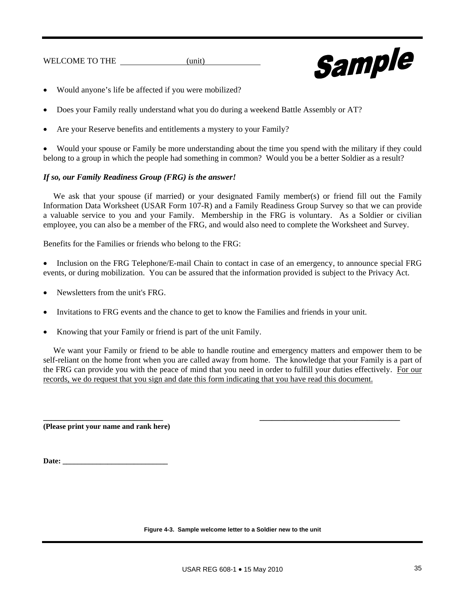WELCOME TO THE (unit)



- Would anyone's life be affected if you were mobilized?
- Does your Family really understand what you do during a weekend Battle Assembly or AT?
- Are your Reserve benefits and entitlements a mystery to your Family?

 Would your spouse or Family be more understanding about the time you spend with the military if they could belong to a group in which the people had something in common? Would you be a better Soldier as a result?

# *If so, our Family Readiness Group (FRG) is the answer!*

We ask that your spouse (if married) or your designated Family member(s) or friend fill out the Family Information Data Worksheet (USAR Form 107-R) and a Family Readiness Group Survey so that we can provide a valuable service to you and your Family. Membership in the FRG is voluntary. As a Soldier or civilian employee, you can also be a member of the FRG, and would also need to complete the Worksheet and Survey.

Benefits for the Families or friends who belong to the FRG:

• Inclusion on the FRG Telephone/E-mail Chain to contact in case of an emergency, to announce special FRG events, or during mobilization. You can be assured that the information provided is subject to the Privacy Act.

- Newsletters from the unit's FRG.
- Invitations to FRG events and the chance to get to know the Families and friends in your unit.
- Knowing that your Family or friend is part of the unit Family.

We want your Family or friend to be able to handle routine and emergency matters and empower them to be self-reliant on the home front when you are called away from home. The knowledge that your Family is a part of the FRG can provide you with the peace of mind that you need in order to fulfill your duties effectively. For our records, we do request that you sign and date this form indicating that you have read this document.

**\_\_\_\_\_\_\_\_\_\_\_\_\_\_\_\_\_\_\_\_\_\_\_\_\_\_\_\_\_ \_\_\_\_\_\_\_\_\_\_\_\_\_\_\_\_\_\_\_\_\_\_\_\_\_\_\_\_\_\_\_\_\_\_** 

**(Please print your name and rank here)** 

Date:

**Figure 4-3. Sample welcome letter to a Soldier new to the unit**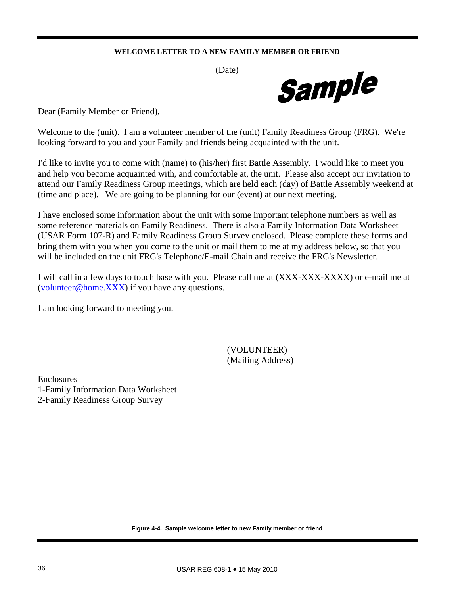# **WELCOME LETTER TO A NEW FAMILY MEMBER OR FRIEND**

(Date)



Dear (Family Member or Friend),

Welcome to the (unit). I am a volunteer member of the (unit) Family Readiness Group (FRG). We're looking forward to you and your Family and friends being acquainted with the unit.

I'd like to invite you to come with (name) to (his/her) first Battle Assembly. I would like to meet you and help you become acquainted with, and comfortable at, the unit. Please also accept our invitation to attend our Family Readiness Group meetings, which are held each (day) of Battle Assembly weekend at (time and place). We are going to be planning for our (event) at our next meeting.

I have enclosed some information about the unit with some important telephone numbers as well as some reference materials on Family Readiness. There is also a Family Information Data Worksheet (USAR Form 107-R) and Family Readiness Group Survey enclosed. Please complete these forms and bring them with you when you come to the unit or mail them to me at my address below, so that you will be included on the unit FRG's Telephone/E-mail Chain and receive the FRG's Newsletter.

I will call in a few days to touch base with you. Please call me at (XXX-XXX-XXXX) or e-mail me at [\(volunteer@home.XXX](mailto:volunteer@home.XXX)) if you have any questions.

I am looking forward to meeting you.

 (VOLUNTEER) (Mailing Address)

Enclosures 1-Family Information Data Worksheet 2-Family Readiness Group Survey

**Figure 4-4. Sample welcome letter to new Family member or friend**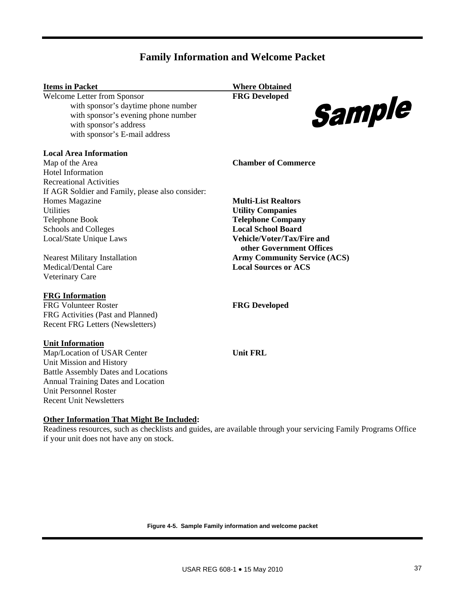# **Family Information and Welcome Packet**

| <b>Items in Packet</b>                           | <b>Where Obtained</b>                                         |
|--------------------------------------------------|---------------------------------------------------------------|
| Welcome Letter from Sponsor                      | <b>FRG</b> Developed                                          |
| with sponsor's daytime phone number              | Sample                                                        |
| with sponsor's evening phone number              |                                                               |
| with sponsor's address                           |                                                               |
| with sponsor's E-mail address                    |                                                               |
| <b>Local Area Information</b>                    |                                                               |
| Map of the Area                                  | <b>Chamber of Commerce</b>                                    |
| <b>Hotel Information</b>                         |                                                               |
| <b>Recreational Activities</b>                   |                                                               |
| If AGR Soldier and Family, please also consider: |                                                               |
| Homes Magazine                                   | <b>Multi-List Realtors</b>                                    |
| <b>Utilities</b>                                 | <b>Utility Companies</b>                                      |
| Telephone Book                                   | <b>Telephone Company</b>                                      |
| Schools and Colleges                             | <b>Local School Board</b>                                     |
| Local/State Unique Laws                          | <b>Vehicle/Voter/Tax/Fire and</b><br>other Government Offices |
| <b>Nearest Military Installation</b>             | <b>Army Community Service (ACS)</b>                           |
| Medical/Dental Care                              | <b>Local Sources or ACS</b>                                   |
| <b>Veterinary Care</b>                           |                                                               |
| <b>FRG</b> Information                           |                                                               |
| <b>FRG Volunteer Roster</b>                      | <b>FRG</b> Developed                                          |
| FRG Activities (Past and Planned)                |                                                               |
| Recent FRG Letters (Newsletters)                 |                                                               |
| <b>Unit Information</b>                          |                                                               |
| Map/Location of USAR Center                      | <b>Unit FRL</b>                                               |
| Unit Mission and History                         |                                                               |
| <b>Battle Assembly Dates and Locations</b>       |                                                               |
| <b>Annual Training Dates and Location</b>        |                                                               |
| <b>Unit Personnel Roster</b>                     |                                                               |
| <b>Recent Unit Newsletters</b>                   |                                                               |

# **Other Information That Might Be Included:**

Readiness resources, such as checklists and guides, are available through your servicing Family Programs Office if your unit does not have any on stock.

**Figure 4-5. Sample Family information and welcome packet**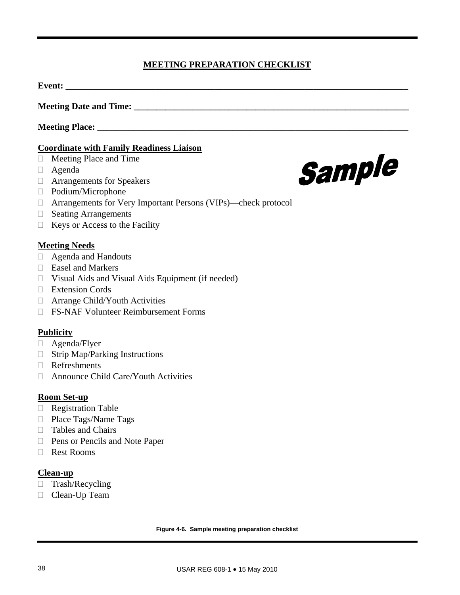# **MEETING PREPARATION CHECKLIST**

**Event:**  $\blacksquare$ 

**Meeting Date and Time: \_\_\_\_\_\_\_\_\_\_\_\_\_\_\_\_\_\_\_\_\_\_\_\_\_\_\_\_\_\_\_\_\_\_\_\_\_\_\_\_\_\_\_\_\_\_\_\_\_\_\_\_\_\_\_\_\_\_\_\_\_** 

**Meeting Place: \_\_\_\_\_\_\_\_\_\_\_\_\_\_\_\_\_\_\_\_\_\_\_\_\_\_\_\_\_\_\_\_\_\_\_\_\_\_\_\_\_\_\_\_\_\_\_\_\_\_\_\_\_\_\_\_\_\_\_\_\_\_\_\_\_\_\_\_\_** 

# **Coordinate with Family Readiness Liaison**

- Meeting Place and Time
- Agenda
- Arrangements for Speakers
- Podium/Microphone
- Arrangements for Very Important Persons (VIPs)—check protocol
- □ Seating Arrangements
- $\Box$  Keys or Access to the Facility

# **Meeting Needs**

- Agenda and Handouts
- □ Easel and Markers
- $\Box$  Visual Aids and Visual Aids Equipment (if needed)
- Extension Cords
- Arrange Child/Youth Activities
- FS-NAF Volunteer Reimbursement Forms

# **Publicity**

- □ Agenda/Flyer
- $\Box$  Strip Map/Parking Instructions
- Refreshments
- □ Announce Child Care/Youth Activities

# **Room Set-up**

- Registration Table
- □ Place Tags/Name Tags
- □ Tables and Chairs
- □ Pens or Pencils and Note Paper
- Rest Rooms

# **Clean-up**

- □ Trash/Recycling
- D Clean-Up Team



**Figure 4-6. Sample meeting preparation checklist**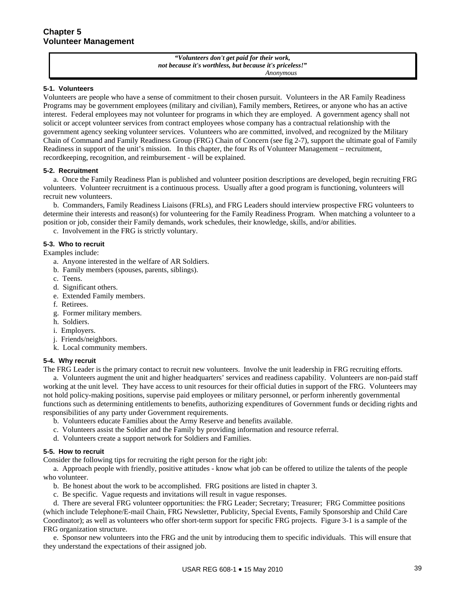*"Volunteers don't get paid for their work, not because it's worthless, but because it's priceless!" Anonymous* 

### **5-1. Volunteers**

Volunteers are people who have a sense of commitment to their chosen pursuit. Volunteers in the AR Family Readiness Programs may be government employees (military and civilian), Family members, Retirees, or anyone who has an active interest. Federal employees may not volunteer for programs in which they are employed. A government agency shall not solicit or accept volunteer services from contract employees whose company has a contractual relationship with the government agency seeking volunteer services. Volunteers who are committed, involved, and recognized by the Military Chain of Command and Family Readiness Group (FRG) Chain of Concern (see fig 2-7), support the ultimate goal of Family Readiness in support of the unit's mission. In this chapter, the four Rs of Volunteer Management – recruitment, recordkeeping, recognition, and reimbursement - will be explained.

### **5-2. Recruitment**

 a. Once the Family Readiness Plan is published and volunteer position descriptions are developed, begin recruiting FRG volunteers. Volunteer recruitment is a continuous process. Usually after a good program is functioning, volunteers will recruit new volunteers.

 b. Commanders, Family Readiness Liaisons (FRLs), and FRG Leaders should interview prospective FRG volunteers to determine their interests and reason(s) for volunteering for the Family Readiness Program. When matching a volunteer to a position or job, consider their Family demands, work schedules, their knowledge, skills, and/or abilities.

c. Involvement in the FRG is strictly voluntary.

### **5-3. Who to recruit**

Examples include:

- a. Anyone interested in the welfare of AR Soldiers.
- b. Family members (spouses, parents, siblings).
- c. Teens.
- d. Significant others.
- e. Extended Family members.
- f. Retirees.
- g. Former military members.
- h. Soldiers.
- i. Employers.
- j. Friends/neighbors.
- k. Local community members.

# **5-4. Why recruit**

The FRG Leader is the primary contact to recruit new volunteers. Involve the unit leadership in FRG recruiting efforts.

 a. Volunteers augment the unit and higher headquarters' services and readiness capability. Volunteers are non-paid staff working at the unit level. They have access to unit resources for their official duties in support of the FRG. Volunteers may not hold policy-making positions, supervise paid employees or military personnel, or perform inherently governmental functions such as determining entitlements to benefits, authorizing expenditures of Government funds or deciding rights and responsibilities of any party under Government requirements.

- b. Volunteers educate Families about the Army Reserve and benefits available.
- c. Volunteers assist the Soldier and the Family by providing information and resource referral.
- d. Volunteers create a support network for Soldiers and Families.

# **5-5. How to recruit**

Consider the following tips for recruiting the right person for the right job:

 a. Approach people with friendly, positive attitudes - know what job can be offered to utilize the talents of the people who volunteer.

- b. Be honest about the work to be accomplished. FRG positions are listed in chapter 3.
- c. Be specific. Vague requests and invitations will result in vague responses.

 d. There are several FRG volunteer opportunities: the FRG Leader; Secretary; Treasurer; FRG Committee positions (which include Telephone/E-mail Chain, FRG Newsletter, Publicity, Special Events, Family Sponsorship and Child Care Coordinator); as well as volunteers who offer short-term support for specific FRG projects. Figure 3-1 is a sample of the FRG organization structure.

 e. Sponsor new volunteers into the FRG and the unit by introducing them to specific individuals. This will ensure that they understand the expectations of their assigned job.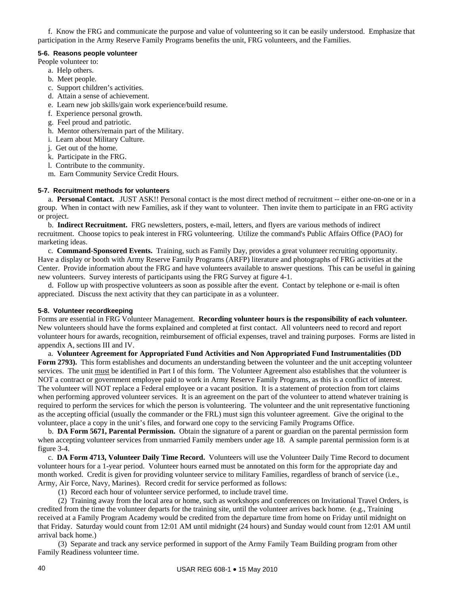f. Know the FRG and communicate the purpose and value of volunteering so it can be easily understood. Emphasize that participation in the Army Reserve Family Programs benefits the unit, FRG volunteers, and the Families.

### **5-6. Reasons people volunteer**

People volunteer to:

- a. Help others.
- b. Meet people.
- c. Support children's activities.
- d. Attain a sense of achievement.
- e. Learn new job skills/gain work experience/build resume.
- f. Experience personal growth.
- g. Feel proud and patriotic.
- h. Mentor others/remain part of the Military.
- i. Learn about Military Culture.
- j. Get out of the home.
- k. Participate in the FRG.
- l. Contribute to the community.
- m. Earn Community Service Credit Hours.

# **5-7. Recruitment methods for volunteers**

 a. **Personal Contact.** JUST ASK!! Personal contact is the most direct method of recruitment -- either one-on-one or in a group. When in contact with new Families, ask if they want to volunteer. Then invite them to participate in an FRG activity or project.

 b. **Indirect Recruitment.** FRG newsletters, posters, e-mail, letters, and flyers are various methods of indirect recruitment. Choose topics to peak interest in FRG volunteering. Utilize the command's Public Affairs Office (PAO) for marketing ideas.

 c. **Command-Sponsored Events.** Training, such as Family Day, provides a great volunteer recruiting opportunity. Have a display or booth with Army Reserve Family Programs (ARFP) literature and photographs of FRG activities at the Center. Provide information about the FRG and have volunteers available to answer questions. This can be useful in gaining new volunteers. Survey interests of participants using the FRG Survey at figure 4-1.

 d. Follow up with prospective volunteers as soon as possible after the event. Contact by telephone or e-mail is often appreciated. Discuss the next activity that they can participate in as a volunteer.

# **5-8. Volunteer recordkeeping**

Forms are essential in FRG Volunteer Management. **Recording volunteer hours is the responsibility of each volunteer***.*  New volunteers should have the forms explained and completed at first contact. All volunteers need to record and report volunteer hours for awards, recognition, reimbursement of official expenses, travel and training purposes. Forms are listed in appendix A, sections III and IV.

 a. **Volunteer Agreement for Appropriated Fund Activities and Non Appropriated Fund Instrumentalities (DD Form 2793).** This form establishes and documents an understanding between the volunteer and the unit accepting volunteer services. The unit must be identified in Part I of this form. The Volunteer Agreement also establishes that the volunteer is NOT a contract or government employee paid to work in Army Reserve Family Programs, as this is a conflict of interest. The volunteer will NOT replace a Federal employee or a vacant position. It is a statement of protection from tort claims when performing approved volunteer services. It is an agreement on the part of the volunteer to attend whatever training is required to perform the services for which the person is volunteering. The volunteer and the unit representative functioning as the accepting official (usually the commander or the FRL) must sign this volunteer agreement. Give the original to the volunteer, place a copy in the unit's files, and forward one copy to the servicing Family Programs Office.

 b. **DA Form 5671, Parental Permission.** Obtain the signature of a parent or guardian on the parental permission form when accepting volunteer services from unmarried Family members under age 18. A sample parental permission form is at figure 3-4.

 c. **DA Form 4713, Volunteer Daily Time Record.** Volunteers will use the Volunteer Daily Time Record to document volunteer hours for a 1-year period. Volunteer hours earned must be annotated on this form for the appropriate day and month worked. Credit is given for providing volunteer service to military Families, regardless of branch of service (i.e., Army, Air Force, Navy, Marines). Record credit for service performed as follows:

(1) Record each hour of volunteer service performed, to include travel time.

 (2) Training away from the local area or home, such as workshops and conferences on Invitational Travel Orders, is credited from the time the volunteer departs for the training site, until the volunteer arrives back home. (e.g., Training received at a Family Program Academy would be credited from the departure time from home on Friday until midnight on that Friday. Saturday would count from 12:01 AM until midnight (24 hours) and Sunday would count from 12:01 AM until arrival back home.)

 (3) Separate and track any service performed in support of the Army Family Team Building program from other Family Readiness volunteer time.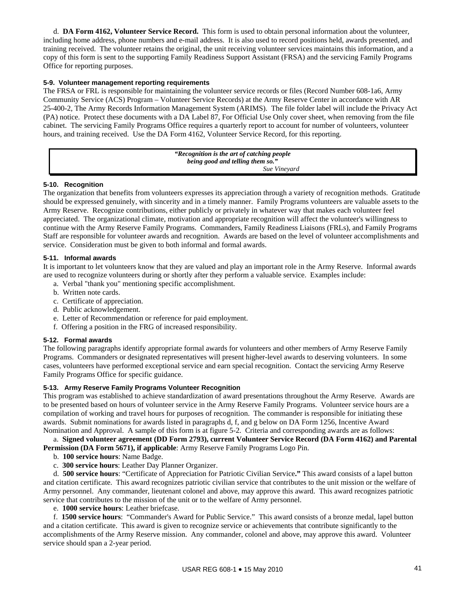d. **DA Form 4162, Volunteer Service Record.** This form is used to obtain personal information about the volunteer, including home address, phone numbers and e-mail address. It is also used to record positions held, awards presented, and training received. The volunteer retains the original, the unit receiving volunteer services maintains this information, and a copy of this form is sent to the supporting Family Readiness Support Assistant (FRSA) and the servicing Family Programs Office for reporting purposes.

### **5-9. Volunteer management reporting requirements**

The FRSA or FRL is responsible for maintaining the volunteer service records or files (Record Number 608-1a6, Army Community Service (ACS) Program – Volunteer Service Records) at the Army Reserve Center in accordance with AR 25-400-2, The Army Records Information Management System (ARIMS). The file folder label will include the Privacy Act (PA) notice. Protect these documents with a DA Label 87, For Official Use Only cover sheet, when removing from the file cabinet. The servicing Family Programs Office requires a quarterly report to account for number of volunteers, volunteer hours, and training received. Use the DA Form 4162, Volunteer Service Record, for this reporting.

> *"Recognition is the art of catching people being good and telling them so." Sue Vineyard*

### **5-10. Recognition**

The organization that benefits from volunteers expresses its appreciation through a variety of recognition methods. Gratitude should be expressed genuinely, with sincerity and in a timely manner. Family Programs volunteers are valuable assets to the Army Reserve. Recognize contributions, either publicly or privately in whatever way that makes each volunteer feel appreciated. The organizational climate, motivation and appropriate recognition will affect the volunteer's willingness to continue with the Army Reserve Family Programs. Commanders, Family Readiness Liaisons (FRLs), and Family Programs Staff are responsible for volunteer awards and recognition. Awards are based on the level of volunteer accomplishments and service. Consideration must be given to both informal and formal awards.

### **5-11. Informal awards**

It is important to let volunteers know that they are valued and play an important role in the Army Reserve. Informal awards are used to recognize volunteers during or shortly after they perform a valuable service. Examples include:

- a. Verbal "thank you" mentioning specific accomplishment.
- b. Written note cards.
- c. Certificate of appreciation.
- d. Public acknowledgement.
- e. Letter of Recommendation or reference for paid employment.
- f. Offering a position in the FRG of increased responsibility.

### **5-12. Formal awards**

The following paragraphs identify appropriate formal awards for volunteers and other members of Army Reserve Family Programs. Commanders or designated representatives will present higher-level awards to deserving volunteers. In some cases, volunteers have performed exceptional service and earn special recognition. Contact the servicing Army Reserve Family Programs Office for specific guidance.

### **5-13. Army Reserve Family Programs Volunteer Recognition**

This program was established to achieve standardization of award presentations throughout the Army Reserve. Awards are to be presented based on hours of volunteer service in the Army Reserve Family Programs. Volunteer service hours are a compilation of working and travel hours for purposes of recognition. The commander is responsible for initiating these awards.Submit nominations for awards listed in paragraphs d, f, and g below on DA Form 1256, Incentive Award Nomination and Approval. A sample of this form is at figure 5-2. Criteria and corresponding awards are as follows:

 a. **Signed volunteer agreement (DD Form 2793), current Volunteer Service Record (DA Form 4162) and Parental Permission (DA Form 5671), if applicable**: Army Reserve Family Programs Logo Pin.

- b. **100 service hours**: Name Badge.
- c. **300 service hours**: Leather Day Planner Organizer.

 d. **500 service hours**: "Certificate of Appreciation for Patriotic Civilian Service**."** This award consists of a lapel button and citation certificate. This award recognizes patriotic civilian service that contributes to the unit mission or the welfare of Army personnel. Any commander, lieutenant colonel and above, may approve this award. This award recognizes patriotic service that contributes to the mission of the unit or to the welfare of Army personnel.

e. **1000 service hours**: Leather briefcase.

 f. **1500 service hours**: "Commander's Award for Public Service." This award consists of a bronze medal, lapel button and a citation certificate. This award is given to recognize service or achievements that contribute significantly to the accomplishments of the Army Reserve mission. Any commander, colonel and above, may approve this award. Volunteer service should span a 2-year period.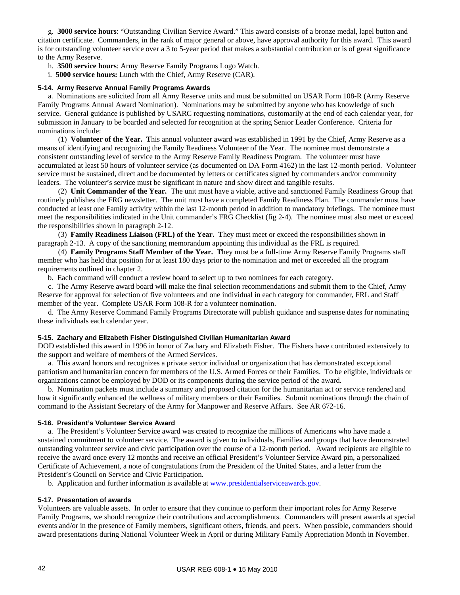g. **3000 service hours**: "Outstanding Civilian Service Award." This award consists of a bronze medal, lapel button and citation certificate. Commanders, in the rank of major general or above, have approval authority for this award. This award is for outstanding volunteer service over a 3 to 5-year period that makes a substantial contribution or is of great significance to the Army Reserve.

- h. **3500 service hours**: Army Reserve Family Programs Logo Watch.
- i. **5000 service hours:** Lunch with the Chief, Army Reserve (CAR).

### **5-14. Army Reserve Annual Family Programs Awards**

 a. Nominations are solicited from all Army Reserve units and must be submitted on USAR Form 108-R (Army Reserve Family Programs Annual Award Nomination). Nominations may be submitted by anyone who has knowledge of such service. General guidance is published by USARC requesting nominations, customarily at the end of each calendar year, for submission in January to be boarded and selected for recognition at the spring Senior Leader Conference. Criteria for nominations include:

 (1) **Volunteer of the Year. T**his annual volunteer award was established in 1991 by the Chief, Army Reserve as a means of identifying and recognizing the Family Readiness Volunteer of the Year. The nominee must demonstrate a consistent outstanding level of service to the Army Reserve Family Readiness Program. The volunteer must have accumulated at least 50 hours of volunteer service (as documented on DA Form 4162) in the last 12-month period. Volunteer service must be sustained, direct and be documented by letters or certificates signed by commanders and/or community leaders. The volunteer's service must be significant in nature and show direct and tangible results.

 (2) **Unit Commander of the Year.** The unit must have a viable, active and sanctioned Family Readiness Group that routinely publishes the FRG newsletter. The unit must have a completed Family Readiness Plan. The commander must have conducted at least one Family activity within the last 12-month period in addition to mandatory briefings. The nominee must meet the responsibilities indicated in the Unit commander's FRG Checklist (fig 2-4). The nominee must also meet or exceed the responsibilities shown in paragraph 2-12.

 (3) **Family Readiness Liaison (FRL) of the Year. T**hey must meet or exceed the responsibilities shown in paragraph 2-13. A copy of the sanctioning memorandum appointing this individual as the FRL is required.

 (4) **Family Programs Staff Member of the Year. T**hey must be a full-time Army Reserve Family Programs staff member who has held that position for at least 180 days prior to the nomination and met or exceeded all the program requirements outlined in chapter 2.

b. Each command will conduct a review board to select up to two nominees for each category.

 c. The Army Reserve award board will make the final selection recommendations and submit them to the Chief, Army Reserve for approval for selection of five volunteers and one individual in each category for commander, FRL and Staff member of the year. Complete USAR Form 108-R for a volunteer nomination.

 d. The Army Reserve Command Family Programs Directorate will publish guidance and suspense dates for nominating these individuals each calendar year.

### **5-15. Zachary and Elizabeth Fisher Distinguished Civilian Humanitarian Award**

DOD established this award in 1996 in honor of Zachary and Elizabeth Fisher. The Fishers have contributed extensively to the support and welfare of members of the Armed Services.

 a. This award honors and recognizes a private sector individual or organization that has demonstrated exceptional patriotism and humanitarian concern for members of the U.S. Armed Forces or their Families. To be eligible, individuals or organizations cannot be employed by DOD or its components during the service period of the award.

 b. Nomination packets must include a summary and proposed citation for the humanitarian act or service rendered and how it significantly enhanced the wellness of military members or their Families. Submit nominations through the chain of command to the Assistant Secretary of the Army for Manpower and Reserve Affairs. See AR 672-16.

### **5-16. President's Volunteer Service Award**

 a. The President's Volunteer Service award was created to recognize the millions of Americans who have made a sustained commitment to volunteer service. The award is given to individuals, Families and groups that have demonstrated outstanding volunteer service and civic participation over the course of a 12-month period. Award recipients are eligible to receive the award once every 12 months and receive an official President's Volunteer Service Award pin, a personalized Certificate of Achievement, a note of congratulations from the President of the United States, and a letter from the President's Council on Service and Civic Participation.

b. Application and further information is available at [www.presidentialserviceawards.gov.](http://www.presidentialserviceawards.gov/)

# **5-17. Presentation of awards**

Volunteers are valuable assets. In order to ensure that they continue to perform their important roles for Army Reserve Family Programs, we should recognize their contributions and accomplishments.Commanders will present awards at special events and/or in the presence of Family members, significant others, friends, and peers. When possible, commanders should award presentations during National Volunteer Week in April or during Military Family Appreciation Month in November.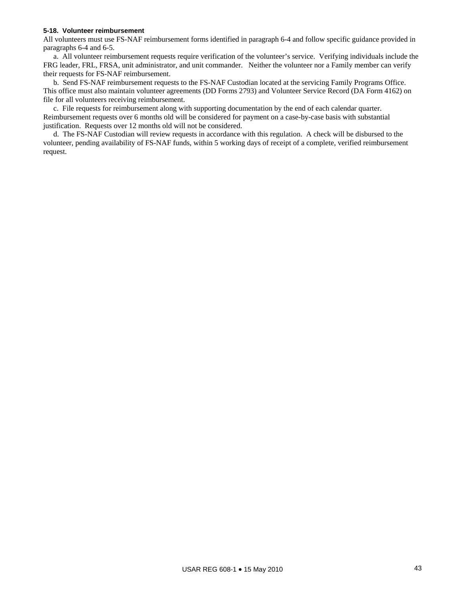#### **5-18. Volunteer reimbursement**

All volunteers must use FS-NAF reimbursement forms identified in paragraph 6-4 and follow specific guidance provided in paragraphs 6-4 and 6-5.

 a. All volunteer reimbursement requests require verification of the volunteer's service. Verifying individuals include the FRG leader, FRL, FRSA, unit administrator, and unit commander. Neither the volunteer nor a Family member can verify their requests for FS-NAF reimbursement.

 b. Send FS-NAF reimbursement requests to the FS-NAF Custodian located at the servicing Family Programs Office. This office must also maintain volunteer agreements (DD Forms 2793) and Volunteer Service Record (DA Form 4162) on file for all volunteers receiving reimbursement.

 c. File requests for reimbursement along with supporting documentation by the end of each calendar quarter. Reimbursement requests over 6 months old will be considered for payment on a case-by-case basis with substantial justification. Requests over 12 months old will not be considered.

 d. The FS-NAF Custodian will review requests in accordance with this regulation. A check will be disbursed to the volunteer, pending availability of FS-NAF funds, within 5 working days of receipt of a complete, verified reimbursement request.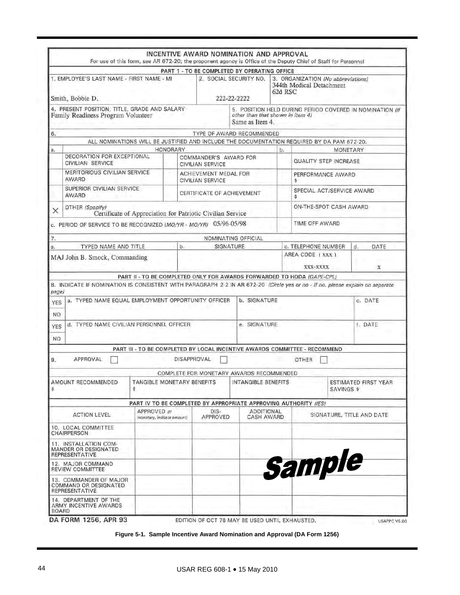|                   |                                                                                                                               | For use of this form, see AR 672-20; the proponent agency is Office of the Deputy Chief of Staff for Personnel |             |                                                  | INCENTIVE AWARD NOMINATION AND APPROVAL            |         |                                                                |                           |                                                          |  |  |  |
|-------------------|-------------------------------------------------------------------------------------------------------------------------------|----------------------------------------------------------------------------------------------------------------|-------------|--------------------------------------------------|----------------------------------------------------|---------|----------------------------------------------------------------|---------------------------|----------------------------------------------------------|--|--|--|
|                   |                                                                                                                               |                                                                                                                |             |                                                  | PART 1 - TO BE COMPLETED BY OPERATING OFFICE       |         |                                                                |                           |                                                          |  |  |  |
|                   | 1. EMPLOYEE'S LAST NAME - FIRST NAME - MI                                                                                     |                                                                                                                |             |                                                  | 2. SOCIAL SECURITY NO.                             | 62d RSC | 3. ORGANIZATION (No abbreviations)<br>344th Medical Detachment |                           |                                                          |  |  |  |
|                   | Smith, Bobbie D.                                                                                                              |                                                                                                                | 222-22-2222 |                                                  |                                                    |         |                                                                |                           |                                                          |  |  |  |
|                   | 4. PRESENT POSITION, TITLE, GRADE AND SALARY<br>Family Readiness Program Volunteer                                            |                                                                                                                |             |                                                  | other than that shown in item 4)<br>Same as Item 4 |         |                                                                |                           | 5. POSITION HELD DURING PERIOD COVERED IN NOMINATION (If |  |  |  |
| 6.                |                                                                                                                               |                                                                                                                |             |                                                  | TYPE OF AWARD RECOMMENDED                          |         |                                                                |                           |                                                          |  |  |  |
|                   |                                                                                                                               | ALL NOMINATIONS WILL BE JUSTIFIED AND INCLUDE THE DOCUMENTATION REQUIRED BY DA PAM 672-20.                     |             |                                                  |                                                    |         |                                                                |                           |                                                          |  |  |  |
| a.                |                                                                                                                               | <b>HONORARY</b>                                                                                                |             |                                                  |                                                    | b.      |                                                                | <b>MONETARY</b>           |                                                          |  |  |  |
|                   | DECORATION FOR EXCEPTIONAL<br>CIVILIAN SERVICE                                                                                |                                                                                                                |             | COMMANDER'S AWARD FOR<br><b>CIVILIAN SERVICE</b> |                                                    |         | <b>QUALITY STEP INCREASE</b>                                   |                           |                                                          |  |  |  |
|                   | MERITORIOUS CIVILIAN SERVICE<br>AWARD                                                                                         |                                                                                                                |             | ACHIEVEMENT MEDAL FOR<br><b>CIVILIAN SERVICE</b> |                                                    |         | Ś                                                              | PERFORMANCE AWARD         |                                                          |  |  |  |
|                   | SUPERIOR CIVILIAN SERVICE<br>AWARD                                                                                            |                                                                                                                |             | CERTIFICATE OF ACHIEVEMENT                       |                                                    |         | SPECIAL ACT/SERVICE AWARD<br>s                                 |                           |                                                          |  |  |  |
| X                 | OTHER (Specify)                                                                                                               | Certificate of Appreciation for Patriotic Civilian Service                                                     |             |                                                  |                                                    |         |                                                                | ON-THE-SPOT CASH AWARD    |                                                          |  |  |  |
|                   | c. PERIOD OF SERVICE TO BE RECOGNIZED (MO/YR - MO/YR) 05/96-05/98                                                             |                                                                                                                |             |                                                  |                                                    |         | TIME OFF AWARD                                                 |                           |                                                          |  |  |  |
| 7.                |                                                                                                                               |                                                                                                                |             |                                                  | NOMINATING OFFICIAL                                |         |                                                                |                           |                                                          |  |  |  |
| a.                | TYPED NAME AND TITLE                                                                                                          |                                                                                                                | b.          | SIGNATURE                                        |                                                    |         | c. TELEPHONE NUMBER                                            |                           | d.<br>DATE                                               |  |  |  |
|                   | MAJ John B. Smock, Commanding                                                                                                 |                                                                                                                |             |                                                  |                                                    |         | AREA CODE (XXX)                                                |                           |                                                          |  |  |  |
|                   |                                                                                                                               |                                                                                                                |             |                                                  |                                                    |         | XXX-XXXX                                                       |                           | X                                                        |  |  |  |
|                   |                                                                                                                               | PART II - TO BE COMPLETED ONLY FOR AWARDS FORWARDED TO HODA (DAPE-CPL)                                         |             |                                                  |                                                    |         |                                                                |                           |                                                          |  |  |  |
|                   | 8. INDICATE IF NOMINATION IS CONSISTENT WITH PARAGRAPH 2-2 IN AR 672-20 (Circle yes or no - If no. please explain on separate |                                                                                                                |             |                                                  |                                                    |         |                                                                |                           |                                                          |  |  |  |
| page)             |                                                                                                                               |                                                                                                                |             |                                                  |                                                    |         |                                                                |                           |                                                          |  |  |  |
| <b>YES</b><br>NO. | a. TYPED NAME EQUAL EMPLOYMENT OPPORTUNITY OFFICER                                                                            |                                                                                                                |             |                                                  | b. SIGNATURE                                       |         |                                                                |                           | c. DATE                                                  |  |  |  |
| <b>YES</b>        | d. TYPED NAME CIVILIAN PERSONNEL OFFICER                                                                                      |                                                                                                                |             |                                                  | e. SIGNATURE                                       |         | f. DATE                                                        |                           |                                                          |  |  |  |
| NO.               |                                                                                                                               |                                                                                                                |             |                                                  |                                                    |         |                                                                |                           |                                                          |  |  |  |
|                   |                                                                                                                               | PART III - TO BE COMPLETED BY LOCAL INCENTIVE AWARDS COMMITTEE - RECOMMEND                                     |             |                                                  |                                                    |         |                                                                |                           |                                                          |  |  |  |
| 9.                | APPROVAL                                                                                                                      |                                                                                                                |             | <b>DISAPPROVAL</b>                               |                                                    |         | <b>OTHER</b>                                                   |                           |                                                          |  |  |  |
|                   |                                                                                                                               |                                                                                                                |             |                                                  | COMPLETE FOR MONETARY AWARDS RECOMMENDED           |         |                                                                |                           |                                                          |  |  |  |
| \$                | AMOUNT RECOMMENDED                                                                                                            | TANGIBLE MONETARY BENEFITS<br>\$                                                                               |             |                                                  | INTANGIBLE BENEFITS                                |         |                                                                | <b>SAVINGS \$</b>         | <b>ESTIMATED FIRST YEAR</b>                              |  |  |  |
|                   |                                                                                                                               | PART IV TO BE COMPLETED BY APPROPRIATE APPROVING AUTHORITY (IES)                                               |             |                                                  |                                                    |         |                                                                |                           |                                                          |  |  |  |
|                   | <b>ACTION LEVEL</b>                                                                                                           | APPROVED III<br>monetary, indicate amount)                                                                     |             | $DIS-$<br>APPROVED                               | <b>ADDITIONAL</b><br>CASH AWARD                    |         |                                                                | SIGNATURE, TITLE AND DATE |                                                          |  |  |  |
|                   | 10. LOCAL COMMITTEE<br>CHAIRPERSON                                                                                            |                                                                                                                |             |                                                  |                                                    |         |                                                                |                           |                                                          |  |  |  |
|                   | 11. INSTALLATION COM-<br>MANDER OR DESIGNATED<br><b>REPRESENTATIVE</b>                                                        |                                                                                                                |             |                                                  |                                                    |         |                                                                |                           |                                                          |  |  |  |
|                   | 12. MAJOR COMMAND<br>REVIEW COMMITTEE                                                                                         |                                                                                                                |             |                                                  |                                                    |         | Sample                                                         |                           |                                                          |  |  |  |
|                   | 13. COMMANDER OF MAJOR<br>COMMAND OR DESIGNATED<br>REPRESENTATIVE                                                             |                                                                                                                |             |                                                  |                                                    |         |                                                                |                           |                                                          |  |  |  |
|                   | 14. DEPARTMENT OF THE<br>ARMY INCENTIVE AWARDS                                                                                |                                                                                                                |             |                                                  |                                                    |         |                                                                |                           |                                                          |  |  |  |

**Figure 5-1. Sample Incentive Award Nomination and Approval (DA Form 1256)**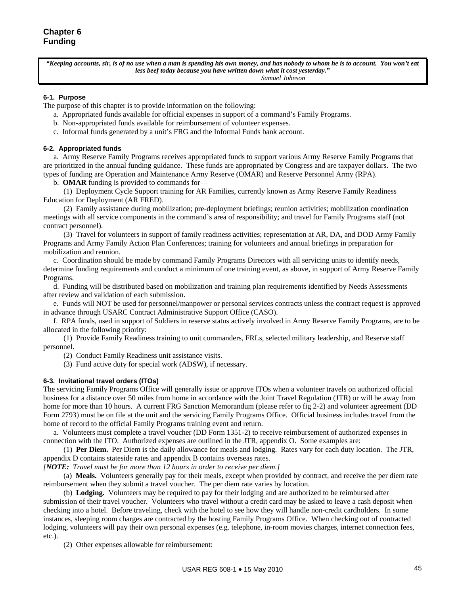*"Keeping accounts, sir, is of no use when a man is spending his own money, and has nobody to whom he is to account. You won't eat less beef today because you have written down what it cost yesterday." Samuel Johnson*

#### **6-1. Purpose**

The purpose of this chapter is to provide information on the following:

- a. Appropriated funds available for official expenses in support of a command's Family Programs.
- b. Non-appropriated funds available for reimbursement of volunteer expenses.
- c. Informal funds generated by a unit's FRG and the Informal Funds bank account.

#### **6-2. Appropriated funds**

 a. Army Reserve Family Programs receives appropriated funds to support various Army Reserve Family Programs that are prioritized in the annual funding guidance. These funds are appropriated by Congress and are taxpayer dollars. The two types of funding are Operation and Maintenance Army Reserve (OMAR) and Reserve Personnel Army (RPA).

b. **OMAR** funding is provided to commands for—

 (1) Deployment Cycle Support training for AR Families, currently known as Army Reserve Family Readiness Education for Deployment (AR FRED).

 (2) Family assistance during mobilization; pre-deployment briefings; reunion activities; mobilization coordination meetings with all service components in the command's area of responsibility; and travel for Family Programs staff (not contract personnel).

 (3) Travel for volunteers in support of family readiness activities; representation at AR, DA, and DOD Army Family Programs and Army Family Action Plan Conferences; training for volunteers and annual briefings in preparation for mobilization and reunion.

 c. Coordination should be made by command Family Programs Directors with all servicing units to identify needs, determine funding requirements and conduct a minimum of one training event, as above, in support of Army Reserve Family Programs.

 d. Funding will be distributed based on mobilization and training plan requirements identified by Needs Assessments after review and validation of each submission.

e. Funds will NOT be used for personnel/manpower or personal services contracts unless the contract request is approved in advance through USARC Contract Administrative Support Office (CASO).

 f. RPA funds, used in support of Soldiers in reserve status actively involved in Army Reserve Family Programs, are to be allocated in the following priority:

 (1) Provide Family Readiness training to unit commanders, FRLs, selected military leadership, and Reserve staff personnel.

(2) Conduct Family Readiness unit assistance visits.

(3) Fund active duty for special work (ADSW), if necessary.

### **6-3. Invitational travel orders (ITOs)**

The servicing Family Programs Office will generally issue or approve ITOs when a volunteer travels on authorized official business for a distance over 50 miles from home in accordance with the Joint Travel Regulation (JTR) or will be away from home for more than 10 hours. A current FRG Sanction Memorandum (please refer to fig 2-2) and volunteer agreement (DD Form 2793) must be on file at the unit and the servicing Family Programs Office. Official business includes travel from the home of record to the official Family Programs training event and return.

 a. Volunteers must complete a travel voucher (DD Form 1351-2) to receive reimbursement of authorized expenses in connection with the ITO. Authorized expenses are outlined in the JTR, appendix O. Some examples are:

(1) **Per Diem.** Per Diem is the daily allowance for meals and lodging. Rates vary for each duty location. The JTR, appendix D contains stateside rates and appendix B contains overseas rates.

*[NOTE: Travel must be for more than 12 hours in order to receive per diem.]* 

 (a) **Meals.** Volunteers generally pay for their meals, except when provided by contract, and receive the per diem rate reimbursement when they submit a travel voucher. The per diem rate varies by location.

 (b) **Lodging.** Volunteers may be required to pay for their lodging and are authorized to be reimbursed after submission of their travel voucher. Volunteers who travel without a credit card may be asked to leave a cash deposit when checking into a hotel. Before traveling, check with the hotel to see how they will handle non-credit cardholders. In some instances, sleeping room charges are contracted by the hosting Family Programs Office. When checking out of contracted lodging, volunteers will pay their own personal expenses (e.g. telephone, in-room movies charges, internet connection fees, etc.).

(2) Other expenses allowable for reimbursement: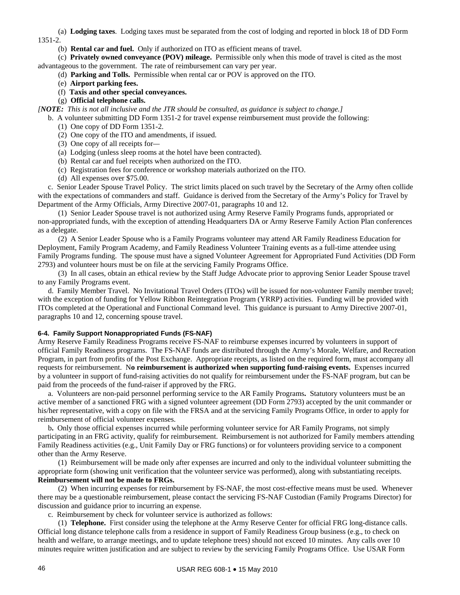(a) **Lodging taxes**. Lodging taxes must be separated from the cost of lodging and reported in block 18 of DD Form 1351-2.

(b) **Rental car and fuel.** Only if authorized on ITO as efficient means of travel.

 (c) **Privately owned conveyance (POV) mileage.** Permissible only when this mode of travel is cited as the most advantageous to the government. The rate of reimbursement can vary per year.

- (d) **Parking and Tolls.** Permissible when rental car or POV is approved on the ITO.
- (e) **Airport parking fees.**

# (f) **Taxis and other special conveyances.**

### (g) **Official telephone calls.**

*[NOTE: This is not all inclusive and the JTR should be consulted, as guidance is subject to change.]* 

b. A volunteer submitting DD Form 1351-2 for travel expense reimbursement must provide the following:

- (1) One copy of DD Form 1351-2.
- (2) One copy of the ITO and amendments, if issued.
- (3) One copy of all receipts for*—*
- (a) Lodging (unless sleep rooms at the hotel have been contracted).
- (b) Rental car and fuel receipts when authorized on the ITO.
- (c) Registration fees for conference or workshop materials authorized on the ITO.
- (d) All expenses over \$75.00.

 c. Senior Leader Spouse Travel Policy.The strict limits placed on such travel by the Secretary of the Army often collide with the expectations of commanders and staff. Guidance is derived from the Secretary of the Army's Policy for Travel by Department of the Army Officials, Army Directive 2007-01, paragraphs 10 and 12.

 (1) Senior Leader Spouse travel is not authorized using Army Reserve Family Programs funds, appropriated or non-appropriated funds, with the exception of attending Headquarters DA or Army Reserve Family Action Plan conferences as a delegate.

 (2) A Senior Leader Spouse who is a Family Programs volunteer may attend AR Family Readiness Education for Deployment, Family Program Academy, and Family Readiness Volunteer Training events as a full-time attendee using Family Programs funding. The spouse must have a signed Volunteer Agreement for Appropriated Fund Activities (DD Form 2793) and volunteer hours must be on file at the servicing Family Programs Office.

 (3) In all cases, obtain an ethical review by the Staff Judge Advocate prior to approving Senior Leader Spouse travel to any Family Programs event.

 d. Family Member Travel.No Invitational Travel Orders (ITOs) will be issued for non-volunteer Family member travel; with the exception of funding for Yellow Ribbon Reintegration Program (YRRP) activities. Funding will be provided with ITOs completed at the Operational and Functional Command level. This guidance is pursuant to Army Directive 2007-01, paragraphs 10 and 12, concerning spouse travel.

### **6-4. Family Support Nonappropriated Funds (FS-NAF)**

Army Reserve Family Readiness Programs receive FS-NAF to reimburse expenses incurred by volunteers in support of official Family Readiness programs. The FS-NAF funds are distributed through the Army's Morale, Welfare, and Recreation Program, in part from profits of the Post Exchange. Appropriate receipts, as listed on the required form, must accompany all requests for reimbursement. N**o reimbursement is authorized when supporting fund-raising events.** Expenses incurred by a volunteer in support of fund-raising activities do not qualify for reimbursement under the FS-NAF program, but can be paid from the proceeds of the fund-raiser if approved by the FRG.

 a. Volunteers are non-paid personnel performing service to the AR Family Programs**.** Statutory volunteers must be an active member of a sanctioned FRG with a signed volunteer agreement (DD Form 2793) accepted by the unit commander or his/her representative, with a copy on file with the FRSA and at the servicing Family Programs Office, in order to apply for reimbursement of official volunteer expenses.

 b**.** Only those official expenses incurred while performing volunteer service for AR Family Programs, not simply participating in an FRG activity, qualify for reimbursement. Reimbursement is not authorized for Family members attending Family Readiness activities (e.g., Unit Family Day or FRG functions) or for volunteers providing service to a component other than the Army Reserve.

 (1) Reimbursement will be made only after expenses are incurred and only to the individual volunteer submitting the appropriate form (showing unit verification that the volunteer service was performed), along with substantiating receipts. **Reimbursement will not be made to FRGs.**

 (2) When incurring expenses for reimbursement by FS-NAF, the most cost-effective means must be used. Whenever there may be a questionable reimbursement, please contact the servicing FS-NAF Custodian (Family Programs Director) for discussion and guidance prior to incurring an expense.

c. Reimbursement by check for volunteer service is authorized as follows:

 (1) **Telephone.** First consider using the telephone at the Army Reserve Center for official FRG long-distance calls. Official long distance telephone calls from a residence in support of Family Readiness Group business (e.g., to check on health and welfare, to arrange meetings, and to update telephone trees) should not exceed 10 minutes. Any calls over 10 minutes require written justification and are subject to review by the servicing Family Programs Office. Use USAR Form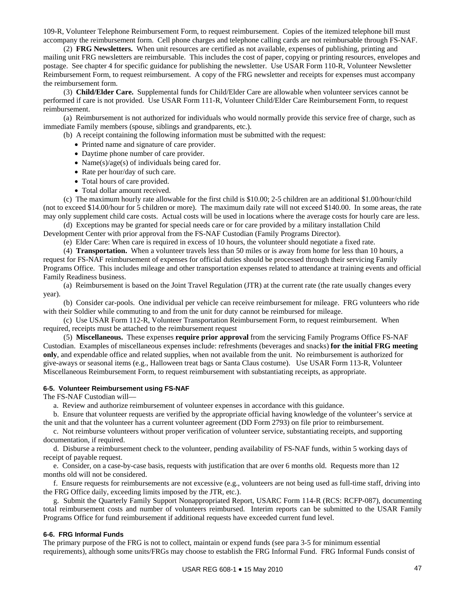109-R, Volunteer Telephone Reimbursement Form, to request reimbursement. Copies of the itemized telephone bill must accompany the reimbursement form. Cell phone charges and telephone calling cards are not reimbursable through FS-NAF.

 (2) **FRG Newsletters.** When unit resources are certified as not available, expenses of publishing, printing and mailing unit FRG newsletters are reimbursable. This includes the cost of paper, copying or printing resources, envelopes and postage. See chapter 4 for specific guidance for publishing the newsletter. Use USAR Form 110-R, Volunteer Newsletter Reimbursement Form, to request reimbursement. A copy of the FRG newsletter and receipts for expenses must accompany the reimbursement form.

 (3) **Child/Elder Care.** Supplemental funds for Child/Elder Care are allowable when volunteer services cannot be performed if care is not provided. Use USAR Form 111-R, Volunteer Child/Elder Care Reimbursement Form, to request reimbursement.

 (a) Reimbursement is not authorized for individuals who would normally provide this service free of charge, such as immediate Family members (spouse, siblings and grandparents, etc.).

(b) A receipt containing the following information must be submitted with the request:

 Printed name and signature of care provider.

- Daytime phone number of care provider.
- Name $(s)/age(s)$  of individuals being cared for.
- Rate per hour/day of such care.
- Total hours of care provided.
- Total dollar amount received.

 (c) The maximum hourly rate allowable for the first child is \$10.00; 2-5 children are an additional \$1.00/hour/child (not to exceed \$14.00/hour for 5 children or more). The maximum daily rate will not exceed \$140.00. In some areas, the rate may only supplement child care costs. Actual costs will be used in locations where the average costs for hourly care are less.

 (d) Exceptions may be granted for special needs care or for care provided by a military installation Child Development Center with prior approval from the FS-NAF Custodian (Family Programs Director).

(e) Elder Care: When care is required in excess of 10 hours, the volunteer should negotiate a fixed rate.

 (4) **Transportation.** When a volunteer travels less than 50 miles or is away from home for less than 10 hours, a request for FS-NAF reimbursement of expenses for official duties should be processed through their servicing Family Programs Office. This includes mileage and other transportation expenses related to attendance at training events and official Family Readiness business.

 (a) Reimbursement is based on the Joint Travel Regulation (JTR) at the current rate (the rate usually changes every year).

 (b) Consider car-pools. One individual per vehicle can receive reimbursement for mileage. FRG volunteers who ride with their Soldier while commuting to and from the unit for duty cannot be reimbursed for mileage.

 (c) Use USAR Form 112-R, Volunteer Transportation Reimbursement Form, to request reimbursement. When required, receipts must be attached to the reimbursement request

 (5) **Miscellaneous.** These expenses **require prior approval** from the servicing Family Programs Office FS-NAF Custodian. Examples of miscellaneous expenses include: refreshments (beverages and snacks) **for the initial FRG meeting only**, and expendable office and related supplies, when not available from the unit. No reimbursement is authorized for give-aways or seasonal items (e.g., Halloween treat bags or Santa Claus costume). Use USAR Form 113-R, Volunteer Miscellaneous Reimbursement Form, to request reimbursement with substantiating receipts, as appropriate.

### **6-5. Volunteer Reimbursement using FS-NAF**

The FS-NAF Custodian will—

a. Review and authorize reimbursement of volunteer expenses in accordance with this guidance.

b. Ensure that volunteer requests are verified by the appropriate official having knowledge of the volunteer's service at

the unit and that the volunteer has a current volunteer agreement (DD Form 2793) on file prior to reimbursement. c. Not reimburse volunteers without proper verification of volunteer service, substantiating receipts, and supporting

documentation, if required. d. Disburse a reimbursement check to the volunteer, pending availability of FS-NAF funds, within 5 working days of receipt of payable request.

 e. Consider, on a case-by-case basis, requests with justification that are over 6 months old. Requests more than 12 months old will not be considered.

 f. Ensure requests for reimbursements are not excessive (e.g., volunteers are not being used as full-time staff, driving into the FRG Office daily, exceeding limits imposed by the JTR, etc.).

 g. Submit the Quarterly Family Support Nonappropriated Report, USARC Form 114-R (RCS: RCFP-087), documenting total reimbursement costs and number of volunteers reimbursed. Interim reports can be submitted to the USAR Family Programs Office for fund reimbursement if additional requests have exceeded current fund level.

#### **6-6. FRG Informal Funds**

The primary purpose of the FRG is not to collect, maintain or expend funds (see para 3-5 for minimum essential requirements), although some units/FRGs may choose to establish the FRG Informal Fund. FRG Informal Funds consist of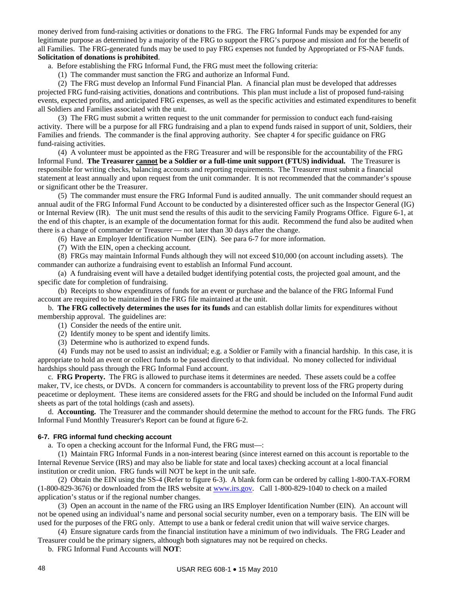money derived from fund-raising activities or donations to the FRG. The FRG Informal Funds may be expended for any legitimate purpose as determined by a majority of the FRG to support the FRG's purpose and mission and for the benefit of all Families. The FRG-generated funds may be used to pay FRG expenses not funded by Appropriated or FS-NAF funds. **Solicitation of donations is prohibited**.

a. Before establishing the FRG Informal Fund, the FRG must meet the following criteria:

(1) The commander must sanction the FRG and authorize an Informal Fund.

 (2) The FRG must develop an Informal Fund Financial Plan. A financial plan must be developed that addresses projected FRG fund-raising activities, donations and contributions. This plan must include a list of proposed fund-raising events, expected profits, and anticipated FRG expenses, as well as the specific activities and estimated expenditures to benefit all Soldiers and Families associated with the unit.

 (3) The FRG must submit a written request to the unit commander for permission to conduct each fund-raising activity. There will be a purpose for all FRG fundraising and a plan to expend funds raised in support of unit, Soldiers, their Families and friends. The commander is the final approving authority. See chapter 4 for specific guidance on FRG fund-raising activities.

 (4) A volunteer must be appointed as the FRG Treasurer and will be responsible for the accountability of the FRG Informal Fund. **The Treasurer cannot be a Soldier or a full-time unit support (FTUS) individual.** The Treasurer is responsible for writing checks, balancing accounts and reporting requirements. The Treasurer must submit a financial statement at least annually and upon request from the unit commander. It is not recommended that the commander's spouse or significant other be the Treasurer.

(5) The commander must ensure the FRG Informal Fund is audited annually. The unit commander should request an annual audit of the FRG Informal Fund Account to be conducted by a disinterested officer such as the Inspector General (IG) or Internal Review (IR). The unit must send the results of this audit to the servicing Family Programs Office. Figure 6-1, at the end of this chapter, is an example of the documentation format for this audit. Recommend the fund also be audited when there is a change of commander or Treasurer — not later than 30 days after the change.

(6) Have an Employer Identification Number (EIN). See para 6-7 for more information.

(7) With the EIN, open a checking account.

 (8) FRGs may maintain Informal Funds although they will not exceed \$10,000 (on account including assets). The commander can authorize a fundraising event to establish an Informal Fund account.

 (a) A fundraising event will have a detailed budget identifying potential costs, the projected goal amount, and the specific date for completion of fundraising.

 (b) Receipts to show expenditures of funds for an event or purchase and the balance of the FRG Informal Fund account are required to be maintained in the FRG file maintained at the unit.

 b. **The FRG collectively determines the uses for its funds** and can establish dollar limits for expenditures without membership approval. The guidelines are:

(1) Consider the needs of the entire unit.

(2) Identify money to be spent and identify limits.

(3) Determine who is authorized to expend funds.

 (4) Funds may not be used to assist an individual; e.g. a Soldier or Family with a financial hardship. In this case, it is appropriate to hold an event or collect funds to be passed directly to that individual. No money collected for individual hardships should pass through the FRG Informal Fund account.

 c. **FRG Property.** The FRG is allowed to purchase items it determines are needed. These assets could be a coffee maker, TV, ice chests, or DVDs. A concern for commanders is accountability to prevent loss of the FRG property during peacetime or deployment. These items are considered assets for the FRG and should be included on the Informal Fund audit sheets as part of the total holdings (cash and assets).

 d. **Accounting.** The Treasurer and the commander should determine the method to account for the FRG funds. The FRG Informal Fund Monthly Treasurer's Report can be found at figure 6-2.

### **6-7. FRG informal fund checking account**

a. To open a checking account for the Informal Fund, the FRG must—:

 (1) Maintain FRG Informal Funds in a non-interest bearing (since interest earned on this account is reportable to the Internal Revenue Service (IRS) and may also be liable for state and local taxes) checking account at a local financial institution or credit union. FRG funds will NOT be kept in the unit safe.

 (2) Obtain the EIN using the SS-4 (Refer to figure 6-3). A blank form can be ordered by calling 1-800-TAX-FORM (1-800-829-3676) or downloaded from the IRS website at [www.irs.gov.](http://www.irs.gov/) Call 1-800-829-1040 to check on a mailed application's status or if the regional number changes.

 (3) Open an account in the name of the FRG using an IRS Employer Identification Number (EIN). An account will not be opened using an individual's name and personal social security number, even on a temporary basis. The EIN will be used for the purposes of the FRG only. Attempt to use a bank or federal credit union that will waive service charges.

 (4) Ensure signature cards from the financial institution have a minimum of two individuals. The FRG Leader and Treasurer could be the primary signers, although both signatures may not be required on checks.

b. FRG Informal Fund Accounts will **NOT**: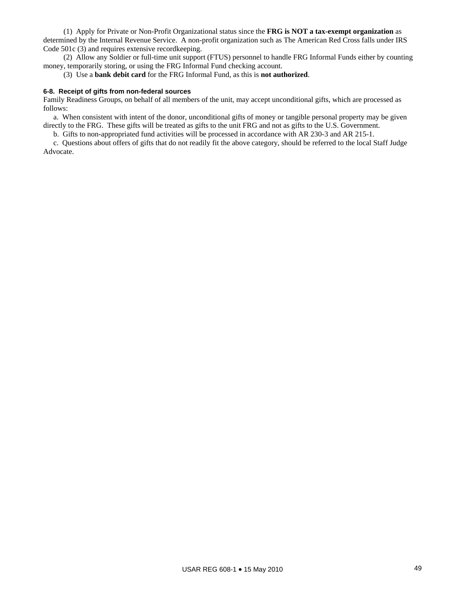(1) Apply for Private or Non-Profit Organizational status since the **FRG is NOT a tax-exempt organization** as determined by the Internal Revenue Service. A non-profit organization such as The American Red Cross falls under IRS Code 501c (3) and requires extensive recordkeeping.

 (2) Allow any Soldier or full-time unit support (FTUS) personnel to handle FRG Informal Funds either by counting money, temporarily storing, or using the FRG Informal Fund checking account.

(3) Use a **bank debit card** for the FRG Informal Fund, as this is **not authorized**.

### **6-8. Receipt of gifts from non-federal sources**

Family Readiness Groups, on behalf of all members of the unit, may accept unconditional gifts, which are processed as follows:

 a. When consistent with intent of the donor, unconditional gifts of money or tangible personal property may be given directly to the FRG. These gifts will be treated as gifts to the unit FRG and not as gifts to the U.S. Government.

b. Gifts to non-appropriated fund activities will be processed in accordance with AR 230-3 and AR 215-1.

 c. Questions about offers of gifts that do not readily fit the above category, should be referred to the local Staff Judge Advocate.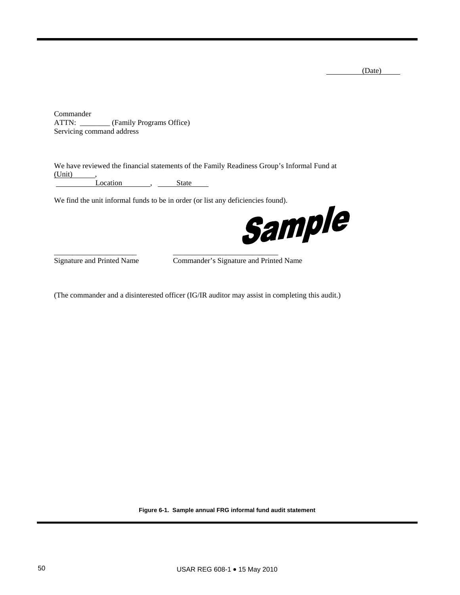(Date)

Commander ATTN: \_\_\_\_\_\_\_\_ (Family Programs Office) Servicing command address

We have reviewed the financial statements of the Family Readiness Group's Informal Fund at (Unit) , Location , State

\_\_\_\_\_\_\_\_\_\_\_\_\_\_\_\_\_\_\_\_\_\_ \_\_\_\_\_\_\_\_\_\_\_\_\_\_\_\_\_\_\_\_\_\_\_\_\_\_\_\_



Signature and Printed Name Commander's Signature and Printed Name

(The commander and a disinterested officer (IG/IR auditor may assist in completing this audit.)

**Figure 6-1. Sample annual FRG informal fund audit statement**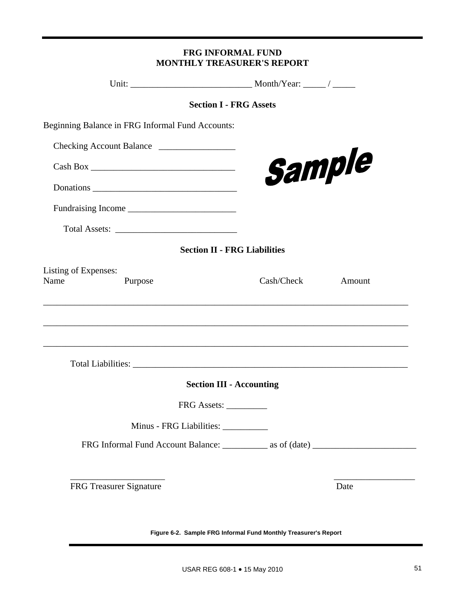| Beginning Balance in FRG Informal Fund Accounts: |        |
|--------------------------------------------------|--------|
| Checking Account Balance                         |        |
|                                                  | Sample |
|                                                  |        |

**FRG INFORMAL FUND MONTHLY TREASURER'S REPORT**

Unit: \_\_\_\_\_\_\_\_\_\_\_\_\_\_\_\_\_\_\_\_\_\_\_\_\_\_\_ Month/Year: \_\_\_\_\_ / \_\_\_\_\_

**Section I - FRG Assets** 

Fundraising Income \_\_\_\_\_\_\_\_\_\_\_\_\_\_\_\_\_\_\_\_\_\_\_\_

Total Assets: \_\_\_\_\_\_\_\_\_\_\_\_\_\_\_\_\_\_\_\_\_\_\_\_\_\_\_

**Section II - FRG Liabilities** 

| Listing of Expenses: |                                 |            |        |
|----------------------|---------------------------------|------------|--------|
| Name                 | Purpose                         | Cash/Check | Amount |
|                      |                                 |            |        |
|                      |                                 |            |        |
|                      |                                 |            |        |
|                      |                                 |            |        |
|                      |                                 |            |        |
|                      |                                 |            |        |
|                      | <b>Section III - Accounting</b> |            |        |
|                      | FRG Assets:                     |            |        |
|                      | Minus - FRG Liabilities:        |            |        |
|                      |                                 |            |        |
|                      |                                 |            |        |
|                      |                                 |            |        |
|                      |                                 |            |        |
|                      | FRG Treasurer Signature         |            | Date   |

**Figure 6-2. Sample FRG Informal Fund Monthly Treasurer's Report**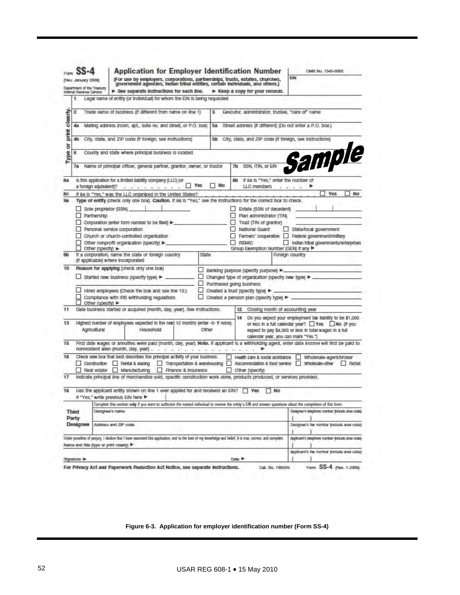|                | (Rev. January 2000)<br>Department of the Truesury                                                                                                                                                        |                                                                                                                            |                                                       | (For use by employers, corporations, partnerships, trusts, estates, churches,<br>government agencies, Indian tribal entities, certain individuals, and others.)       |  |                     |       |                |              |                                                 |                                                                                                  |                                           | EIN             |  |                                                                                                                                                                        |    |
|----------------|----------------------------------------------------------------------------------------------------------------------------------------------------------------------------------------------------------|----------------------------------------------------------------------------------------------------------------------------|-------------------------------------------------------|-----------------------------------------------------------------------------------------------------------------------------------------------------------------------|--|---------------------|-------|----------------|--------------|-------------------------------------------------|--------------------------------------------------------------------------------------------------|-------------------------------------------|-----------------|--|------------------------------------------------------------------------------------------------------------------------------------------------------------------------|----|
|                | Intamal Revenue Sarvice                                                                                                                                                                                  |                                                                                                                            |                                                       | See separate instructions for each line.                                                                                                                              |  |                     |       |                |              |                                                 | > Keep a copy for your records.                                                                  |                                           |                 |  |                                                                                                                                                                        |    |
|                | 1                                                                                                                                                                                                        |                                                                                                                            |                                                       | Legal name of entity (or individual) for whom the EIN is being requested                                                                                              |  |                     |       |                |              |                                                 |                                                                                                  |                                           |                 |  |                                                                                                                                                                        |    |
|                | $\overline{2}$                                                                                                                                                                                           |                                                                                                                            |                                                       | Trade name of business if different from name on line 1)                                                                                                              |  |                     |       | з              |              |                                                 | Executor, administrator, trustee, "care of" name                                                 |                                           |                 |  |                                                                                                                                                                        |    |
|                |                                                                                                                                                                                                          |                                                                                                                            |                                                       |                                                                                                                                                                       |  |                     |       |                |              |                                                 |                                                                                                  |                                           |                 |  |                                                                                                                                                                        |    |
| print clearly  | Malling address (room, apt., suite no. and street, or P.O. box)<br>48<br>Бa                                                                                                                              |                                                                                                                            |                                                       |                                                                                                                                                                       |  |                     |       |                |              |                                                 | Street address (if different) (Do not enter a P.O. box.)                                         |                                           |                 |  |                                                                                                                                                                        |    |
|                | 4b                                                                                                                                                                                                       | City, state, and ZIP code (if foreign, see instructions)<br>City, state, and ZIP code (if foreign, see Instructions)<br>5b |                                                       |                                                                                                                                                                       |  |                     |       |                |              |                                                 |                                                                                                  |                                           |                 |  |                                                                                                                                                                        |    |
| Type or        | 6                                                                                                                                                                                                        |                                                                                                                            |                                                       | County and state where principal business is located                                                                                                                  |  |                     |       |                |              |                                                 |                                                                                                  |                                           |                 |  |                                                                                                                                                                        |    |
|                | 7a                                                                                                                                                                                                       |                                                                                                                            |                                                       | Name of principal officer, general partner, grantor, owner, or trustor                                                                                                |  |                     |       |                | 76           |                                                 | SSN, ITIN, or EIN                                                                                |                                           |                 |  | Sample                                                                                                                                                                 |    |
| 88             |                                                                                                                                                                                                          | a foreign equivaient)?                                                                                                     |                                                       | Is this application for a limited liability company (LLC) (or                                                                                                         |  |                     | Yes   | N <sub>0</sub> | 80           |                                                 | if 8a is "Yes," enter the number of<br>LLC members                                               |                                           |                 |  |                                                                                                                                                                        |    |
| 8c             |                                                                                                                                                                                                          |                                                                                                                            |                                                       | If Ba Is "Yes," was the LLC organized in the United States?                                                                                                           |  |                     |       |                |              |                                                 |                                                                                                  |                                           |                 |  | Yes                                                                                                                                                                    | No |
| 98             |                                                                                                                                                                                                          |                                                                                                                            |                                                       | Type of entity (check only one box). Caution. If 8a is "Yes," see the instructions for the correct box to check.                                                      |  |                     |       |                |              |                                                 |                                                                                                  |                                           |                 |  |                                                                                                                                                                        |    |
|                | Partnership                                                                                                                                                                                              |                                                                                                                            | Sole proprietor (SSN)<br>Personal service corporation | Corporation (enter form number to be filed)<br>Church or church-controlled organization<br>Other nonprofit organization (specify) >                                   |  |                     |       |                | u<br>o.<br>⊓ | REMIC                                           | Estate (SSN of decedent)<br>Plan administrator (TIN)<br>Trust (TIN of grantor)<br>National Guard |                                           |                 |  | State/local government<br>Farmers' cooperative Federal government/military<br>Indian tribal governments/enterprises                                                    |    |
| 9 <sub>b</sub> |                                                                                                                                                                                                          | Other (specify) >                                                                                                          | (If applicable) where incorporated                    | If a corporation, name the state or foreign country                                                                                                                   |  |                     | State |                |              |                                                 | Group Exemption Number (GEN) If any                                                              |                                           | Foreign country |  |                                                                                                                                                                        |    |
| 10             | Reason for applying (check only one box)<br>ш                                                                                                                                                            |                                                                                                                            |                                                       |                                                                                                                                                                       |  |                     |       |                |              |                                                 |                                                                                                  |                                           |                 |  |                                                                                                                                                                        |    |
|                | Banking purpose (specify purpose) ▶.<br>Started new business (specify type) ><br>Changed type of organization (specify new type) ▶.                                                                      |                                                                                                                            |                                                       |                                                                                                                                                                       |  |                     |       |                |              |                                                 |                                                                                                  |                                           |                 |  |                                                                                                                                                                        |    |
|                | ⊔<br>Purchased going business                                                                                                                                                                            |                                                                                                                            |                                                       |                                                                                                                                                                       |  |                     |       |                |              |                                                 |                                                                                                  |                                           |                 |  |                                                                                                                                                                        |    |
|                | Hired employees (Check the box and see line 13.)<br>ப<br>Created a trust (specify type)<br>Compilarice with IRS withholding regulations.<br>Created a pension plan (specify type) ><br>Other (specify) > |                                                                                                                            |                                                       |                                                                                                                                                                       |  |                     |       |                |              |                                                 |                                                                                                  |                                           |                 |  |                                                                                                                                                                        |    |
| 11             |                                                                                                                                                                                                          |                                                                                                                            |                                                       | Date business started or acquired (month, day, year). See instructions.                                                                                               |  |                     |       |                |              | 12                                              | Closing month of accounting year                                                                 |                                           |                 |  |                                                                                                                                                                        |    |
| 13             |                                                                                                                                                                                                          | Agricultural                                                                                                               |                                                       | Highest number of employees expected in the next 12 months (enter -0- if none).<br>Household                                                                          |  |                     | Other |                |              | 14                                              | calendar year, you can mark "Yes.")                                                              |                                           |                 |  | Do you expect your employment tax liability to be \$1,000<br>or less in a full calendar year? Ves No (If you<br>expect to pay \$4,000 or less in total wages in a full |    |
| 15             |                                                                                                                                                                                                          |                                                                                                                            |                                                       | nonresident allen (month, day, year) .                                                                                                                                |  |                     |       |                |              |                                                 |                                                                                                  |                                           |                 |  | First date wages or annulties were paid (month, day, year). Note. If applicant is a withholding agent, enter date income will first be paid to                         |    |
| 16             |                                                                                                                                                                                                          |                                                                                                                            |                                                       | Check one box that best describes the principal activity of your business.<br>Construction Rental & leasing Transportation & warehousing<br>Real estate Manufacturing |  | Finance & Insurance |       |                | L.           |                                                 | Health care & social assistance<br>Other (specify)                                               |                                           |                 |  | Wholesale-agent/broker<br>Accommodation & food service Wholesale-other Retail                                                                                          |    |
| 17             |                                                                                                                                                                                                          |                                                                                                                            |                                                       | Indicate principal line of merchandise sold, specific construction work done, products produced, or services provided.                                                |  |                     |       |                |              |                                                 |                                                                                                  |                                           |                 |  |                                                                                                                                                                        |    |
| 18             |                                                                                                                                                                                                          |                                                                                                                            |                                                       | Has the applicant entity shown on line 1 ever applied for and received an EIN? TWY<br>If "Yes," write previous EIN here >                                             |  |                     |       |                |              |                                                 |                                                                                                  | N <sub>O</sub>                            |                 |  |                                                                                                                                                                        |    |
|                |                                                                                                                                                                                                          |                                                                                                                            |                                                       | Complete this tection only if you want to authorize the named individual to receive the entity's EIN and answer questions about the completion of this form.          |  |                     |       |                |              |                                                 |                                                                                                  |                                           |                 |  |                                                                                                                                                                        |    |
|                | Third<br>Party                                                                                                                                                                                           | Designee's name                                                                                                            |                                                       |                                                                                                                                                                       |  |                     |       |                |              | Designac's talephone number (include area code) |                                                                                                  |                                           |                 |  |                                                                                                                                                                        |    |
|                | Designee                                                                                                                                                                                                 | Address and ZIP code                                                                                                       |                                                       |                                                                                                                                                                       |  |                     |       |                |              |                                                 |                                                                                                  | Designee's fax number (include area code) |                 |  |                                                                                                                                                                        |    |
|                |                                                                                                                                                                                                          |                                                                                                                            |                                                       | Usder penalties of perjury, I declare that I have examined this application, and to the best of my letowledge and belief. it is true, correct, and complete.          |  |                     |       |                |              |                                                 |                                                                                                  |                                           |                 |  | Applicant's tolophono number (include area toda)                                                                                                                       |    |
|                | Name and fitte (type or print clearly)                                                                                                                                                                   |                                                                                                                            |                                                       |                                                                                                                                                                       |  |                     |       |                |              |                                                 |                                                                                                  |                                           |                 |  |                                                                                                                                                                        |    |
|                |                                                                                                                                                                                                          |                                                                                                                            |                                                       |                                                                                                                                                                       |  |                     |       |                |              |                                                 |                                                                                                  |                                           |                 |  |                                                                                                                                                                        |    |

**Figure 6-3. Application for employer identification number (Form SS-4)**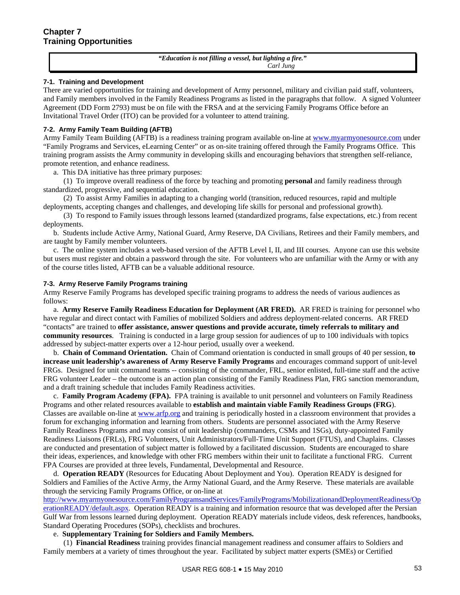*"Education is not filling a vessel, but lighting a fire."*  *Carl Jung*

### **7-1. Training and Development**

There are varied opportunities for training and development of Army personnel, military and civilian paid staff, volunteers, and Family members involved in the Family Readiness Programs as listed in the paragraphs that follow. A signed Volunteer Agreement (DD Form 2793) must be on file with the FRSA and at the servicing Family Programs Office before an Invitational Travel Order (ITO) can be provided for a volunteer to attend training.

### **7-2. Army Family Team Building (AFTB)**

Army Family Team Building (AFTB) is a readiness training program available on-line at [www.myarmyonesource.com](http://www.myarmyonesource.com/) under "Family Programs and Services, eLearning Center" or as on-site training offered through the Family Programs Office. This training program assists the Army community in developing skills and encouraging behaviors that strengthen self-reliance, promote retention, and enhance readiness.

a. This DA initiative has three primary purposes:

 (1) To improve overall readiness of the force by teaching and promoting **personal** and family readiness through standardized, progressive, and sequential education.

 (2) To assist Army Families in adapting to a changing world (transition, reduced resources, rapid and multiple deployments, accepting changes and challenges, and developing life skills for personal and professional growth).

 (3) To respond to Family issues through lessons learned (standardized programs, false expectations, etc.) from recent deployments.

 b. Students include Active Army, National Guard, Army Reserve, DA Civilians, Retirees and their Family members, and are taught by Family member volunteers.

 c. The online system includes a web-based version of the AFTB Level I, II, and III courses. Anyone can use this website but users must register and obtain a password through the site. For volunteers who are unfamiliar with the Army or with any of the course titles listed, AFTB can be a valuable additional resource.

### **7-3. Army Reserve Family Programs training**

Army Reserve Family Programs has developed specific training programs to address the needs of various audiences as follows:

 a. **Army Reserve Family Readiness Education for Deployment (AR FRED).** AR FRED is training for personnel who have regular and direct contact with Families of mobilized Soldiers and address deployment-related concerns. AR FRED "contacts" are trained to **offer assistance, answer questions and provide accurate, timely referrals to military and community resources**. Training is conducted in a large group session for audiences of up to 100 individuals with topics addressed by subject-matter experts over a 12-hour period, usually over a weekend.

 b. **Chain of Command Orientation.** Chain of Command orientation is conducted in small groups of 40 per session, **to increase unit leadership's awareness of Army Reserve Family Programs** and encourages command support of unit-level FRGs. Designed for unit command teams -- consisting of the commander, FRL, senior enlisted, full-time staff and the active FRG volunteer Leader – the outcome is an action plan consisting of the Family Readiness Plan, FRG sanction memorandum, and a draft training schedule that includes Family Readiness activities.

 c. **Family Program Academy (FPA).** FPA training is available to unit personnel and volunteers on Family Readiness Programs and other related resources available to **establish and maintain viable Family Readiness Groups (FRG**). Classes are available on-line at [www.arfp.org](http://www.arfp.org/) and training is periodically hosted in a classroom environment that provides a forum for exchanging information and learning from others. Students are personnel associated with the Army Reserve Family Readiness Programs and may consist of unit leadership (commanders, CSMs and 1SGs), duty-appointed Family Readiness Liaisons (FRLs), FRG Volunteers, Unit Administrators/Full-Time Unit Support (FTUS), and Chaplains. Classes are conducted and presentation of subject matter is followed by a facilitated discussion. Students are encouraged to share their ideas, experiences, and knowledge with other FRG members within their unit to facilitate a functional FRG. Current FPA Courses are provided at three levels, Fundamental, Developmental and Resource.

 d. **Operation READY** (Resources for Educating About Deployment and You). Operation READY is designed for Soldiers and Families of the Active Army, the Army National Guard, and the Army Reserve. These materials are available through the servicing Family Programs Office, or on-line at

[http://www.myarmyonesource.com/FamilyProgramsandServices/FamilyPrograms/MobilizationandDeploymentReadiness/Op](http://www.myarmyonesource.com/FamilyProgramsandServices/FamilyPrograms/MobilizationandDeploymentReadiness/OperationREADY/default.aspx) [erationREADY/default.aspx](http://www.myarmyonesource.com/FamilyProgramsandServices/FamilyPrograms/MobilizationandDeploymentReadiness/OperationREADY/default.aspx). Operation READY is a training and information resource that was developed after the Persian Gulf War from lessons learned during deployment. Operation READY materials include videos, desk references, handbooks, Standard Operating Procedures (SOPs), checklists and brochures.

# e. **Supplementary Training for Soldiers and Family Members.**

 (1) **Financial Readiness** training provides financial management readiness and consumer affairs to Soldiers and Family members at a variety of times throughout the year. Facilitated by subject matter experts (SMEs) or Certified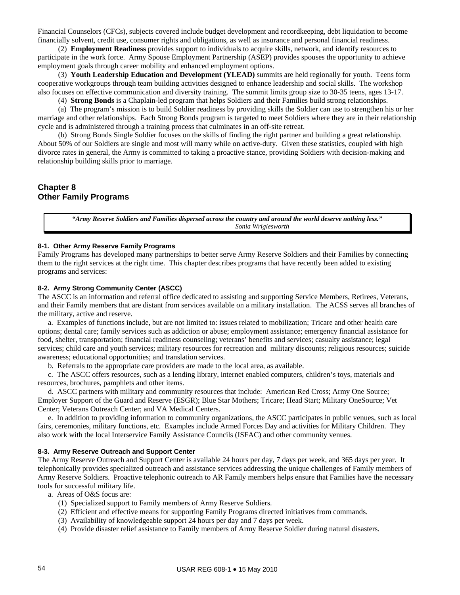Financial Counselors (CFCs), subjects covered include budget development and recordkeeping, debt liquidation to become financially solvent, credit use, consumer rights and obligations, as well as insurance and personal financial readiness.

 (2) **Employment Readiness** provides support to individuals to acquire skills, network, and identify resources to participate in the work force. Army Spouse Employment Partnership (ASEP) provides spouses the opportunity to achieve employment goals through career mobility and enhanced employment options.

 (3) **Youth Leadership Education and Development (YLEAD)** summits are held regionally for youth. Teens form cooperative workgroups through team building activities designed to enhance leadership and social skills. The workshop also focuses on effective communication and diversity training. The summit limits group size to 30-35 teens, ages 13-17.

(4) **Strong Bonds** is a Chaplain-led program that helps Soldiers and their Families build strong relationships.

 (a) The program's mission is to build Soldier readiness by providing skills the Soldier can use to strengthen his or her marriage and other relationships. Each Strong Bonds program is targeted to meet Soldiers where they are in their relationship cycle and is administered through a training process that culminates in an off-site retreat.

 (b) Strong Bonds Single Soldier focuses on the skills of finding the right partner and building a great relationship. About 50% of our Soldiers are single and most will marry while on active-duty. Given these statistics, coupled with high divorce rates in general, the Army is committed to taking a proactive stance, providing Soldiers with decision-making and relationship building skills prior to marriage.

# **Chapter 8 Other Family Programs**

*"Army Reserve Soldiers and Families dispersed across the country and around the world deserve nothing less."*  *Sonia Wriglesworth*

### **8-1. Other Army Reserve Family Programs**

Family Programs has developed many partnerships to better serve Army Reserve Soldiers and their Families by connecting them to the right services at the right time. This chapter describes programs that have recently been added to existing programs and services:

### **8-2. Army Strong Community Center (ASCC)**

The ASCC is an information and referral office dedicated to assisting and supporting Service Members, Retirees, Veterans, and their Family members that are distant from services available on a military installation. The ACSS serves all branches of the military, active and reserve.

 a. Examples of functions include, but are not limited to: issues related to mobilization; Tricare and other health care options; dental care; family services such as addiction or abuse; employment assistance; emergency financial assistance for food, shelter, transportation; financial readiness counseling; veterans' benefits and services; casualty assistance; legal services; child care and youth services; military resources for recreation and military discounts; religious resources; suicide awareness; educational opportunities; and translation services.

b. Referrals to the appropriate care providers are made to the local area, as available.

 c. The ASCC offers resources, such as a lending library, internet enabled computers, children's toys, materials and resources, brochures, pamphlets and other items.

 d. ASCC partners with military and community resources that include: American Red Cross; Army One Source; Employer Support of the Guard and Reserve (ESGR); Blue Star Mothers; Tricare; Head Start; Military OneSource; Vet Center; Veterans Outreach Center; and VA Medical Centers.

 e. In addition to providing information to community organizations, the ASCC participates in public venues, such as local fairs, ceremonies, military functions, etc. Examples include Armed Forces Day and activities for Military Children. They also work with the local Interservice Family Assistance Councils (ISFAC) and other community venues.

### **8-3. Army Reserve Outreach and Support Center**

The Army Reserve Outreach and Support Center is available 24 hours per day, 7 days per week, and 365 days per year. It telephonically provides specialized outreach and assistance services addressing the unique challenges of Family members of Army Reserve Soldiers. Proactive telephonic outreach to AR Family members helps ensure that Families have the necessary tools for successful military life.

a. Areas of O&S focus are:

- (1) Specialized support to Family members of Army Reserve Soldiers.
- (2) Efficient and effective means for supporting Family Programs directed initiatives from commands.
- (3) Availability of knowledgeable support 24 hours per day and 7 days per week.
- (4) Provide disaster relief assistance to Family members of Army Reserve Soldier during natural disasters.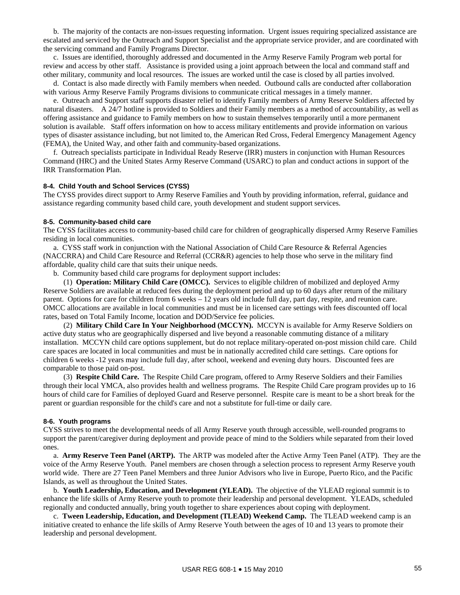b. The majority of the contacts are non-issues requesting information. Urgent issues requiring specialized assistance are escalated and serviced by the Outreach and Support Specialist and the appropriate service provider, and are coordinated with the servicing command and Family Programs Director.

 c. Issues are identified, thoroughly addressed and documented in the Army Reserve Family Program web portal for review and access by other staff. Assistance is provided using a joint approach between the local and command staff and other military, community and local resources. The issues are worked until the case is closed by all parties involved.

 d. Contact is also made directly with Family members when needed. Outbound calls are conducted after collaboration with various Army Reserve Family Programs divisions to communicate critical messages in a timely manner.

 e. Outreach and Support staff supports disaster relief to identify Family members of Army Reserve Soldiers affected by natural disasters. A 24/7 hotline is provided to Soldiers and their Family members as a method of accountability, as well as offering assistance and guidance to Family members on how to sustain themselves temporarily until a more permanent solution is available. Staff offers information on how to access military entitlements and provide information on various types of disaster assistance including, but not limited to, the American Red Cross, Federal Emergency Management Agency (FEMA), the United Way, and other faith and community-based organizations.

 f. Outreach specialists participate in Individual Ready Reserve (IRR) musters in conjunction with Human Resources Command (HRC) and the United States Army Reserve Command (USARC) to plan and conduct actions in support of the IRR Transformation Plan.

#### **8-4. Child Youth and School Services (CYSS)**

The CYSS provides direct support to Army Reserve Families and Youth by providing information, referral, guidance and assistance regarding community based child care, youth development and student support services.

#### **8-5. Community-based child care**

The CYSS facilitates access to community-based child care for children of geographically dispersed Army Reserve Families residing in local communities.

 a. CYSS staff work in conjunction with the National Association of Child Care Resource & Referral Agencies (NACCRRA) and Child Care Resource and Referral (CCR&R) agencies to help those who serve in the military find affordable, quality child care that suits their unique needs.

b. Community based child care programs for deployment support includes:

 (1) **Operation: Military Child Care (OMCC).** Services to eligible children of mobilized and deployed Army Reserve Soldiers are available at reduced fees during the deployment period and up to 60 days after return of the military parent. Options for care for children from 6 weeks – 12 years old include full day, part day, respite, and reunion care. OMCC allocations are available in local communities and must be in licensed care settings with fees discounted off local rates, based on Total Family Income, location and DOD/Service fee policies.

 (2) **Military Child Care In Your Neighborhood (MCCYN).** MCCYN is available for Army Reserve Soldiers on active duty status who are geographically dispersed and live beyond a reasonable commuting distance of a military installation. MCCYN child care options supplement, but do not replace military-operated on-post mission child care. Child care spaces are located in local communities and must be in nationally accredited child care settings. Care options for children 6 weeks -12 years may include full day, after school, weekend and evening duty hours. Discounted fees are comparable to those paid on-post.

 (3) **Respite Child Care.** The Respite Child Care program, offered to Army Reserve Soldiers and their Families through their local YMCA, also provides health and wellness programs. The Respite Child Care program provides up to 16 hours of child care for Families of deployed Guard and Reserve personnel. Respite care is meant to be a short break for the parent or guardian responsible for the child's care and not a substitute for full-time or daily care.

### **8-6. Youth programs**

CYSS strives to meet the developmental needs of all Army Reserve youth through accessible, well-rounded programs to support the parent/caregiver during deployment and provide peace of mind to the Soldiers while separated from their loved ones.

 a. **Army Reserve Teen Panel (ARTP).** The ARTP was modeled after the Active Army Teen Panel (ATP). They are the voice of the Army Reserve Youth. Panel members are chosen through a selection process to represent Army Reserve youth world wide. There are 27 Teen Panel Members and three Junior Advisors who live in Europe, Puerto Rico, and the Pacific Islands, as well as throughout the United States.

 b. **Youth Leadership, Education, and Development (YLEAD).** The objective of the YLEAD regional summit is to enhance the life skills of Army Reserve youth to promote their leadership and personal development. YLEADs, scheduled regionally and conducted annually, bring youth together to share experiences about coping with deployment.

 c. **Tween Leadership, Education, and Development (TLEAD) Weekend Camp.** The TLEAD weekend camp is an initiative created to enhance the life skills of Army Reserve Youth between the ages of 10 and 13 years to promote their leadership and personal development.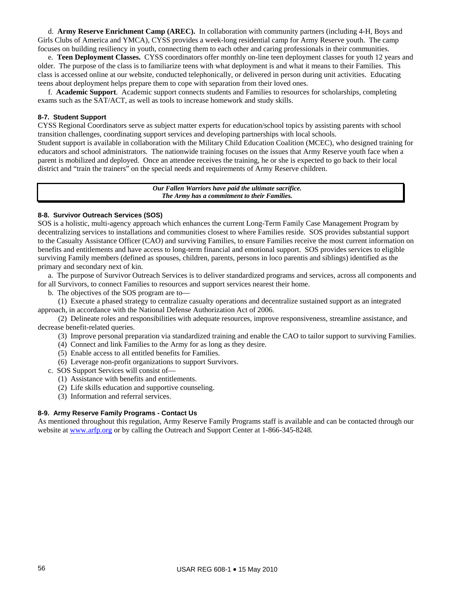d. **Army Reserve Enrichment Camp (AREC).** In collaboration with community partners (including 4-H, Boys and Girls Clubs of America and YMCA), CYSS provides a week-long residential camp for Army Reserve youth. The camp focuses on building resiliency in youth, connecting them to each other and caring professionals in their communities.

 e. **Teen Deployment Classes.** CYSS coordinators offer monthly on-line teen deployment classes for youth 12 years and older. The purpose of the class is to familiarize teens with what deployment is and what it means to their Families. This class is accessed online at our website, conducted telephonically, or delivered in person during unit activities. Educating teens about deployment helps prepare them to cope with separation from their loved ones.

 f. **Academic Support**. Academic support connects students and Families to resources for scholarships, completing exams such as the SAT/ACT, as well as tools to increase homework and study skills.

### **8-7. Student Support**

CYSS Regional Coordinators serve as subject matter experts for education/school topics by assisting parents with school transition challenges, coordinating support services and developing partnerships with local schools. Student support is available in collaboration with the Military Child Education Coalition (MCEC), who designed training for educators and school administrators. The nationwide training focuses on the issues that Army Reserve youth face when a parent is mobilized and deployed. Once an attendee receives the training, he or she is expected to go back to their local district and "train the trainers" on the special needs and requirements of Army Reserve children.

> *Our Fallen Warriors have paid the ultimate sacrifice. The Army has a commitment to their Families.*

### **8-8. Survivor Outreach Services (SOS)**

SOS is a holistic, multi-agency approach which enhances the current Long-Term Family Case Management Program by decentralizing services to installations and communities closest to where Families reside. SOS provides substantial support to the Casualty Assistance Officer (CAO) and surviving Families, to ensure Families receive the most current information on benefits and entitlements and have access to long-term financial and emotional support. SOS provides services to eligible surviving Family members (defined as spouses, children, parents, persons in loco parentis and siblings) identified as the primary and secondary next of kin.

 a. The purpose of Survivor Outreach Services is to deliver standardized programs and services, across all components and for all Survivors, to connect Families to resources and support services nearest their home.

b. The objectives of the SOS program are to—

 (1) Execute a phased strategy to centralize casualty operations and decentralize sustained support as an integrated approach, in accordance with the National Defense Authorization Act of 2006.

 (2) Delineate roles and responsibilities with adequate resources, improve responsiveness, streamline assistance, and decrease benefit-related queries.

- (3) Improve personal preparation via standardized training and enable the CAO to tailor support to surviving Families.
- (4) Connect and link Families to the Army for as long as they desire.
- (5) Enable access to all entitled benefits for Families.
- (6) Leverage non-profit organizations to support Survivors.
- c. SOS Support Services will consist of—
	- (1) Assistance with benefits and entitlements.
	- (2) Life skills education and supportive counseling.
	- (3) Information and referral services.

# **8-9. Army Reserve Family Programs - Contact Us**

As mentioned throughout this regulation, Army Reserve Family Programs staff is available and can be contacted through our website at [www.arfp.org](http://www.arfp.org/) or by calling the Outreach and Support Center at 1-866-345-8248.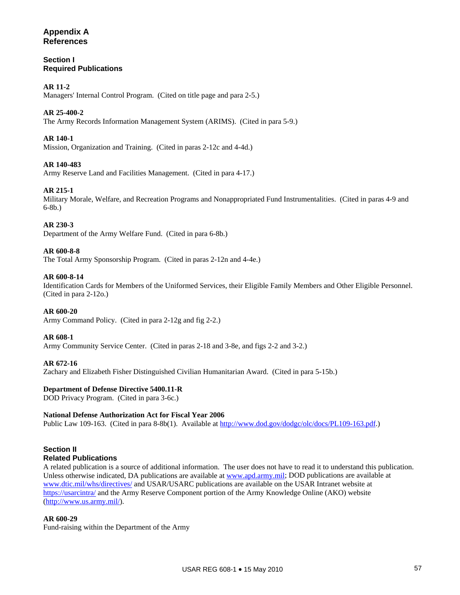# **Appendix A References**

# **Section I Required Publications**

# **AR 11-2**

Managers' Internal Control Program. (Cited on title page and para 2-5.)

# **AR 25-400-2**

The Army Records Information Management System (ARIMS). (Cited in para 5-9.)

# **AR 140-1**

Mission, Organization and Training. (Cited in paras 2-12c and 4-4d.)

# **AR 140-483**

Army Reserve Land and Facilities Management. (Cited in para 4-17.)

# **AR 215-1**

Military Morale, Welfare, and Recreation Programs and Nonappropriated Fund Instrumentalities. (Cited in paras 4-9 and 6-8b.)

# **AR 230-3**

Department of the Army Welfare Fund. (Cited in para 6-8b.)

### **AR 600-8-8**

The Total Army Sponsorship Program. (Cited in paras 2-12n and 4-4e.)

### **AR 600-8-14**

Identification Cards for Members of the Uniformed Services, their Eligible Family Members and Other Eligible Personnel. (Cited in para 2-12o.)

### **AR 600-20**

Army Command Policy. (Cited in para 2-12g and fig 2-2.)

### **AR 608-1**

Army Community Service Center. (Cited in paras 2-18 and 3-8e, and figs 2-2 and 3-2.)

### **AR 672-16**

Zachary and Elizabeth Fisher Distinguished Civilian Humanitarian Award. (Cited in para 5-15b.)

# **Department of Defense Directive 5400.11-R**

DOD Privacy Program. (Cited in para 3-6c.)

# **National Defense Authorization Act for Fiscal Year 2006**

Public Law 109-163. (Cited in para 8-8b(1). Available at <http://www.dod.gov/dodgc/olc/docs/PL109-163.pdf>.)

#### **Section II Related Publications**

A related publication is a source of additional information. The user does not have to read it to understand this publication. Unless otherwise indicated, DA publications are available at [www.apd.army.mil](http://www.apd.army.mil/); DOD publications are available at [www.dtic.mil/whs/directives/](http://www.dtic.mil/whs/directives/) and USAR/USARC publications are available on the USAR Intranet website at <https://usarcintra/>and the Army Reserve Component portion of the Army Knowledge Online (AKO) website ([http://www.us.army.mil/\)](http://www.us.army.mil/).

# **AR 600-29**

Fund-raising within the Department of the Army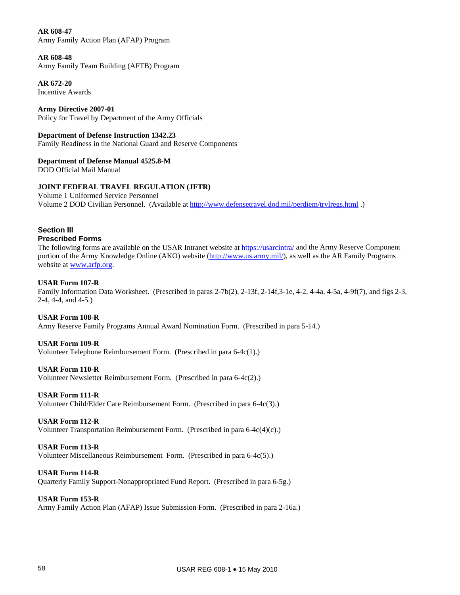**AR 608-47**  Army Family Action Plan (AFAP) Program

# **AR 608-48**

Army Family Team Building (AFTB) Program

**AR 672-20**  Incentive Awards

**Army Directive 2007-01**  Policy for Travel by Department of the Army Officials

### **Department of Defense Instruction 1342.23**

Family Readiness in the National Guard and Reserve Components

# **Department of Defense Manual 4525.8-M**

DOD Official Mail Manual

# **JOINT FEDERAL TRAVEL REGULATION (JFTR)**

Volume 1 Uniformed Service Personnel Volume 2 DOD Civilian Personnel. (Available at<http://www.defensetravel.dod.mil/perdiem/trvlregs.html> .)

### **Section III Prescribed Forms**

The following forms are available on the USAR Intranet website at <https://usarcintra/>and the Army Reserve Component portion of the Army Knowledge Online (AKO) website (<http://www.us.army.mil/>), as well as the AR Family Programs website at [www.arfp.org.](http://www.arfp.org/)

# **USAR Form 107-R**

Family Information Data Worksheet. (Prescribed in paras 2-7b(2), 2-13f, 2-14f,3-1e, 4-2, 4-4a, 4-5a, 4-9f(7), and figs 2-3, 2-4, 4-4, and 4-5.)

# **USAR Form 108-R**

Army Reserve Family Programs Annual Award Nomination Form. (Prescribed in para 5-14.)

# **USAR Form 109-R**

Volunteer Telephone Reimbursement Form. (Prescribed in para 6-4c(1).)

# **USAR Form 110-R**

Volunteer Newsletter Reimbursement Form. (Prescribed in para 6-4c(2).)

# **USAR Form 111-R**

Volunteer Child/Elder Care Reimbursement Form. (Prescribed in para 6-4c(3).)

# **USAR Form 112-R**

Volunteer Transportation Reimbursement Form. (Prescribed in para 6-4c(4)(c).)

# **USAR Form 113-R**

Volunteer Miscellaneous Reimbursement Form. (Prescribed in para 6-4c(5).)

# **USAR Form 114-R**

Quarterly Family Support-Nonappropriated Fund Report. (Prescribed in para 6-5g.)

# **USAR Form 153-R**

Army Family Action Plan (AFAP) Issue Submission Form. (Prescribed in para 2-16a.)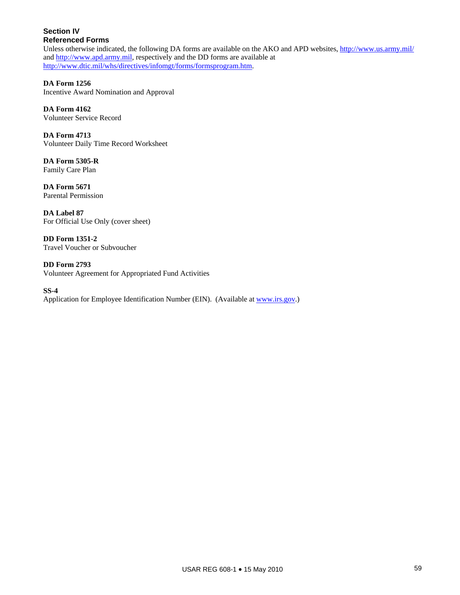# **Section IV Referenced Forms**

Unless otherwise indicated, the following DA forms are available on the AKO and APD websites, <http://www.us.army.mil/> and [http://www.apd.army.mil,](http://www.apd.army.mil/) respectively and the DD forms are available at [http://www.dtic.mil/whs/directives/infomgt/forms/formsprogram.htm.](http://www.dtic.mil/whs/directives/infomgt/forms/formsprogram.htm)

**DA Form 1256**  Incentive Award Nomination and Approval

**DA Form 4162**  Volunteer Service Record

**DA Form 4713**  Volunteer Daily Time Record Worksheet

**DA Form 5305-R**  Family Care Plan

**DA Form 5671**  Parental Permission

**DA Label 87**  For Official Use Only (cover sheet)

**DD Form 1351-2**  Travel Voucher or Subvoucher

**DD Form 2793**  Volunteer Agreement for Appropriated Fund Activities

**SS-4**  Application for Employee Identification Number (EIN). (Available at [www.irs.gov](http://www.irs.gov/).)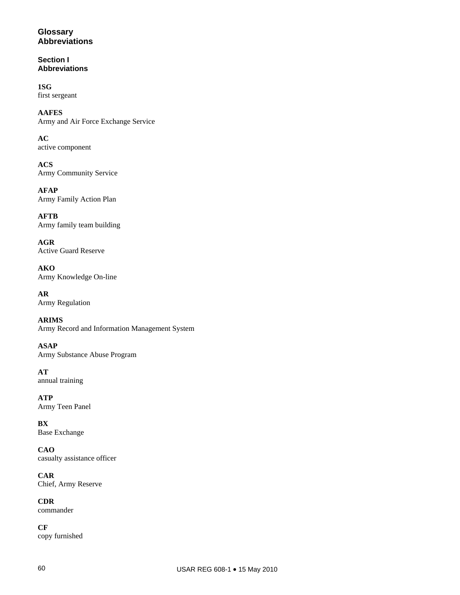# **Glossary Abbreviations**

**Section I Abbreviations** 

**1SG**  first sergeant

**AAFES**  Army and Air Force Exchange Service

**AC**  active component

**ACS**  Army Community Service

**AFAP**  Army Family Action Plan

**AFTB**  Army family team building

**AGR**  Active Guard Reserve

**AKO**  Army Knowledge On-line

**AR**  Army Regulation

**ARIMS**  Army Record and Information Management System

**ASAP**  Army Substance Abuse Program

**AT**  annual training

**ATP**  Army Teen Panel

**BX**  Base Exchange

**CAO**  casualty assistance officer

**CAR**  Chief, Army Reserve

**CDR**  commander

**CF**  copy furnished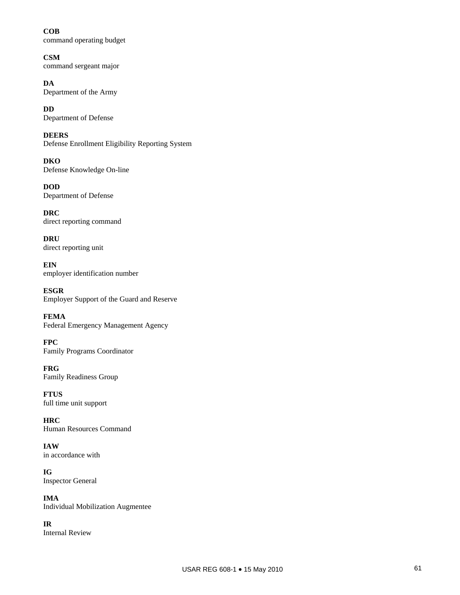**COB**  command operating budget

**CSM**  command sergeant major

**DA**  Department of the Army

**DD**  Department of Defense

**DEERS**  Defense Enrollment Eligibility Reporting System

**DKO**  Defense Knowledge On-line

**DOD**  Department of Defense

**DRC**  direct reporting command

**DRU**  direct reporting unit

**EIN**  employer identification number

**ESGR**  Employer Support of the Guard and Reserve

**FEMA**  Federal Emergency Management Agency

**FPC**  Family Programs Coordinator

**FRG**  Family Readiness Group

**FTUS**  full time unit support

**HRC**  Human Resources Command

**IAW**  in accordance with

**IG**  Inspector General

**IMA**  Individual Mobilization Augmentee

**IR**  Internal Review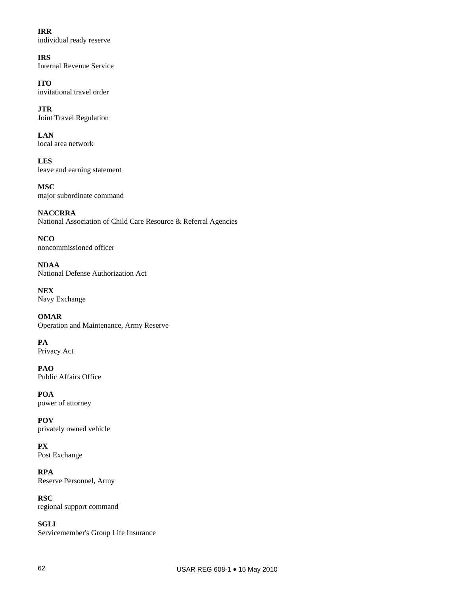**IRR**  individual ready reserve

**IRS**  Internal Revenue Service

**ITO**  invitational travel order

**JTR**  Joint Travel Regulation

**LAN**  local area network

**LES**  leave and earning statement

**MSC**  major subordinate command

**NACCRRA**  National Association of Child Care Resource & Referral Agencies

**NCO**  noncommissioned officer

**NDAA**  National Defense Authorization Act

**NEX**  Navy Exchange

**OMAR**  Operation and Maintenance, Army Reserve

**PA**  Privacy Act

**PAO**  Public Affairs Office

**POA**  power of attorney

**POV**  privately owned vehicle

**PX**  Post Exchange

**RPA**  Reserve Personnel, Army

**RSC**  regional support command

**SGLI**  Servicemember's Group Life Insurance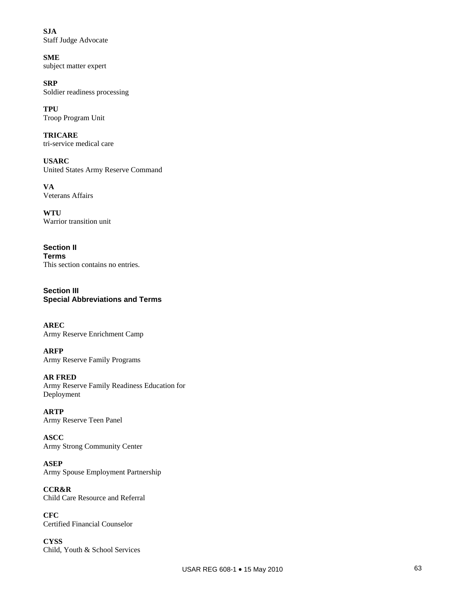**SJA**  Staff Judge Advocate

**SME**  subject matter expert

**SRP**  Soldier readiness processing

**TPU**  Troop Program Unit

**TRICARE**  tri-service medical care

**USARC**  United States Army Reserve Command

**VA**  Veterans Affairs

**WTU**  Warrior transition unit

**Section II Terms**  This section contains no entries.

**Section III Special Abbreviations and Terms** 

**AREC**  Army Reserve Enrichment Camp

**ARFP**  Army Reserve Family Programs

# **AR FRED**

Army Reserve Family Readiness Education for Deployment

**ARTP**  Army Reserve Teen Panel

**ASCC**  Army Strong Community Center

**ASEP**  Army Spouse Employment Partnership

**CCR&R**  Child Care Resource and Referral

**CFC**  Certified Financial Counselor

**CYSS**  Child, Youth & School Services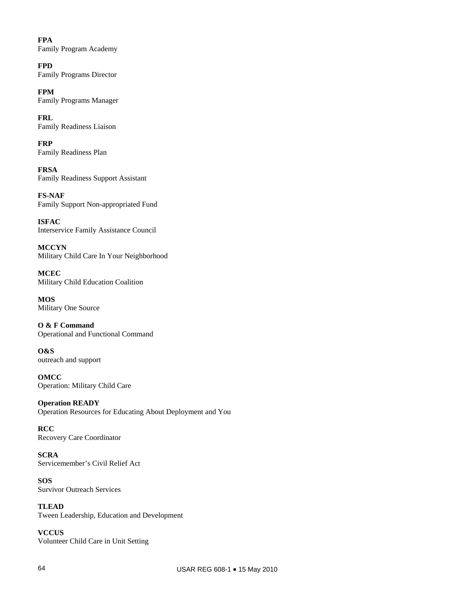**FPA**  Family Program Academy

**FPD**  Family Programs Director

**FPM**  Family Programs Manager

**FRL**  Family Readiness Liaison

**FRP**  Family Readiness Plan

**FRSA**  Family Readiness Support Assistant

**FS-NAF**  Family Support Non-appropriated Fund

**ISFAC**  Interservice Family Assistance Council

**MCCYN** Military Child Care In Your Neighborhood

**MCEC**  Military Child Education Coalition

**MOS**  Military One Source

**O & F Command**  Operational and Functional Command

**O&S**  outreach and support

**OMCC**  Operation: Military Child Care

**Operation READY**  Operation Resources for Educating About Deployment and You

**RCC**  Recovery Care Coordinator

**SCRA**  Servicemember's Civil Relief Act

**SOS**  Survivor Outreach Services

**TLEAD**  Tween Leadership, Education and Development

**VCCUS**  Volunteer Child Care in Unit Setting